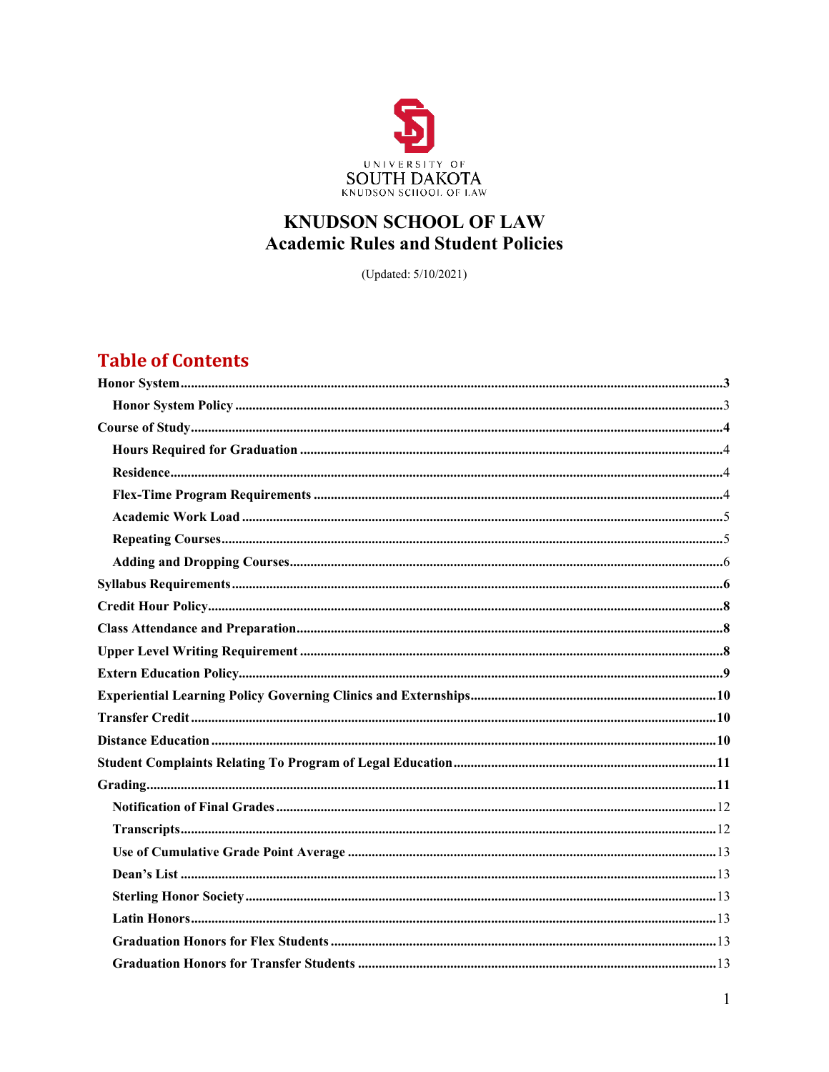

# **KNUDSON SCHOOL OF LAW Academic Rules and Student Policies**

(Updated: 5/10/2021)

# **Table of Contents**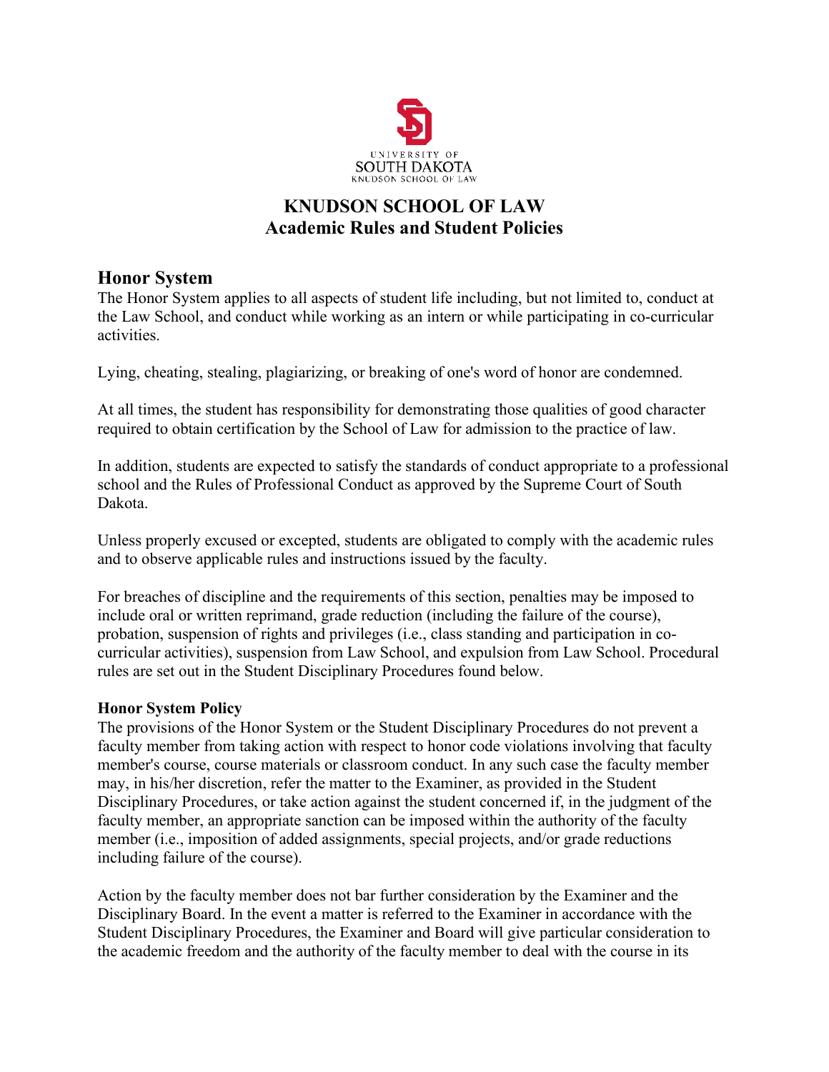

# **KNUDSON SCHOOL OF LAW Academic Rules and Student Policies**

## <span id="page-2-0"></span>**Honor System**

The Honor System applies to all aspects of student life including, but not limited to, conduct at the Law School, and conduct while working as an intern or while participating in co-curricular activities.

Lying, cheating, stealing, plagiarizing, or breaking of one's word of honor are condemned.

At all times, the student has responsibility for demonstrating those qualities of good character required to obtain certification by the School of Law for admission to the practice of law.

In addition, students are expected to satisfy the standards of conduct appropriate to a professional school and the Rules of Professional Conduct as approved by the Supreme Court of South Dakota.

Unless properly excused or excepted, students are obligated to comply with the academic rules and to observe applicable rules and instructions issued by the faculty.

For breaches of discipline and the requirements of this section, penalties may be imposed to include oral or written reprimand, grade reduction (including the failure of the course), probation, suspension of rights and privileges (i.e., class standing and participation in cocurricular activities), suspension from Law School, and expulsion from Law School. Procedural rules are set out in the Student Disciplinary Procedures found below.

## <span id="page-2-1"></span>**Honor System Policy**

The provisions of the Honor System or the Student Disciplinary Procedures do not prevent a faculty member from taking action with respect to honor code violations involving that faculty member's course, course materials or classroom conduct. In any such case the faculty member may, in his/her discretion, refer the matter to the Examiner, as provided in the Student Disciplinary Procedures, or take action against the student concerned if, in the judgment of the faculty member, an appropriate sanction can be imposed within the authority of the faculty member (i.e., imposition of added assignments, special projects, and/or grade reductions including failure of the course).

Action by the faculty member does not bar further consideration by the Examiner and the Disciplinary Board. In the event a matter is referred to the Examiner in accordance with the Student Disciplinary Procedures, the Examiner and Board will give particular consideration to the academic freedom and the authority of the faculty member to deal with the course in its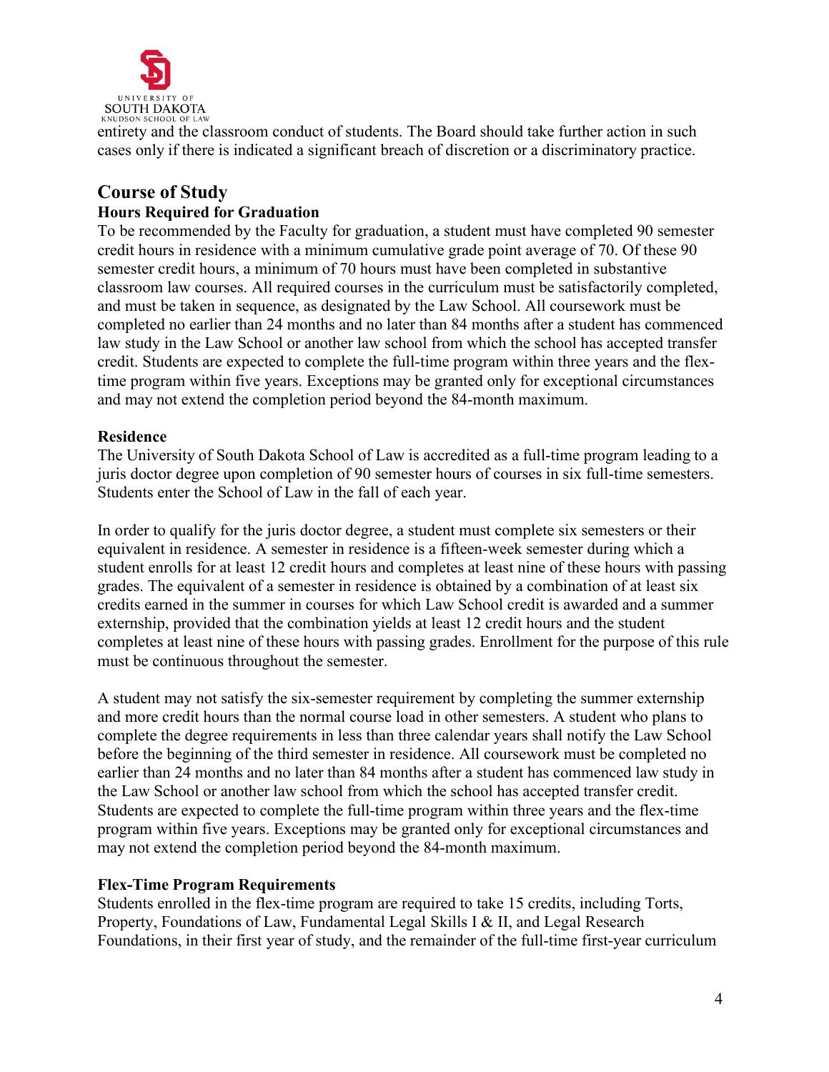

entirety and the classroom conduct of students. The Board should take further action in such cases only if there is indicated a significant breach of discretion or a discriminatory practice.

## <span id="page-3-0"></span>**Course of Study Hours Required for Graduation**

To be recommended by the Faculty for graduation, a student must have completed 90 semester credit hours in residence with a minimum cumulative grade point average of 70. Of these 90 semester credit hours, a minimum of 70 hours must have been completed in substantive classroom law courses. All required courses in the curriculum must be satisfactorily completed, and must be taken in sequence, as designated by the Law School. All coursework must be completed no earlier than 24 months and no later than 84 months after a student has commenced law study in the Law School or another law school from which the school has accepted transfer credit. Students are expected to complete the full-time program within three years and the flextime program within five years. Exceptions may be granted only for exceptional circumstances and may not extend the completion period beyond the 84-month maximum.

## <span id="page-3-1"></span>**Residence**

The University of South Dakota School of Law is accredited as a full-time program leading to a juris doctor degree upon completion of 90 semester hours of courses in six full-time semesters. Students enter the School of Law in the fall of each year.

In order to qualify for the juris doctor degree, a student must complete six semesters or their equivalent in residence. A semester in residence is a fifteen-week semester during which a student enrolls for at least 12 credit hours and completes at least nine of these hours with passing grades. The equivalent of a semester in residence is obtained by a combination of at least six credits earned in the summer in courses for which Law School credit is awarded and a summer externship, provided that the combination yields at least 12 credit hours and the student completes at least nine of these hours with passing grades. Enrollment for the purpose of this rule must be continuous throughout the semester.

A student may not satisfy the six-semester requirement by completing the summer externship and more credit hours than the normal course load in other semesters. A student who plans to complete the degree requirements in less than three calendar years shall notify the Law School before the beginning of the third semester in residence. All coursework must be completed no earlier than 24 months and no later than 84 months after a student has commenced law study in the Law School or another law school from which the school has accepted transfer credit. Students are expected to complete the full-time program within three years and the flex-time program within five years. Exceptions may be granted only for exceptional circumstances and may not extend the completion period beyond the 84-month maximum.

### <span id="page-3-2"></span>**Flex-Time Program Requirements**

Students enrolled in the flex-time program are required to take 15 credits, including Torts, Property, Foundations of Law, Fundamental Legal Skills I & II, and Legal Research Foundations, in their first year of study, and the remainder of the full-time first-year curriculum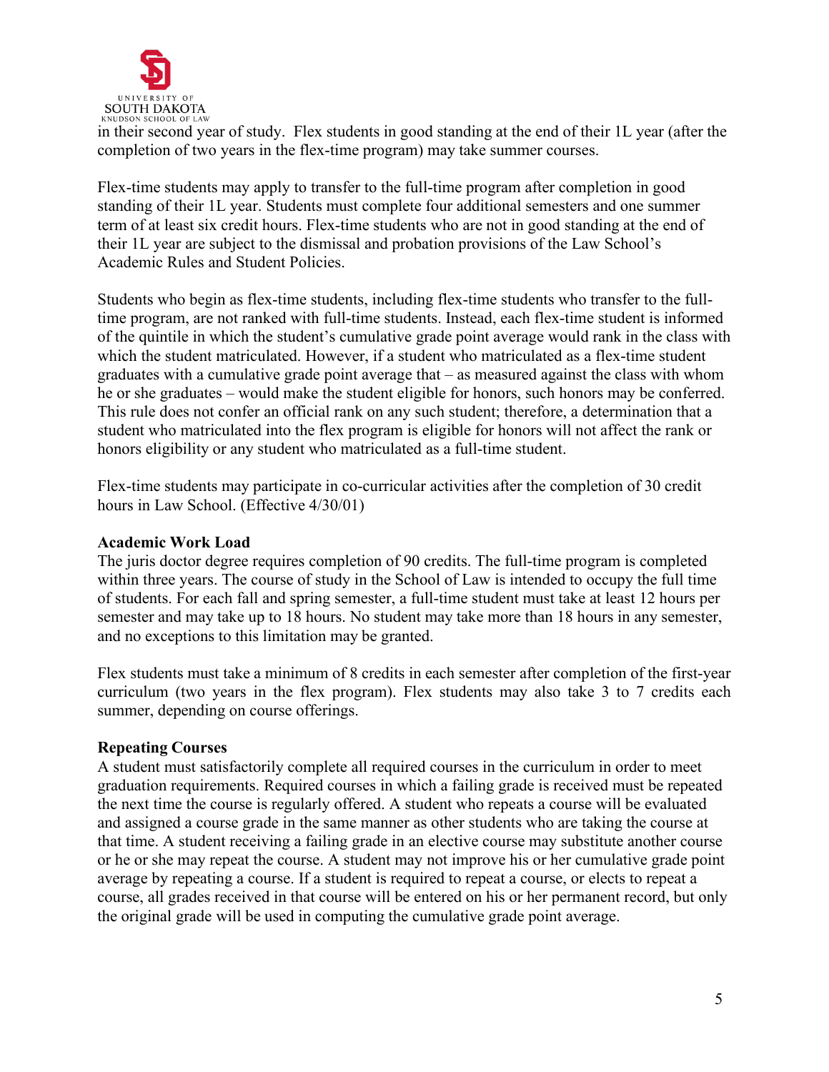

SOUTH DAKOTA<br>
In their second year of study. Flex students in good standing at the end of their 1L year (after the<br>
in their second year of study. Flex students in good standing at the end of their 1L year (after the completion of two years in the flex-time program) may take summer courses.

Flex-time students may apply to transfer to the full-time program after completion in good standing of their 1L year. Students must complete four additional semesters and one summer term of at least six credit hours. Flex-time students who are not in good standing at the end of their 1L year are subject to the dismissal and probation provisions of the Law School's Academic Rules and Student Policies.

Students who begin as flex-time students, including flex-time students who transfer to the fulltime program, are not ranked with full-time students. Instead, each flex-time student is informed of the quintile in which the student's cumulative grade point average would rank in the class with which the student matriculated. However, if a student who matriculated as a flex-time student graduates with a cumulative grade point average that – as measured against the class with whom he or she graduates – would make the student eligible for honors, such honors may be conferred. This rule does not confer an official rank on any such student; therefore, a determination that a student who matriculated into the flex program is eligible for honors will not affect the rank or honors eligibility or any student who matriculated as a full-time student.

Flex-time students may participate in co-curricular activities after the completion of 30 credit hours in Law School. (Effective 4/30/01)

### <span id="page-4-0"></span>**Academic Work Load**

The juris doctor degree requires completion of 90 credits. The full-time program is completed within three years. The course of study in the School of Law is intended to occupy the full time of students. For each fall and spring semester, a full-time student must take at least 12 hours per semester and may take up to 18 hours. No student may take more than 18 hours in any semester, and no exceptions to this limitation may be granted.

Flex students must take a minimum of 8 credits in each semester after completion of the first-year curriculum (two years in the flex program). Flex students may also take 3 to 7 credits each summer, depending on course offerings.

## <span id="page-4-1"></span>**Repeating Courses**

A student must satisfactorily complete all required courses in the curriculum in order to meet graduation requirements. Required courses in which a failing grade is received must be repeated the next time the course is regularly offered. A student who repeats a course will be evaluated and assigned a course grade in the same manner as other students who are taking the course at that time. A student receiving a failing grade in an elective course may substitute another course or he or she may repeat the course. A student may not improve his or her cumulative grade point average by repeating a course. If a student is required to repeat a course, or elects to repeat a course, all grades received in that course will be entered on his or her permanent record, but only the original grade will be used in computing the cumulative grade point average.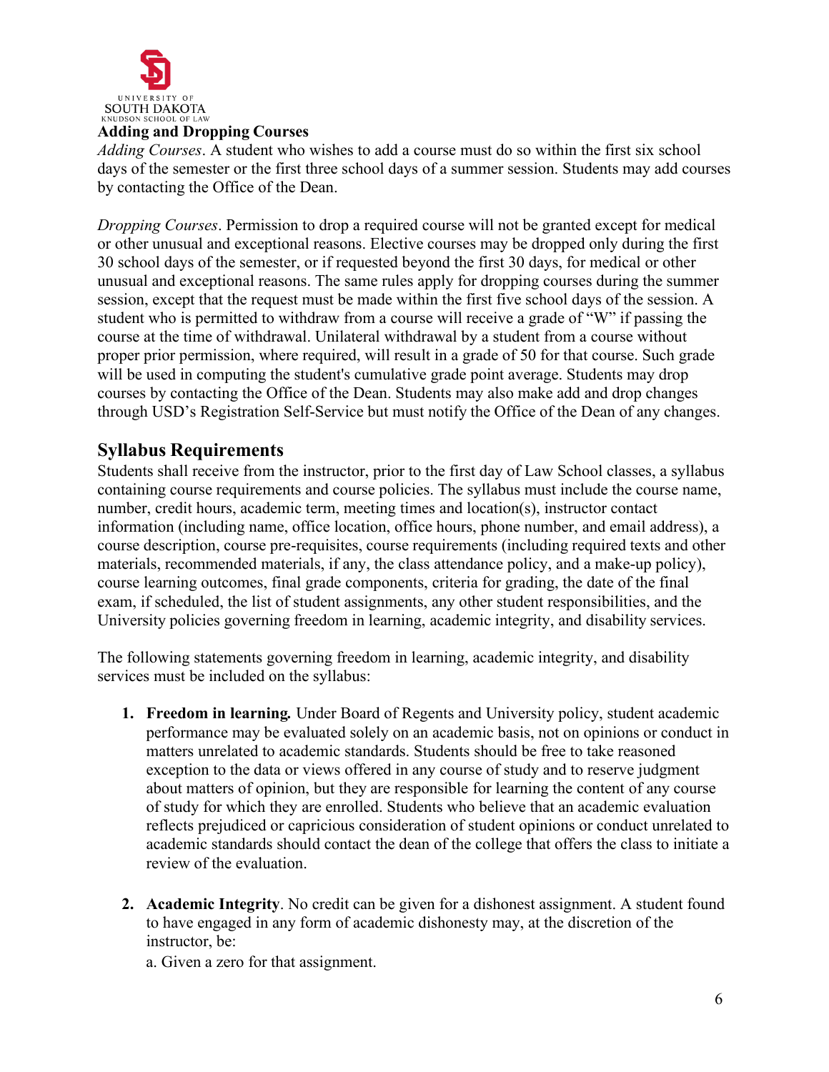

#### <span id="page-5-0"></span>**Adding and Dropping Courses**

*Adding Courses*. A student who wishes to add a course must do so within the first six school days of the semester or the first three school days of a summer session. Students may add courses by contacting the Office of the Dean.

*Dropping Courses*. Permission to drop a required course will not be granted except for medical or other unusual and exceptional reasons. Elective courses may be dropped only during the first 30 school days of the semester, or if requested beyond the first 30 days, for medical or other unusual and exceptional reasons. The same rules apply for dropping courses during the summer session, except that the request must be made within the first five school days of the session. A student who is permitted to withdraw from a course will receive a grade of "W" if passing the course at the time of withdrawal. Unilateral withdrawal by a student from a course without proper prior permission, where required, will result in a grade of 50 for that course. Such grade will be used in computing the student's cumulative grade point average. Students may drop courses by contacting the Office of the Dean. Students may also make add and drop changes through USD's Registration Self-Service but must notify the Office of the Dean of any changes.

## <span id="page-5-1"></span>**Syllabus Requirements**

Students shall receive from the instructor, prior to the first day of Law School classes, a syllabus containing course requirements and course policies. The syllabus must include the course name, number, credit hours, academic term, meeting times and location(s), instructor contact information (including name, office location, office hours, phone number, and email address), a course description, course pre-requisites, course requirements (including required texts and other materials, recommended materials, if any, the class attendance policy, and a make-up policy), course learning outcomes, final grade components, criteria for grading, the date of the final exam, if scheduled, the list of student assignments, any other student responsibilities, and the University policies governing freedom in learning, academic integrity, and disability services.

The following statements governing freedom in learning, academic integrity, and disability services must be included on the syllabus:

- **1. Freedom in learning***.* Under Board of Regents and University policy, student academic performance may be evaluated solely on an academic basis, not on opinions or conduct in matters unrelated to academic standards. Students should be free to take reasoned exception to the data or views offered in any course of study and to reserve judgment about matters of opinion, but they are responsible for learning the content of any course of study for which they are enrolled. Students who believe that an academic evaluation reflects prejudiced or capricious consideration of student opinions or conduct unrelated to academic standards should contact the dean of the college that offers the class to initiate a review of the evaluation.
- **2. Academic Integrity**. No credit can be given for a dishonest assignment. A student found to have engaged in any form of academic dishonesty may, at the discretion of the instructor, be:

a. Given a zero for that assignment.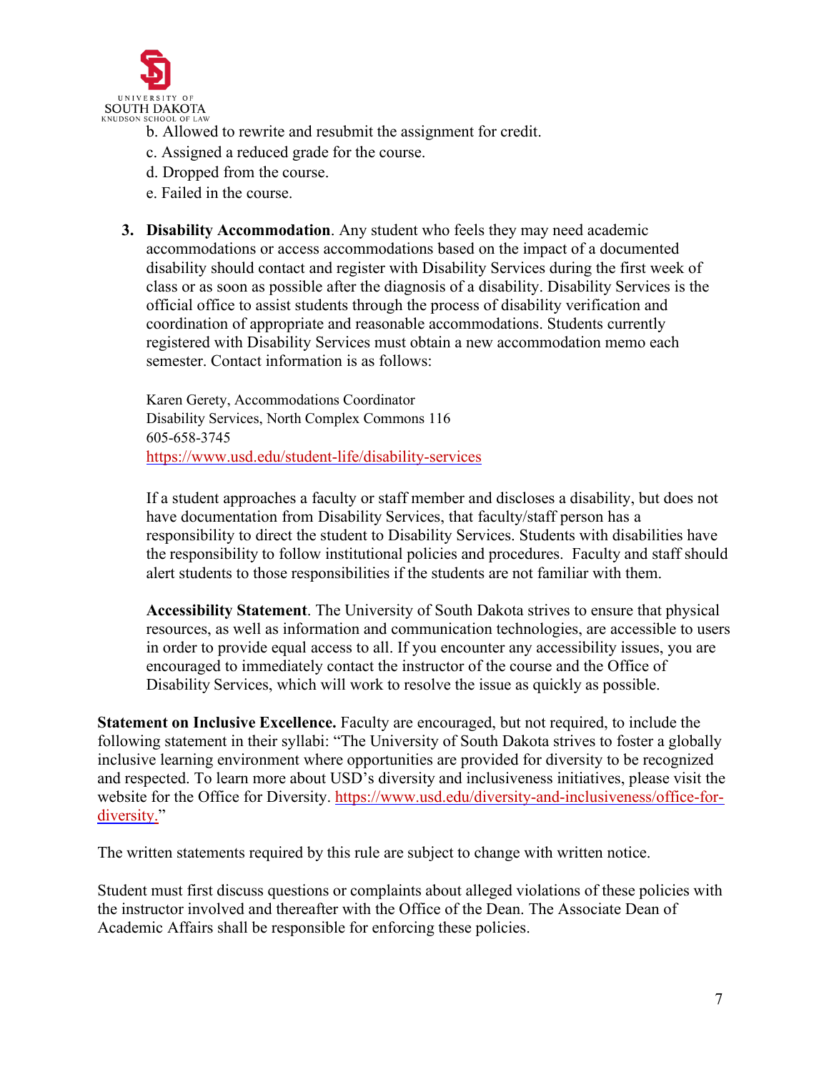

- b. Allowed to rewrite and resubmit the assignment for credit.
- c. Assigned a reduced grade for the course.
- d. Dropped from the course.
- e. Failed in the course.
- **3. Disability Accommodation**. Any student who feels they may need academic accommodations or access accommodations based on the impact of a documented disability should contact and register with Disability Services during the first week of class or as soon as possible after the diagnosis of a disability. Disability Services is the official office to assist students through the process of disability verification and coordination of appropriate and reasonable accommodations. Students currently registered with Disability Services must obtain a new accommodation memo each semester. Contact information is as follows:

Karen Gerety, Accommodations Coordinator Disability Services, North Complex Commons 116 605-658-3745 <https://www.usd.edu/student-life/disability-services>

If a student approaches a faculty or staff member and discloses a disability, but does not have documentation from Disability Services, that faculty/staff person has a responsibility to direct the student to Disability Services. Students with disabilities have the responsibility to follow institutional policies and procedures. Faculty and staff should alert students to those responsibilities if the students are not familiar with them.

**Accessibility Statement**. The University of South Dakota strives to ensure that physical resources, as well as information and communication technologies, are accessible to users in order to provide equal access to all. If you encounter any accessibility issues, you are encouraged to immediately contact the instructor of the course and the Office of Disability Services, which will work to resolve the issue as quickly as possible.

**Statement on Inclusive Excellence.** Faculty are encouraged, but not required, to include the following statement in their syllabi: "The University of South Dakota strives to foster a globally inclusive learning environment where opportunities are provided for diversity to be recognized and respected. To learn more about USD's diversity and inclusiveness initiatives, please visit the website for the Office for Diversity. [https://www.usd.edu/diversity-and-inclusiveness/office-for](https://www.usd.edu/diversity-and-inclusiveness/office-for-diversity)[diversity."](https://www.usd.edu/diversity-and-inclusiveness/office-for-diversity)

The written statements required by this rule are subject to change with written notice.

Student must first discuss questions or complaints about alleged violations of these policies with the instructor involved and thereafter with the Office of the Dean. The Associate Dean of Academic Affairs shall be responsible for enforcing these policies.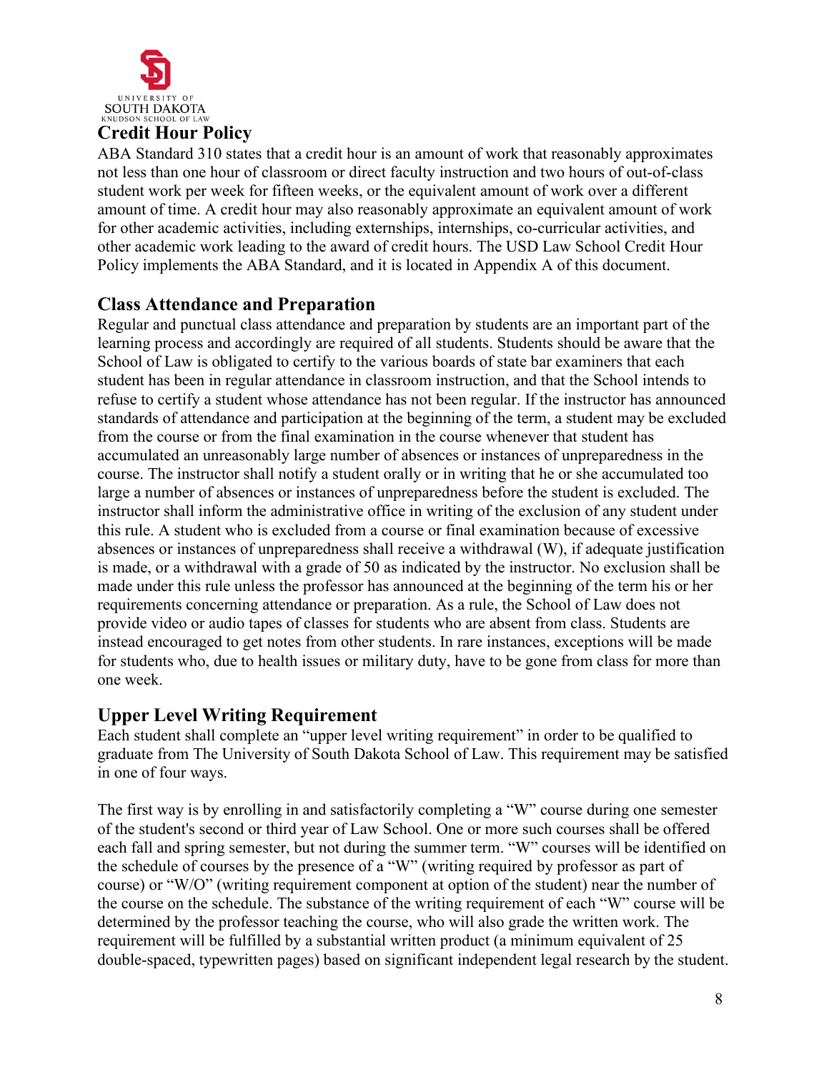

# <span id="page-7-0"></span>**Credit Hour Policy**

ABA Standard 310 states that a credit hour is an amount of work that reasonably approximates not less than one hour of classroom or direct faculty instruction and two hours of out-of-class student work per week for fifteen weeks, or the equivalent amount of work over a different amount of time. A credit hour may also reasonably approximate an equivalent amount of work for other academic activities, including externships, internships, co-curricular activities, and other academic work leading to the award of credit hours. The USD Law School Credit Hour Policy implements the ABA Standard, and it is located in Appendix A of this document.

# <span id="page-7-1"></span>**Class Attendance and Preparation**

Regular and punctual class attendance and preparation by students are an important part of the learning process and accordingly are required of all students. Students should be aware that the School of Law is obligated to certify to the various boards of state bar examiners that each student has been in regular attendance in classroom instruction, and that the School intends to refuse to certify a student whose attendance has not been regular. If the instructor has announced standards of attendance and participation at the beginning of the term, a student may be excluded from the course or from the final examination in the course whenever that student has accumulated an unreasonably large number of absences or instances of unpreparedness in the course. The instructor shall notify a student orally or in writing that he or she accumulated too large a number of absences or instances of unpreparedness before the student is excluded. The instructor shall inform the administrative office in writing of the exclusion of any student under this rule. A student who is excluded from a course or final examination because of excessive absences or instances of unpreparedness shall receive a withdrawal (W), if adequate justification is made, or a withdrawal with a grade of 50 as indicated by the instructor. No exclusion shall be made under this rule unless the professor has announced at the beginning of the term his or her requirements concerning attendance or preparation. As a rule, the School of Law does not provide video or audio tapes of classes for students who are absent from class. Students are instead encouraged to get notes from other students. In rare instances, exceptions will be made for students who, due to health issues or military duty, have to be gone from class for more than one week.

## <span id="page-7-2"></span>**Upper Level Writing Requirement**

Each student shall complete an "upper level writing requirement" in order to be qualified to graduate from The University of South Dakota School of Law. This requirement may be satisfied in one of four ways.

The first way is by enrolling in and satisfactorily completing a "W" course during one semester of the student's second or third year of Law School. One or more such courses shall be offered each fall and spring semester, but not during the summer term. "W" courses will be identified on the schedule of courses by the presence of a "W" (writing required by professor as part of course) or "W/O" (writing requirement component at option of the student) near the number of the course on the schedule. The substance of the writing requirement of each "W" course will be determined by the professor teaching the course, who will also grade the written work. The requirement will be fulfilled by a substantial written product (a minimum equivalent of 25 double-spaced, typewritten pages) based on significant independent legal research by the student.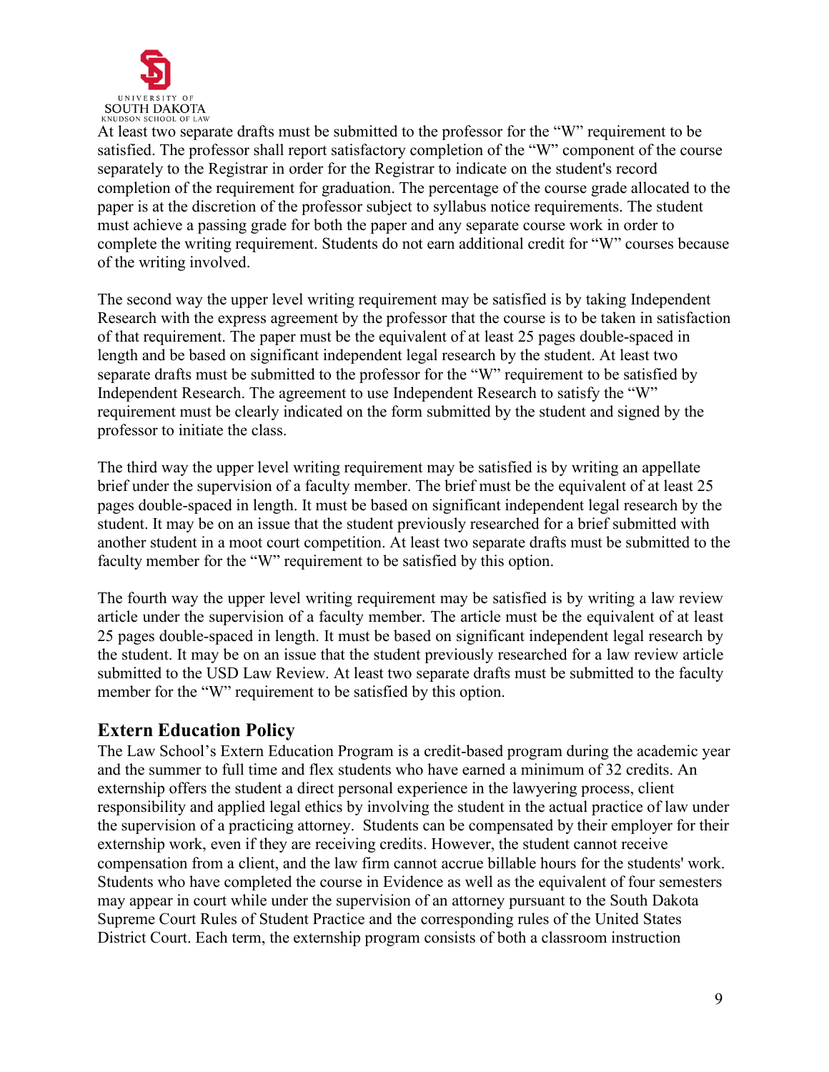

At least two separate drafts must be submitted to the professor for the "W" requirement to be satisfied. The professor shall report satisfactory completion of the "W" component of the course separately to the Registrar in order for the Registrar to indicate on the student's record completion of the requirement for graduation. The percentage of the course grade allocated to the paper is at the discretion of the professor subject to syllabus notice requirements. The student must achieve a passing grade for both the paper and any separate course work in order to complete the writing requirement. Students do not earn additional credit for "W" courses because of the writing involved.

The second way the upper level writing requirement may be satisfied is by taking Independent Research with the express agreement by the professor that the course is to be taken in satisfaction of that requirement. The paper must be the equivalent of at least 25 pages double-spaced in length and be based on significant independent legal research by the student. At least two separate drafts must be submitted to the professor for the "W" requirement to be satisfied by Independent Research. The agreement to use Independent Research to satisfy the "W" requirement must be clearly indicated on the form submitted by the student and signed by the professor to initiate the class.

The third way the upper level writing requirement may be satisfied is by writing an appellate brief under the supervision of a faculty member. The brief must be the equivalent of at least 25 pages double-spaced in length. It must be based on significant independent legal research by the student. It may be on an issue that the student previously researched for a brief submitted with another student in a moot court competition. At least two separate drafts must be submitted to the faculty member for the "W" requirement to be satisfied by this option.

The fourth way the upper level writing requirement may be satisfied is by writing a law review article under the supervision of a faculty member. The article must be the equivalent of at least 25 pages double-spaced in length. It must be based on significant independent legal research by the student. It may be on an issue that the student previously researched for a law review article submitted to the USD Law Review. At least two separate drafts must be submitted to the faculty member for the "W" requirement to be satisfied by this option.

## <span id="page-8-0"></span>**Extern Education Policy**

The Law School's Extern Education Program is a credit-based program during the academic year and the summer to full time and flex students who have earned a minimum of 32 credits. An externship offers the student a direct personal experience in the lawyering process, client responsibility and applied legal ethics by involving the student in the actual practice of law under the supervision of a practicing attorney. Students can be compensated by their employer for their externship work, even if they are receiving credits. However, the student cannot receive compensation from a client, and the law firm cannot accrue billable hours for the students' work. Students who have completed the course in Evidence as well as the equivalent of four semesters may appear in court while under the supervision of an attorney pursuant to the South Dakota Supreme Court Rules of Student Practice and the corresponding rules of the United States District Court. Each term, the externship program consists of both a classroom instruction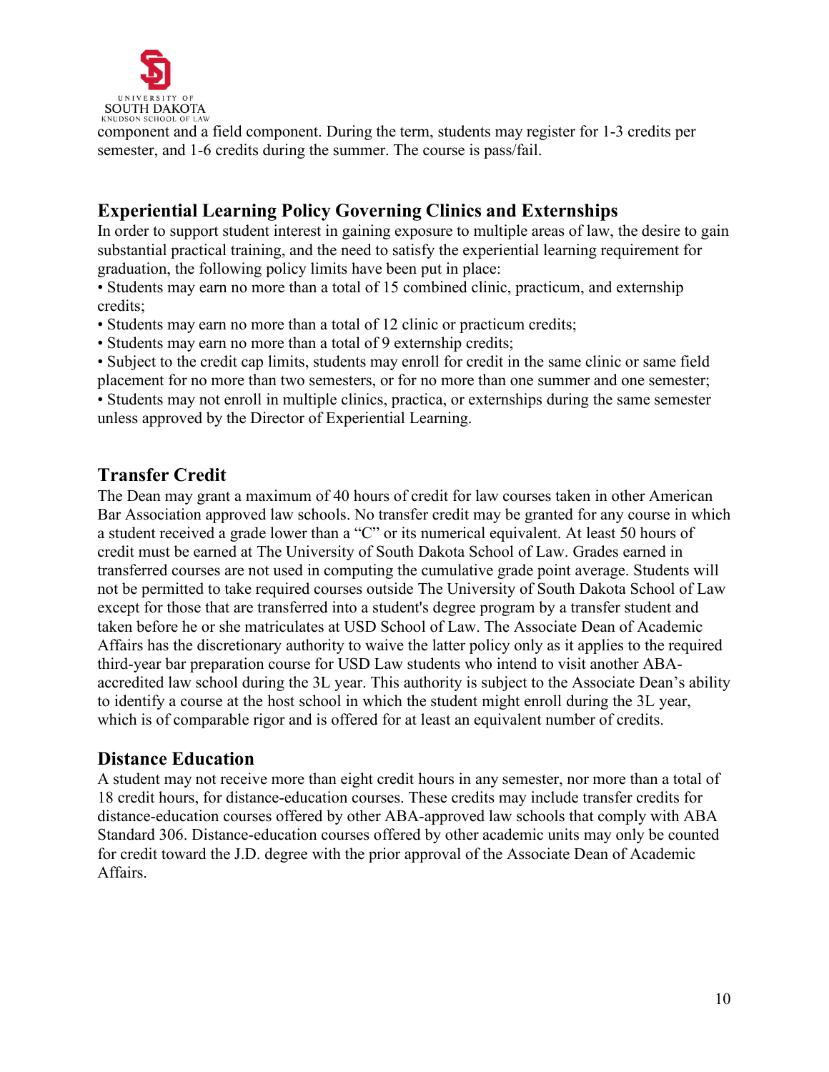

component and a field component. During the term, students may register for 1-3 credits per semester, and 1-6 credits during the summer. The course is pass/fail.

# <span id="page-9-0"></span>**Experiential Learning Policy Governing Clinics and Externships**

In order to support student interest in gaining exposure to multiple areas of law, the desire to gain substantial practical training, and the need to satisfy the experiential learning requirement for graduation, the following policy limits have been put in place:

• Students may earn no more than a total of 15 combined clinic, practicum, and externship credits;

- Students may earn no more than a total of 12 clinic or practicum credits;
- Students may earn no more than a total of 9 externship credits;

• Subject to the credit cap limits, students may enroll for credit in the same clinic or same field

placement for no more than two semesters, or for no more than one summer and one semester; • Students may not enroll in multiple clinics, practica, or externships during the same semester unless approved by the Director of Experiential Learning.

# <span id="page-9-1"></span>**Transfer Credit**

The Dean may grant a maximum of 40 hours of credit for law courses taken in other American Bar Association approved law schools. No transfer credit may be granted for any course in which a student received a grade lower than a "C" or its numerical equivalent. At least 50 hours of credit must be earned at The University of South Dakota School of Law. Grades earned in transferred courses are not used in computing the cumulative grade point average. Students will not be permitted to take required courses outside The University of South Dakota School of Law except for those that are transferred into a student's degree program by a transfer student and taken before he or she matriculates at USD School of Law. The Associate Dean of Academic Affairs has the discretionary authority to waive the latter policy only as it applies to the required third-year bar preparation course for USD Law students who intend to visit another ABAaccredited law school during the 3L year. This authority is subject to the Associate Dean's ability to identify a course at the host school in which the student might enroll during the 3L year, which is of comparable rigor and is offered for at least an equivalent number of credits.

## <span id="page-9-2"></span>**Distance Education**

A student may not receive more than eight credit hours in any semester, nor more than a total of 18 credit hours, for distance-education courses. These credits may include transfer credits for distance-education courses offered by other ABA-approved law schools that comply with ABA Standard 306. Distance-education courses offered by other academic units may only be counted for credit toward the J.D. degree with the prior approval of the Associate Dean of Academic Affairs.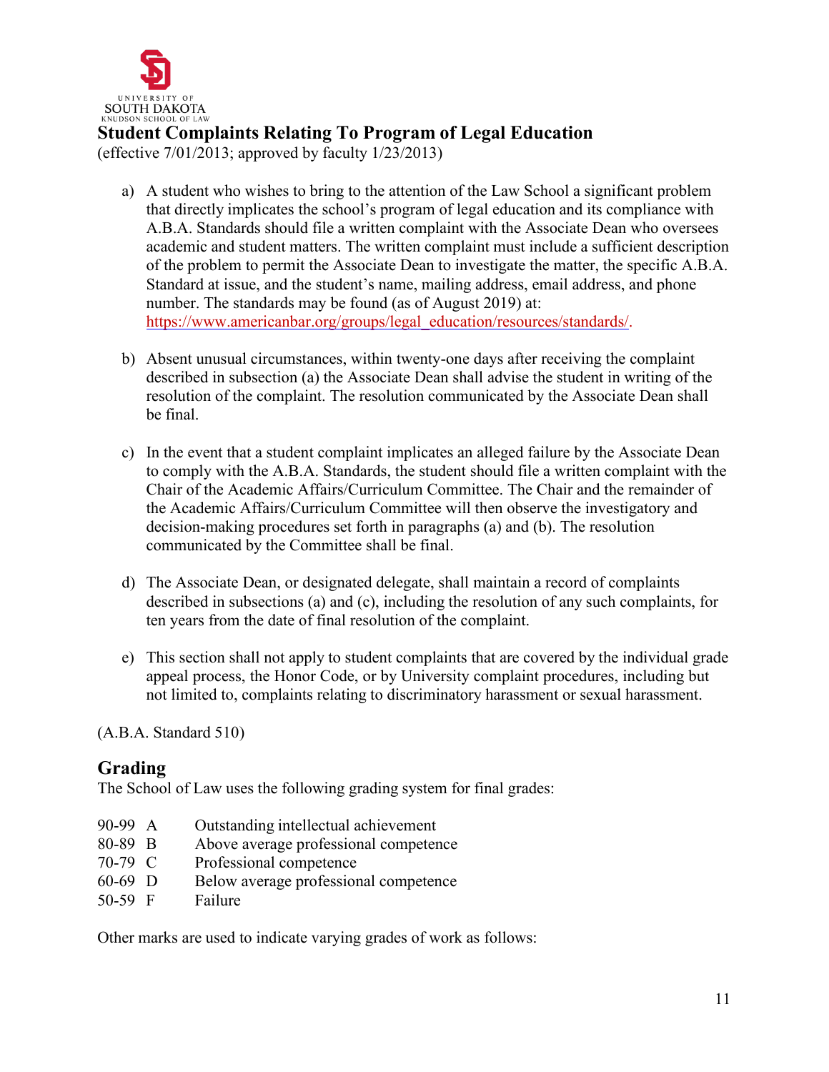

# <span id="page-10-0"></span>**Student Complaints Relating To Program of Legal Education**

(effective 7/01/2013; approved by faculty 1/23/2013)

- a) A student who wishes to bring to the attention of the Law School a significant problem that directly implicates the school's program of legal education and its compliance with A.B.A. Standards should file a written complaint with the Associate Dean who oversees academic and student matters. The written complaint must include a sufficient description of the problem to permit the Associate Dean to investigate the matter, the specific A.B.A. Standard at issue, and the student's name, mailing address, email address, and phone number. The standards may be found (as of August 2019) at: [https://www.americanbar.org/groups/legal\\_education/resources/standards/.](https://www.americanbar.org/groups/legal_education/resources/standards/)
- b) Absent unusual circumstances, within twenty-one days after receiving the complaint described in subsection (a) the Associate Dean shall advise the student in writing of the resolution of the complaint. The resolution communicated by the Associate Dean shall be final.
- c) In the event that a student complaint implicates an alleged failure by the Associate Dean to comply with the A.B.A. Standards, the student should file a written complaint with the Chair of the Academic Affairs/Curriculum Committee. The Chair and the remainder of the Academic Affairs/Curriculum Committee will then observe the investigatory and decision-making procedures set forth in paragraphs (a) and (b). The resolution communicated by the Committee shall be final.
- d) The Associate Dean, or designated delegate, shall maintain a record of complaints described in subsections (a) and (c), including the resolution of any such complaints, for ten years from the date of final resolution of the complaint.
- e) This section shall not apply to student complaints that are covered by the individual grade appeal process, the Honor Code, or by University complaint procedures, including but not limited to, complaints relating to discriminatory harassment or sexual harassment.

(A.B.A. Standard 510)

## <span id="page-10-1"></span>**Grading**

The School of Law uses the following grading system for final grades:

- 90-99 A Outstanding intellectual achievement
- 80-89 B Above average professional competence
- 70-79 C Professional competence
- 60-69 D Below average professional competence
- 50-59 F Failure

Other marks are used to indicate varying grades of work as follows: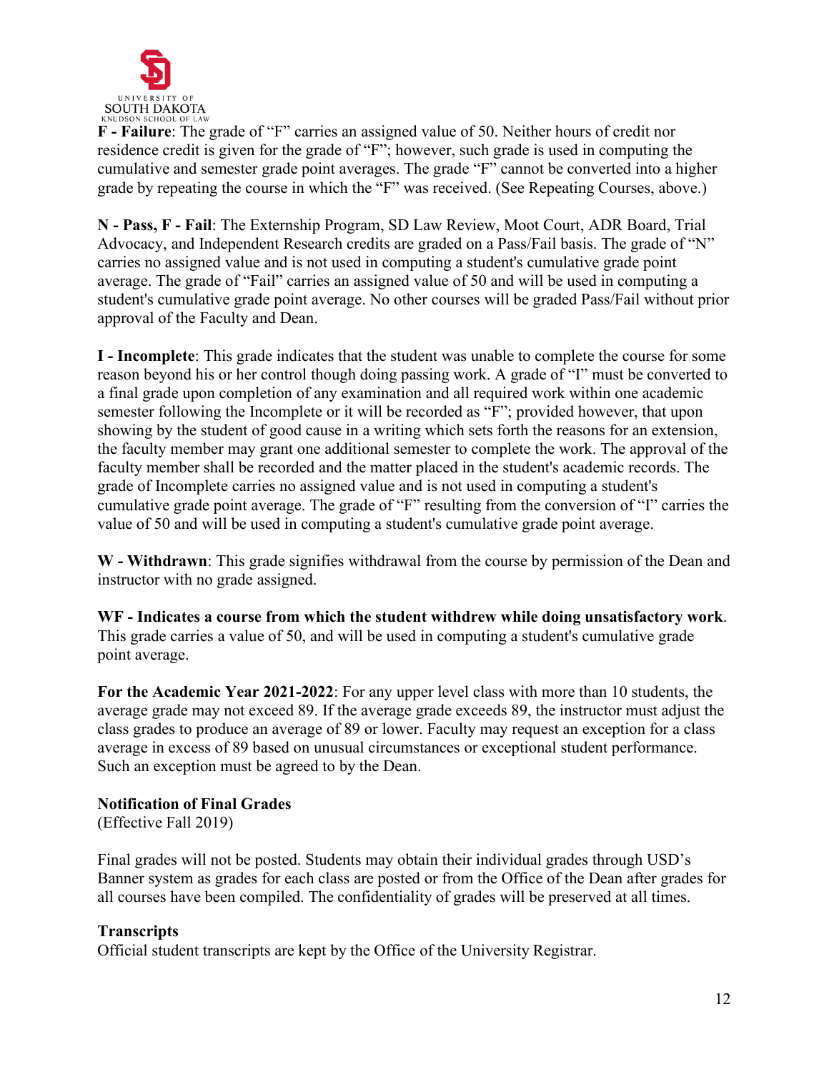

**F - Failure**: The grade of "F" carries an assigned value of 50. Neither hours of credit nor residence credit is given for the grade of "F"; however, such grade is used in computing the cumulative and semester grade point averages. The grade "F" cannot be converted into a higher grade by repeating the course in which the "F" was received. (See Repeating Courses, above.)

**N - Pass, F - Fail**: The Externship Program, SD Law Review, Moot Court, ADR Board, Trial Advocacy, and Independent Research credits are graded on a Pass/Fail basis. The grade of "N" carries no assigned value and is not used in computing a student's cumulative grade point average. The grade of "Fail" carries an assigned value of 50 and will be used in computing a student's cumulative grade point average. No other courses will be graded Pass/Fail without prior approval of the Faculty and Dean.

**I - Incomplete**: This grade indicates that the student was unable to complete the course for some reason beyond his or her control though doing passing work. A grade of "I" must be converted to a final grade upon completion of any examination and all required work within one academic semester following the Incomplete or it will be recorded as "F"; provided however, that upon showing by the student of good cause in a writing which sets forth the reasons for an extension, the faculty member may grant one additional semester to complete the work. The approval of the faculty member shall be recorded and the matter placed in the student's academic records. The grade of Incomplete carries no assigned value and is not used in computing a student's cumulative grade point average. The grade of "F" resulting from the conversion of "I" carries the value of 50 and will be used in computing a student's cumulative grade point average.

**W - Withdrawn**: This grade signifies withdrawal from the course by permission of the Dean and instructor with no grade assigned.

**WF - Indicates a course from which the student withdrew while doing unsatisfactory work**. This grade carries a value of 50, and will be used in computing a student's cumulative grade point average.

**For the Academic Year 2021-2022**: For any upper level class with more than 10 students, the average grade may not exceed 89. If the average grade exceeds 89, the instructor must adjust the class grades to produce an average of 89 or lower. Faculty may request an exception for a class average in excess of 89 based on unusual circumstances or exceptional student performance. Such an exception must be agreed to by the Dean.

## <span id="page-11-0"></span>**Notification of Final Grades**

(Effective Fall 2019)

Final grades will not be posted. Students may obtain their individual grades through USD's Banner system as grades for each class are posted or from the Office of the Dean after grades for all courses have been compiled. The confidentiality of grades will be preserved at all times.

## <span id="page-11-1"></span>**Transcripts**

Official student transcripts are kept by the Office of the University Registrar.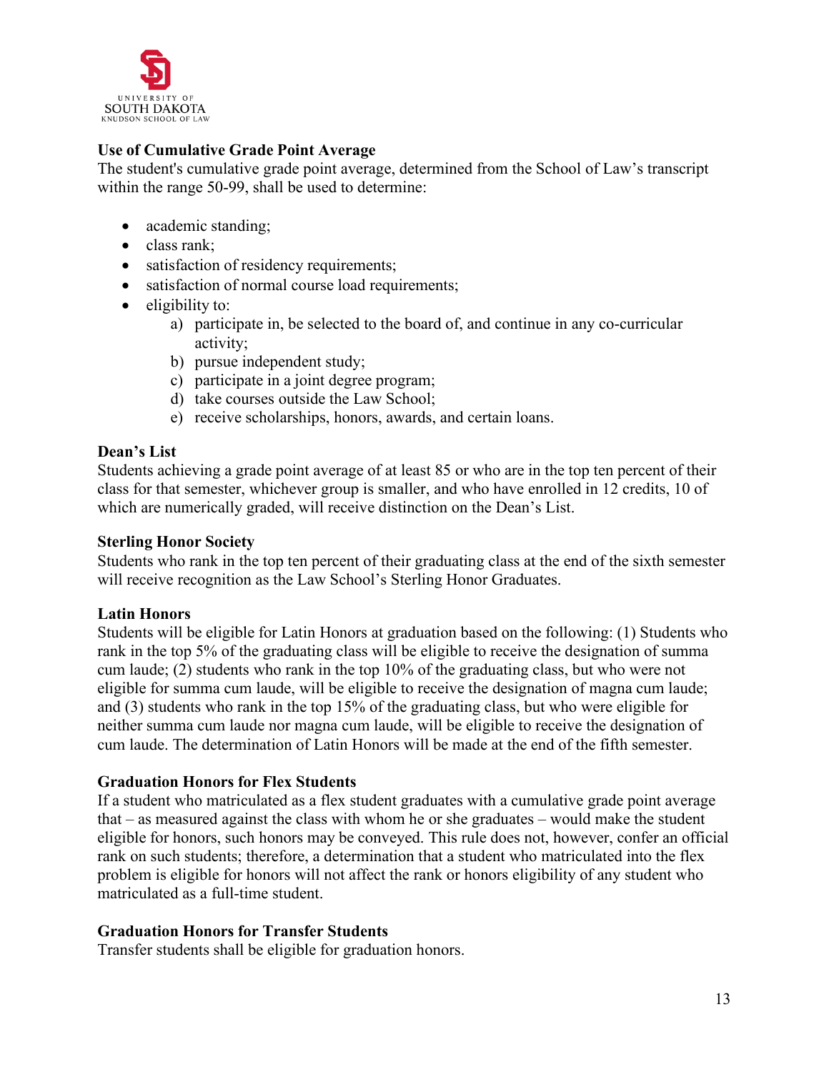

## <span id="page-12-0"></span>**Use of Cumulative Grade Point Average**

The student's cumulative grade point average, determined from the School of Law's transcript within the range 50-99, shall be used to determine:

- academic standing;
- class rank;
- satisfaction of residency requirements;
- satisfaction of normal course load requirements;
- eligibility to:
	- a) participate in, be selected to the board of, and continue in any co-curricular activity;
	- b) pursue independent study;
	- c) participate in a joint degree program;
	- d) take courses outside the Law School;
	- e) receive scholarships, honors, awards, and certain loans.

### <span id="page-12-1"></span>**Dean's List**

Students achieving a grade point average of at least 85 or who are in the top ten percent of their class for that semester, whichever group is smaller, and who have enrolled in 12 credits, 10 of which are numerically graded, will receive distinction on the Dean's List.

### <span id="page-12-2"></span>**Sterling Honor Society**

Students who rank in the top ten percent of their graduating class at the end of the sixth semester will receive recognition as the Law School's Sterling Honor Graduates.

### <span id="page-12-3"></span>**Latin Honors**

Students will be eligible for Latin Honors at graduation based on the following: (1) Students who rank in the top 5% of the graduating class will be eligible to receive the designation of summa cum laude; (2) students who rank in the top 10% of the graduating class, but who were not eligible for summa cum laude, will be eligible to receive the designation of magna cum laude; and (3) students who rank in the top 15% of the graduating class, but who were eligible for neither summa cum laude nor magna cum laude, will be eligible to receive the designation of cum laude. The determination of Latin Honors will be made at the end of the fifth semester.

### <span id="page-12-4"></span>**Graduation Honors for Flex Students**

If a student who matriculated as a flex student graduates with a cumulative grade point average that – as measured against the class with whom he or she graduates – would make the student eligible for honors, such honors may be conveyed. This rule does not, however, confer an official rank on such students; therefore, a determination that a student who matriculated into the flex problem is eligible for honors will not affect the rank or honors eligibility of any student who matriculated as a full-time student.

### <span id="page-12-5"></span>**Graduation Honors for Transfer Students**

Transfer students shall be eligible for graduation honors.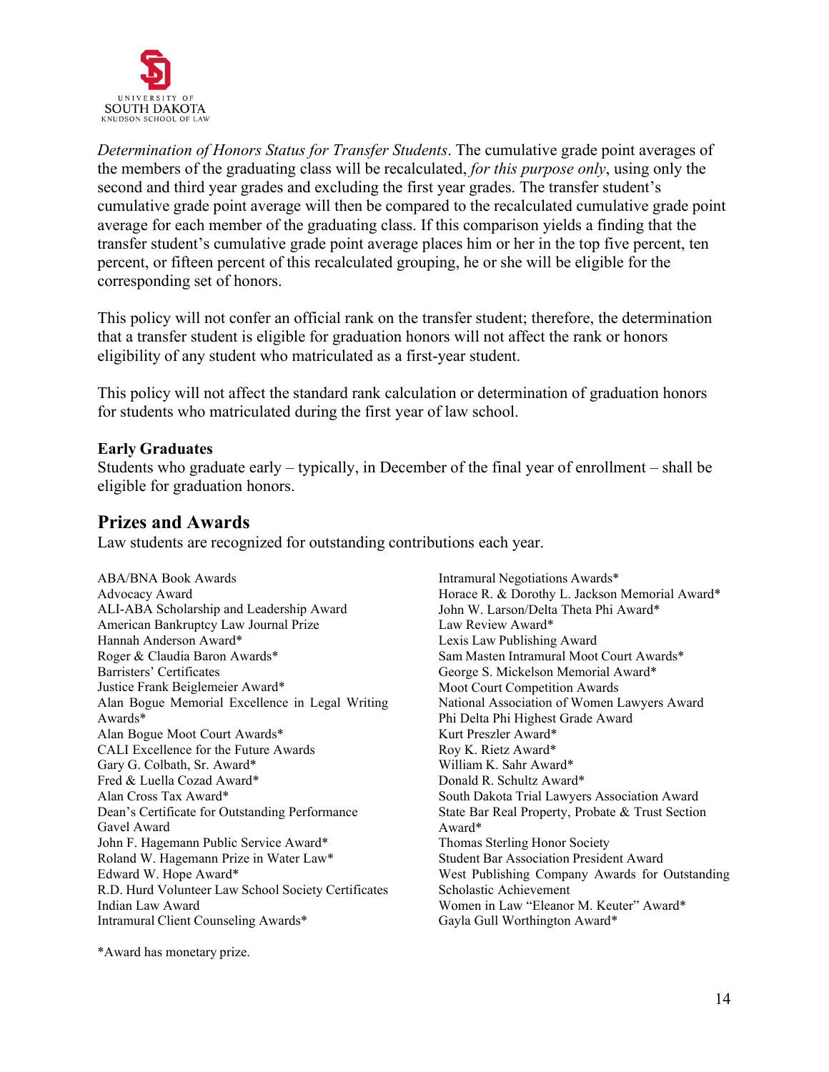

*Determination of Honors Status for Transfer Students*. The cumulative grade point averages of the members of the graduating class will be recalculated, *for this purpose only*, using only the second and third year grades and excluding the first year grades. The transfer student's cumulative grade point average will then be compared to the recalculated cumulative grade point average for each member of the graduating class. If this comparison yields a finding that the transfer student's cumulative grade point average places him or her in the top five percent, ten percent, or fifteen percent of this recalculated grouping, he or she will be eligible for the corresponding set of honors.

This policy will not confer an official rank on the transfer student; therefore, the determination that a transfer student is eligible for graduation honors will not affect the rank or honors eligibility of any student who matriculated as a first-year student.

This policy will not affect the standard rank calculation or determination of graduation honors for students who matriculated during the first year of law school.

#### <span id="page-13-0"></span>**Early Graduates**

Students who graduate early – typically, in December of the final year of enrollment – shall be eligible for graduation honors.

## <span id="page-13-1"></span>**Prizes and Awards**

Law students are recognized for outstanding contributions each year.

ABA/BNA Book Awards Advocacy Award ALI-ABA Scholarship and Leadership Award American Bankruptcy Law Journal Prize Hannah Anderson Award\* Roger & Claudia Baron Awards\* Barristers' Certificates Justice Frank Beiglemeier Award\* Alan Bogue Memorial Excellence in Legal Writing Awards\* Alan Bogue Moot Court Awards\* CALI Excellence for the Future Awards Gary G. Colbath, Sr. Award\* Fred & Luella Cozad Award\* Alan Cross Tax Award\* Dean's Certificate for Outstanding Performance Gavel Award John F. Hagemann Public Service Award\* Roland W. Hagemann Prize in Water Law\* Edward W. Hope Award\* R.D. Hurd Volunteer Law School Society Certificates Indian Law Award Intramural Client Counseling Awards\*

Intramural Negotiations Awards\* Horace R. & Dorothy L. Jackson Memorial Award\* John W. Larson/Delta Theta Phi Award\* Law Review Award\* Lexis Law Publishing Award Sam Masten Intramural Moot Court Awards\* George S. Mickelson Memorial Award\* Moot Court Competition Awards National Association of Women Lawyers Award Phi Delta Phi Highest Grade Award Kurt Preszler Award\* Roy K. Rietz Award\* William K. Sahr Award\* Donald R. Schultz Award\* South Dakota Trial Lawyers Association Award State Bar Real Property, Probate & Trust Section Award\* Thomas Sterling Honor Society Student Bar Association President Award West Publishing Company Awards for Outstanding Scholastic Achievement Women in Law "Eleanor M. Keuter" Award\* Gayla Gull Worthington Award\*

\*Award has monetary prize.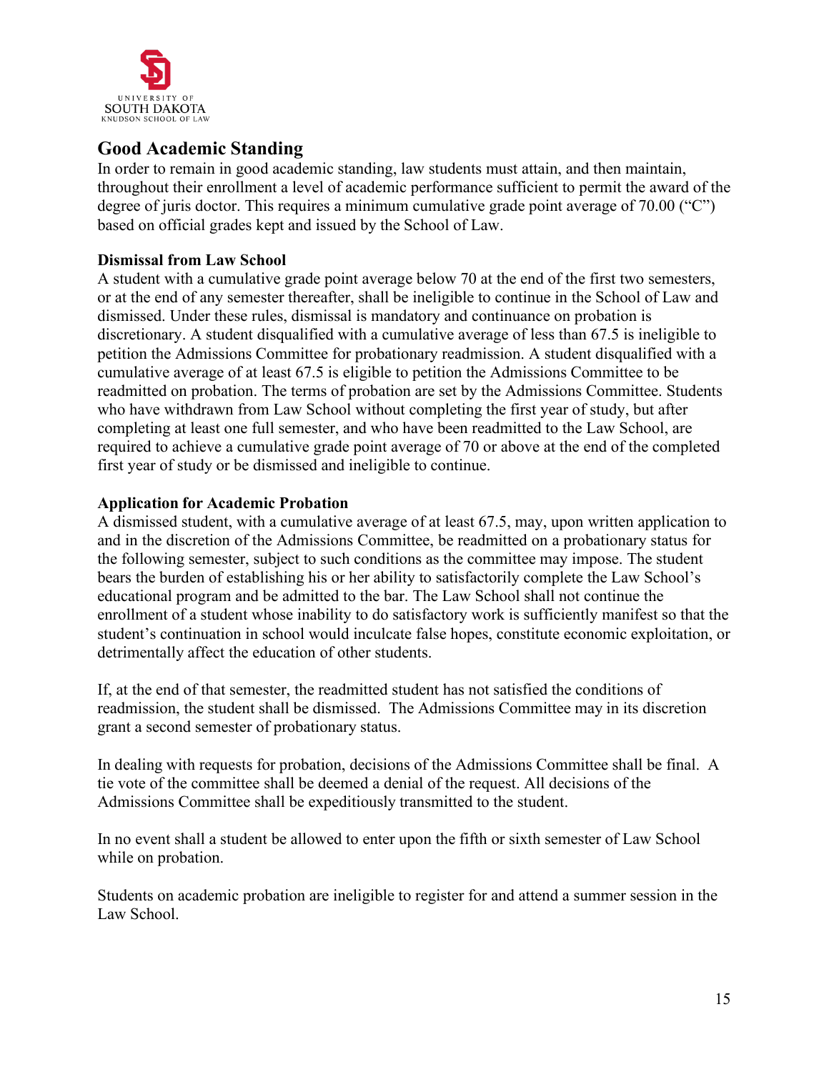

# <span id="page-14-0"></span>**Good Academic Standing**

In order to remain in good academic standing, law students must attain, and then maintain, throughout their enrollment a level of academic performance sufficient to permit the award of the degree of juris doctor. This requires a minimum cumulative grade point average of 70.00 ("C") based on official grades kept and issued by the School of Law.

### <span id="page-14-1"></span>**Dismissal from Law School**

A student with a cumulative grade point average below 70 at the end of the first two semesters, or at the end of any semester thereafter, shall be ineligible to continue in the School of Law and dismissed. Under these rules, dismissal is mandatory and continuance on probation is discretionary. A student disqualified with a cumulative average of less than 67.5 is ineligible to petition the Admissions Committee for probationary readmission. A student disqualified with a cumulative average of at least 67.5 is eligible to petition the Admissions Committee to be readmitted on probation. The terms of probation are set by the Admissions Committee. Students who have withdrawn from Law School without completing the first year of study, but after completing at least one full semester, and who have been readmitted to the Law School, are required to achieve a cumulative grade point average of 70 or above at the end of the completed first year of study or be dismissed and ineligible to continue.

### <span id="page-14-2"></span>**Application for Academic Probation**

A dismissed student, with a cumulative average of at least 67.5, may, upon written application to and in the discretion of the Admissions Committee, be readmitted on a probationary status for the following semester, subject to such conditions as the committee may impose. The student bears the burden of establishing his or her ability to satisfactorily complete the Law School's educational program and be admitted to the bar. The Law School shall not continue the enrollment of a student whose inability to do satisfactory work is sufficiently manifest so that the student's continuation in school would inculcate false hopes, constitute economic exploitation, or detrimentally affect the education of other students.

If, at the end of that semester, the readmitted student has not satisfied the conditions of readmission, the student shall be dismissed. The Admissions Committee may in its discretion grant a second semester of probationary status.

In dealing with requests for probation, decisions of the Admissions Committee shall be final. A tie vote of the committee shall be deemed a denial of the request. All decisions of the Admissions Committee shall be expeditiously transmitted to the student.

In no event shall a student be allowed to enter upon the fifth or sixth semester of Law School while on probation.

Students on academic probation are ineligible to register for and attend a summer session in the Law School.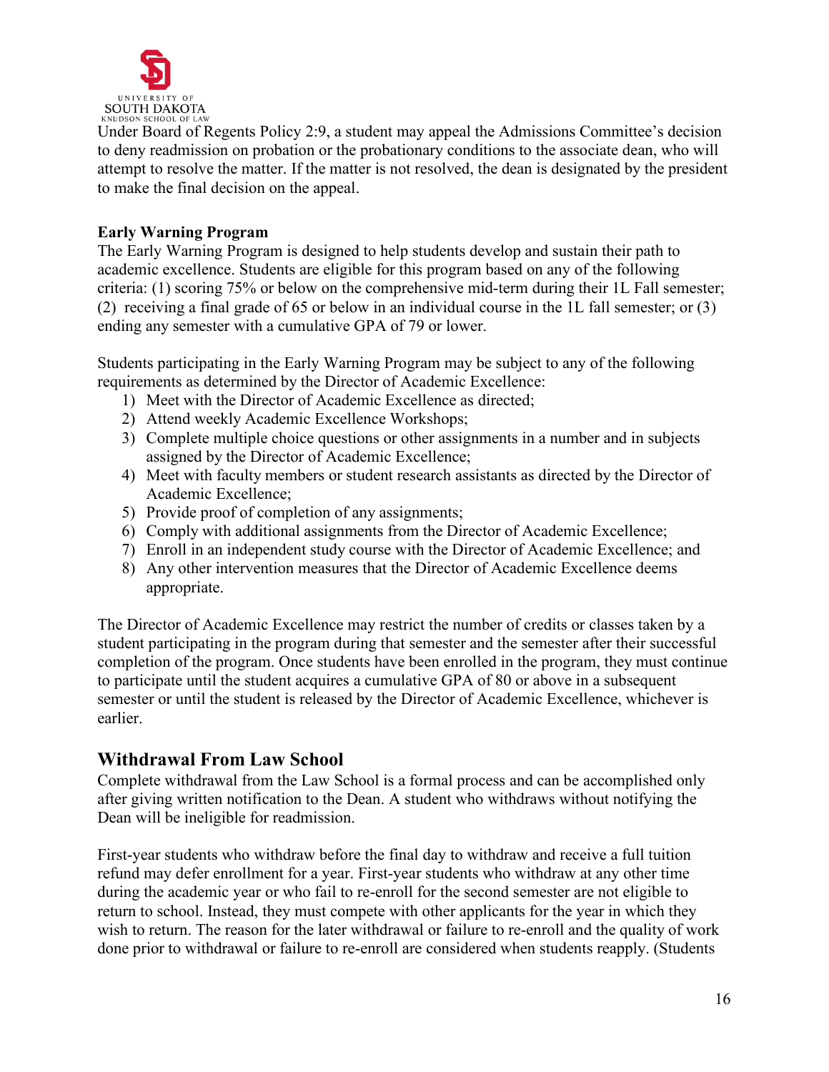

Under Board of Regents Policy 2:9, a student may appeal the Admissions Committee's decision to deny readmission on probation or the probationary conditions to the associate dean, who will attempt to resolve the matter. If the matter is not resolved, the dean is designated by the president to make the final decision on the appeal.

### <span id="page-15-0"></span>**Early Warning Program**

The Early Warning Program is designed to help students develop and sustain their path to academic excellence. Students are eligible for this program based on any of the following criteria: (1) scoring 75% or below on the comprehensive mid-term during their 1L Fall semester; (2) receiving a final grade of 65 or below in an individual course in the 1L fall semester; or (3) ending any semester with a cumulative GPA of 79 or lower.

Students participating in the Early Warning Program may be subject to any of the following requirements as determined by the Director of Academic Excellence:

- 1) Meet with the Director of Academic Excellence as directed;
- 2) Attend weekly Academic Excellence Workshops;
- 3) Complete multiple choice questions or other assignments in a number and in subjects assigned by the Director of Academic Excellence;
- 4) Meet with faculty members or student research assistants as directed by the Director of Academic Excellence;
- 5) Provide proof of completion of any assignments;
- 6) Comply with additional assignments from the Director of Academic Excellence;
- 7) Enroll in an independent study course with the Director of Academic Excellence; and
- 8) Any other intervention measures that the Director of Academic Excellence deems appropriate.

The Director of Academic Excellence may restrict the number of credits or classes taken by a student participating in the program during that semester and the semester after their successful completion of the program. Once students have been enrolled in the program, they must continue to participate until the student acquires a cumulative GPA of 80 or above in a subsequent semester or until the student is released by the Director of Academic Excellence, whichever is earlier.

## <span id="page-15-1"></span>**Withdrawal From Law School**

Complete withdrawal from the Law School is a formal process and can be accomplished only after giving written notification to the Dean. A student who withdraws without notifying the Dean will be ineligible for readmission.

First-year students who withdraw before the final day to withdraw and receive a full tuition refund may defer enrollment for a year. First-year students who withdraw at any other time during the academic year or who fail to re-enroll for the second semester are not eligible to return to school. Instead, they must compete with other applicants for the year in which they wish to return. The reason for the later withdrawal or failure to re-enroll and the quality of work done prior to withdrawal or failure to re-enroll are considered when students reapply. (Students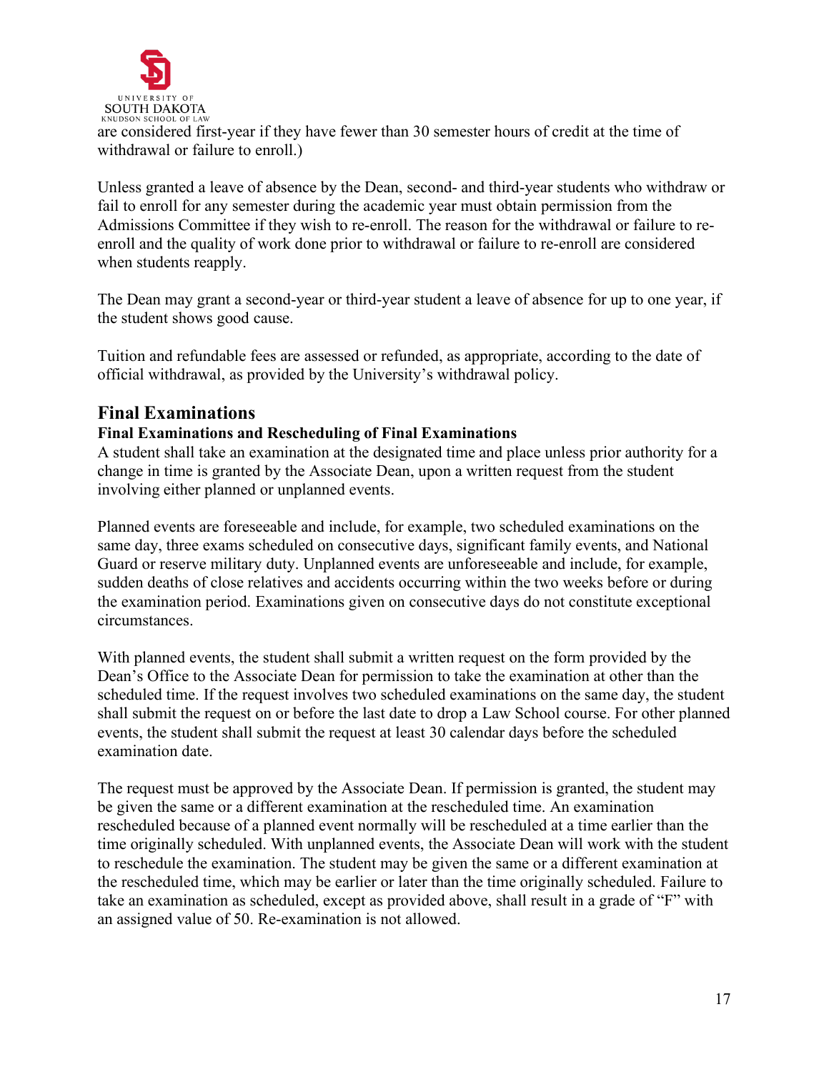

are considered first-year if they have fewer than 30 semester hours of credit at the time of withdrawal or failure to enroll.)

Unless granted a leave of absence by the Dean, second- and third-year students who withdraw or fail to enroll for any semester during the academic year must obtain permission from the Admissions Committee if they wish to re-enroll. The reason for the withdrawal or failure to reenroll and the quality of work done prior to withdrawal or failure to re-enroll are considered when students reapply.

The Dean may grant a second-year or third-year student a leave of absence for up to one year, if the student shows good cause.

Tuition and refundable fees are assessed or refunded, as appropriate, according to the date of official withdrawal, as provided by the University's withdrawal policy.

## <span id="page-16-0"></span>**Final Examinations**

## **Final Examinations and Rescheduling of Final Examinations**

A student shall take an examination at the designated time and place unless prior authority for a change in time is granted by the Associate Dean, upon a written request from the student involving either planned or unplanned events.

Planned events are foreseeable and include, for example, two scheduled examinations on the same day, three exams scheduled on consecutive days, significant family events, and National Guard or reserve military duty. Unplanned events are unforeseeable and include, for example, sudden deaths of close relatives and accidents occurring within the two weeks before or during the examination period. Examinations given on consecutive days do not constitute exceptional circumstances.

With planned events, the student shall submit a written request on the form provided by the Dean's Office to the Associate Dean for permission to take the examination at other than the scheduled time. If the request involves two scheduled examinations on the same day, the student shall submit the request on or before the last date to drop a Law School course. For other planned events, the student shall submit the request at least 30 calendar days before the scheduled examination date.

The request must be approved by the Associate Dean. If permission is granted, the student may be given the same or a different examination at the rescheduled time. An examination rescheduled because of a planned event normally will be rescheduled at a time earlier than the time originally scheduled. With unplanned events, the Associate Dean will work with the student to reschedule the examination. The student may be given the same or a different examination at the rescheduled time, which may be earlier or later than the time originally scheduled. Failure to take an examination as scheduled, except as provided above, shall result in a grade of "F" with an assigned value of 50. Re-examination is not allowed.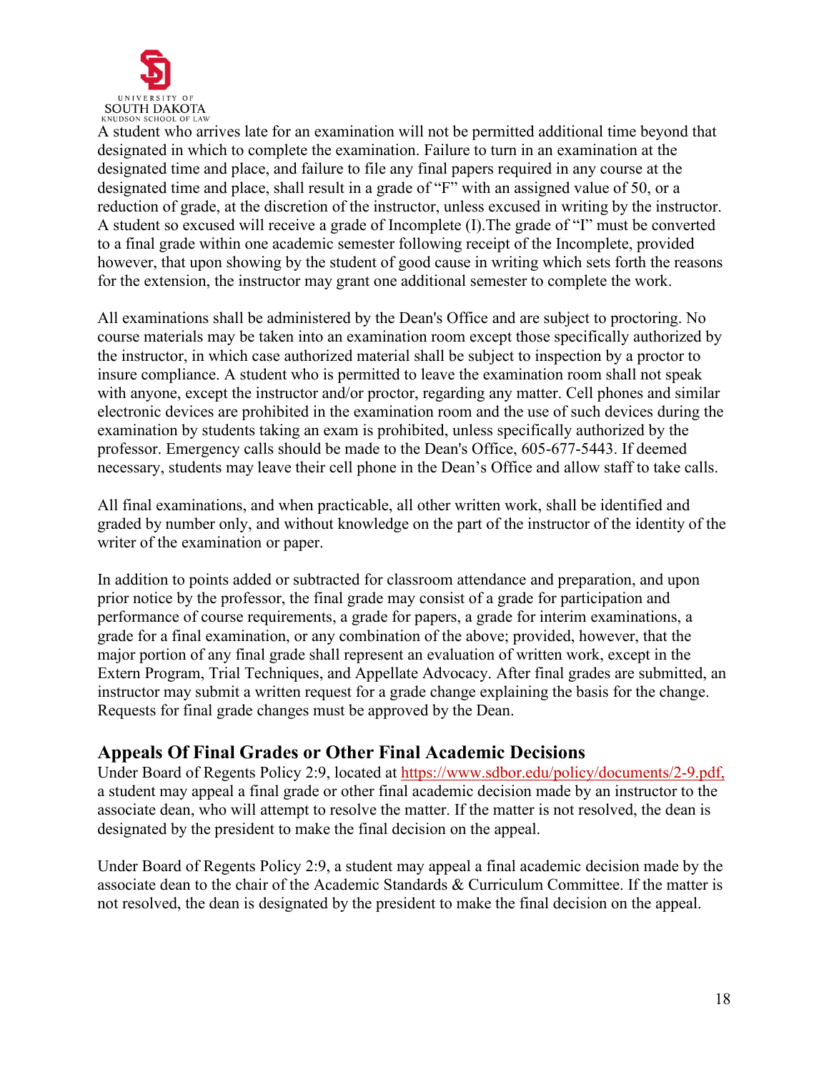

A student who arrives late for an examination will not be permitted additional time beyond that designated in which to complete the examination. Failure to turn in an examination at the designated time and place, and failure to file any final papers required in any course at the designated time and place, shall result in a grade of "F" with an assigned value of 50, or a reduction of grade, at the discretion of the instructor, unless excused in writing by the instructor. A student so excused will receive a grade of Incomplete (I).The grade of "I" must be converted to a final grade within one academic semester following receipt of the Incomplete, provided however, that upon showing by the student of good cause in writing which sets forth the reasons for the extension, the instructor may grant one additional semester to complete the work.

All examinations shall be administered by the Dean's Office and are subject to proctoring. No course materials may be taken into an examination room except those specifically authorized by the instructor, in which case authorized material shall be subject to inspection by a proctor to insure compliance. A student who is permitted to leave the examination room shall not speak with anyone, except the instructor and/or proctor, regarding any matter. Cell phones and similar electronic devices are prohibited in the examination room and the use of such devices during the examination by students taking an exam is prohibited, unless specifically authorized by the professor. Emergency calls should be made to the Dean's Office, 605-677-5443. If deemed necessary, students may leave their cell phone in the Dean's Office and allow staff to take calls.

All final examinations, and when practicable, all other written work, shall be identified and graded by number only, and without knowledge on the part of the instructor of the identity of the writer of the examination or paper.

In addition to points added or subtracted for classroom attendance and preparation, and upon prior notice by the professor, the final grade may consist of a grade for participation and performance of course requirements, a grade for papers, a grade for interim examinations, a grade for a final examination, or any combination of the above; provided, however, that the major portion of any final grade shall represent an evaluation of written work, except in the Extern Program, Trial Techniques, and Appellate Advocacy. After final grades are submitted, an instructor may submit a written request for a grade change explaining the basis for the change. Requests for final grade changes must be approved by the Dean.

## <span id="page-17-0"></span>**Appeals Of Final Grades or Other Final Academic Decisions**

Under Board of Regents Policy 2:9, located at<https://www.sdbor.edu/policy/documents/2-9.pdf,> a student may appeal a final grade or other final academic decision made by an instructor to the associate dean, who will attempt to resolve the matter. If the matter is not resolved, the dean is designated by the president to make the final decision on the appeal.

Under Board of Regents Policy 2:9, a student may appeal a final academic decision made by the associate dean to the chair of the Academic Standards & Curriculum Committee. If the matter is not resolved, the dean is designated by the president to make the final decision on the appeal.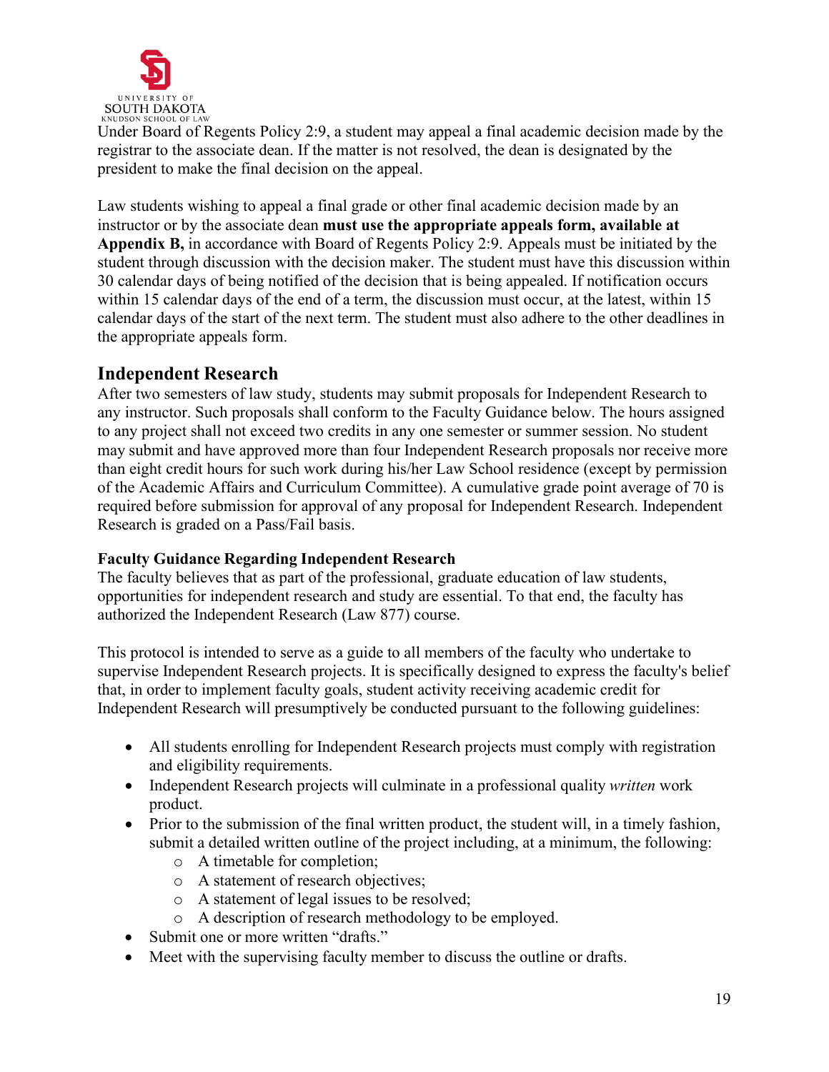

Under Board of Regents Policy 2:9, a student may appeal a final academic decision made by the registrar to the associate dean. If the matter is not resolved, the dean is designated by the president to make the final decision on the appeal.

Law students wishing to appeal a final grade or other final academic decision made by an instructor or by the associate dean **must use the appropriate appeals form, available at Appendix B,** in accordance with Board of Regents Policy 2:9. Appeals must be initiated by the student through discussion with the decision maker. The student must have this discussion within 30 calendar days of being notified of the decision that is being appealed. If notification occurs within 15 calendar days of the end of a term, the discussion must occur, at the latest, within 15 calendar days of the start of the next term. The student must also adhere to the other deadlines in the appropriate appeals form.

## <span id="page-18-0"></span>**Independent Research**

After two semesters of law study, students may submit proposals for Independent Research to any instructor. Such proposals shall conform to the Faculty Guidance below. The hours assigned to any project shall not exceed two credits in any one semester or summer session. No student may submit and have approved more than four Independent Research proposals nor receive more than eight credit hours for such work during his/her Law School residence (except by permission of the Academic Affairs and Curriculum Committee). A cumulative grade point average of 70 is required before submission for approval of any proposal for Independent Research. Independent Research is graded on a Pass/Fail basis.

## <span id="page-18-1"></span>**Faculty Guidance Regarding Independent Research**

The faculty believes that as part of the professional, graduate education of law students, opportunities for independent research and study are essential. To that end, the faculty has authorized the Independent Research (Law 877) course.

This protocol is intended to serve as a guide to all members of the faculty who undertake to supervise Independent Research projects. It is specifically designed to express the faculty's belief that, in order to implement faculty goals, student activity receiving academic credit for Independent Research will presumptively be conducted pursuant to the following guidelines:

- All students enrolling for Independent Research projects must comply with registration and eligibility requirements.
- Independent Research projects will culminate in a professional quality *written* work product.
- Prior to the submission of the final written product, the student will, in a timely fashion, submit a detailed written outline of the project including, at a minimum, the following:
	- o A timetable for completion;
	- o A statement of research objectives;
	- o A statement of legal issues to be resolved;
	- o A description of research methodology to be employed.
- Submit one or more written "drafts."
- Meet with the supervising faculty member to discuss the outline or drafts.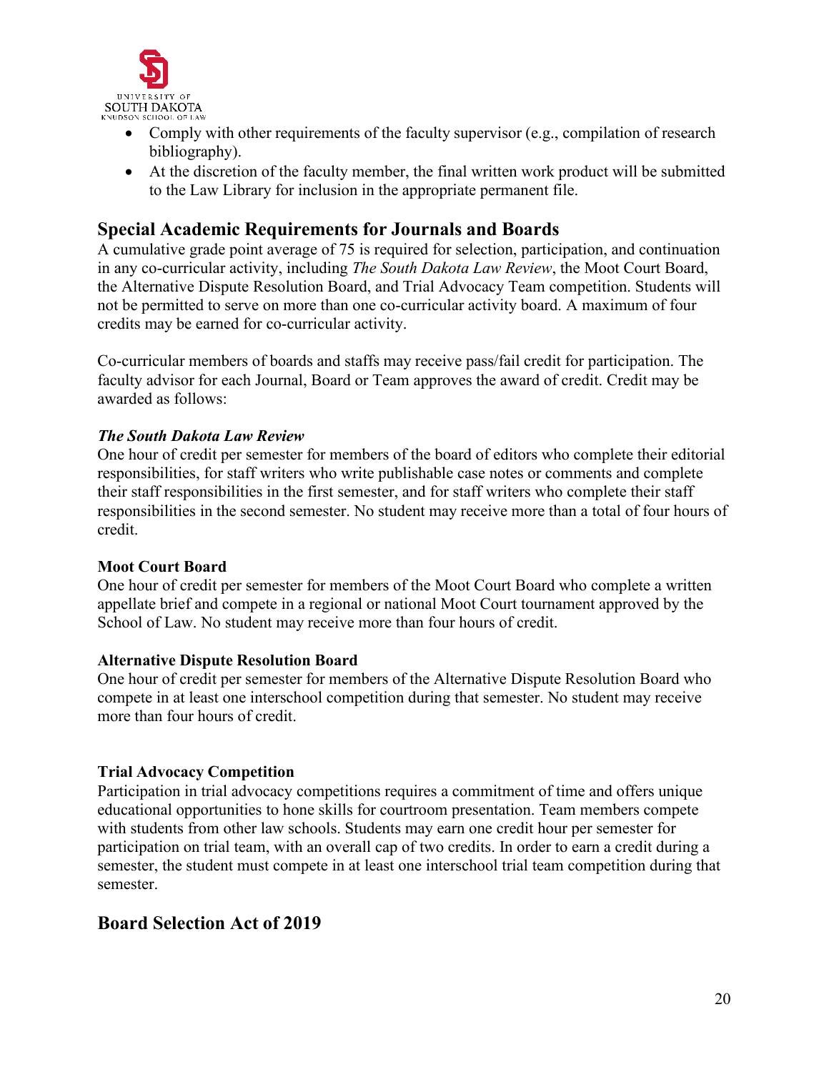

- Comply with other requirements of the faculty supervisor (e.g., compilation of research bibliography).
- At the discretion of the faculty member, the final written work product will be submitted to the Law Library for inclusion in the appropriate permanent file.

## <span id="page-19-0"></span>**Special Academic Requirements for Journals and Boards**

A cumulative grade point average of 75 is required for selection, participation, and continuation in any co-curricular activity, including *The South Dakota Law Review*, the Moot Court Board, the Alternative Dispute Resolution Board, and Trial Advocacy Team competition. Students will not be permitted to serve on more than one co-curricular activity board. A maximum of four credits may be earned for co-curricular activity.

Co-curricular members of boards and staffs may receive pass/fail credit for participation. The faculty advisor for each Journal, Board or Team approves the award of credit. Credit may be awarded as follows:

### <span id="page-19-1"></span>*The South Dakota Law Review*

One hour of credit per semester for members of the board of editors who complete their editorial responsibilities, for staff writers who write publishable case notes or comments and complete their staff responsibilities in the first semester, and for staff writers who complete their staff responsibilities in the second semester. No student may receive more than a total of four hours of credit.

### <span id="page-19-2"></span>**Moot Court Board**

One hour of credit per semester for members of the Moot Court Board who complete a written appellate brief and compete in a regional or national Moot Court tournament approved by the School of Law. No student may receive more than four hours of credit.

### <span id="page-19-3"></span>**Alternative Dispute Resolution Board**

One hour of credit per semester for members of the Alternative Dispute Resolution Board who compete in at least one interschool competition during that semester. No student may receive more than four hours of credit.

### <span id="page-19-4"></span>**Trial Advocacy Competition**

Participation in trial advocacy competitions requires a commitment of time and offers unique educational opportunities to hone skills for courtroom presentation. Team members compete with students from other law schools. Students may earn one credit hour per semester for participation on trial team, with an overall cap of two credits. In order to earn a credit during a semester, the student must compete in at least one interschool trial team competition during that semester.

## **Board Selection Act of 2019**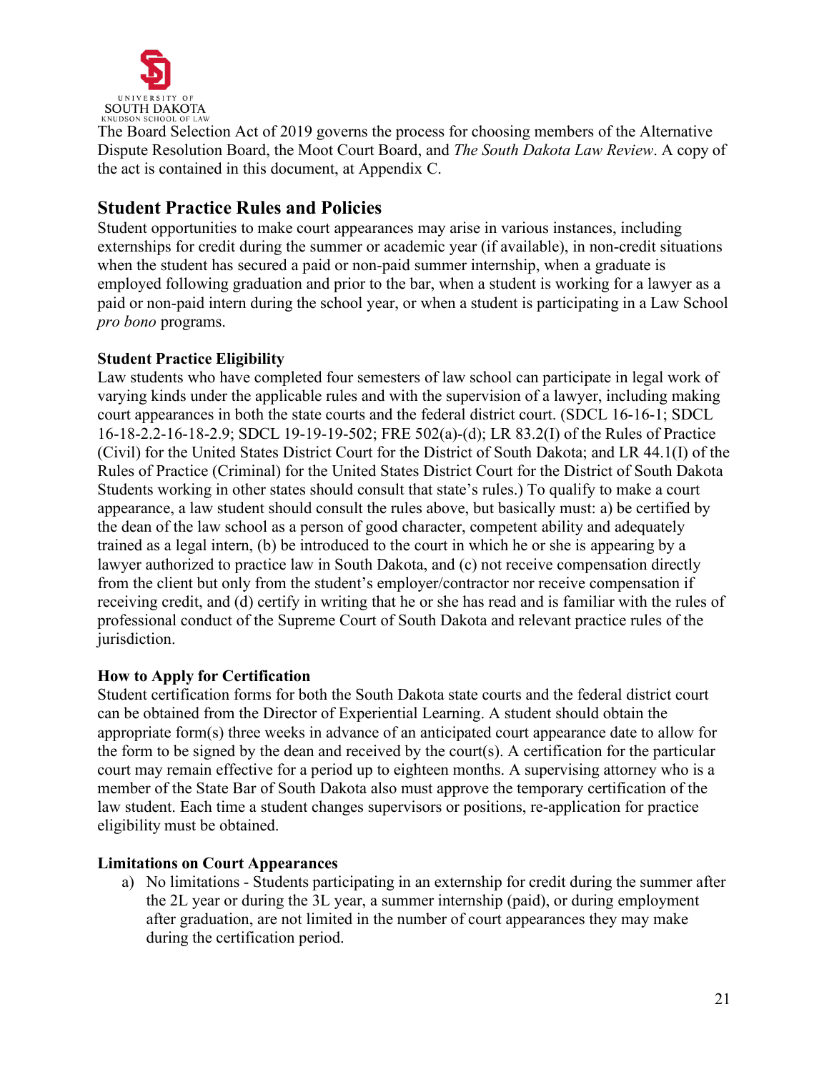

The Board Selection Act of 2019 governs the process for choosing members of the Alternative Dispute Resolution Board, the Moot Court Board, and *The South Dakota Law Review*. A copy of the act is contained in this document, at Appendix C.

## <span id="page-20-0"></span>**Student Practice Rules and Policies**

Student opportunities to make court appearances may arise in various instances, including externships for credit during the summer or academic year (if available), in non-credit situations when the student has secured a paid or non-paid summer internship, when a graduate is employed following graduation and prior to the bar, when a student is working for a lawyer as a paid or non-paid intern during the school year, or when a student is participating in a Law School *pro bono* programs.

## <span id="page-20-1"></span>**Student Practice Eligibility**

Law students who have completed four semesters of law school can participate in legal work of varying kinds under the applicable rules and with the supervision of a lawyer, including making court appearances in both the state courts and the federal district court. (SDCL 16-16-1; SDCL 16-18-2.2-16-18-2.9; SDCL 19-19-19-502; FRE 502(a)-(d); LR 83.2(I) of the Rules of Practice (Civil) for the United States District Court for the District of South Dakota; and LR 44.1(I) of the Rules of Practice (Criminal) for the United States District Court for the District of South Dakota Students working in other states should consult that state's rules.) To qualify to make a court appearance, a law student should consult the rules above, but basically must: a) be certified by the dean of the law school as a person of good character, competent ability and adequately trained as a legal intern, (b) be introduced to the court in which he or she is appearing by a lawyer authorized to practice law in South Dakota, and (c) not receive compensation directly from the client but only from the student's employer/contractor nor receive compensation if receiving credit, and (d) certify in writing that he or she has read and is familiar with the rules of professional conduct of the Supreme Court of South Dakota and relevant practice rules of the jurisdiction.

## <span id="page-20-2"></span>**How to Apply for Certification**

Student certification forms for both the South Dakota state courts and the federal district court can be obtained from the Director of Experiential Learning. A student should obtain the appropriate form(s) three weeks in advance of an anticipated court appearance date to allow for the form to be signed by the dean and received by the court(s). A certification for the particular court may remain effective for a period up to eighteen months. A supervising attorney who is a member of the State Bar of South Dakota also must approve the temporary certification of the law student. Each time a student changes supervisors or positions, re-application for practice eligibility must be obtained.

### <span id="page-20-3"></span>**Limitations on Court Appearances**

a) No limitations - Students participating in an externship for credit during the summer after the 2L year or during the 3L year, a summer internship (paid), or during employment after graduation, are not limited in the number of court appearances they may make during the certification period.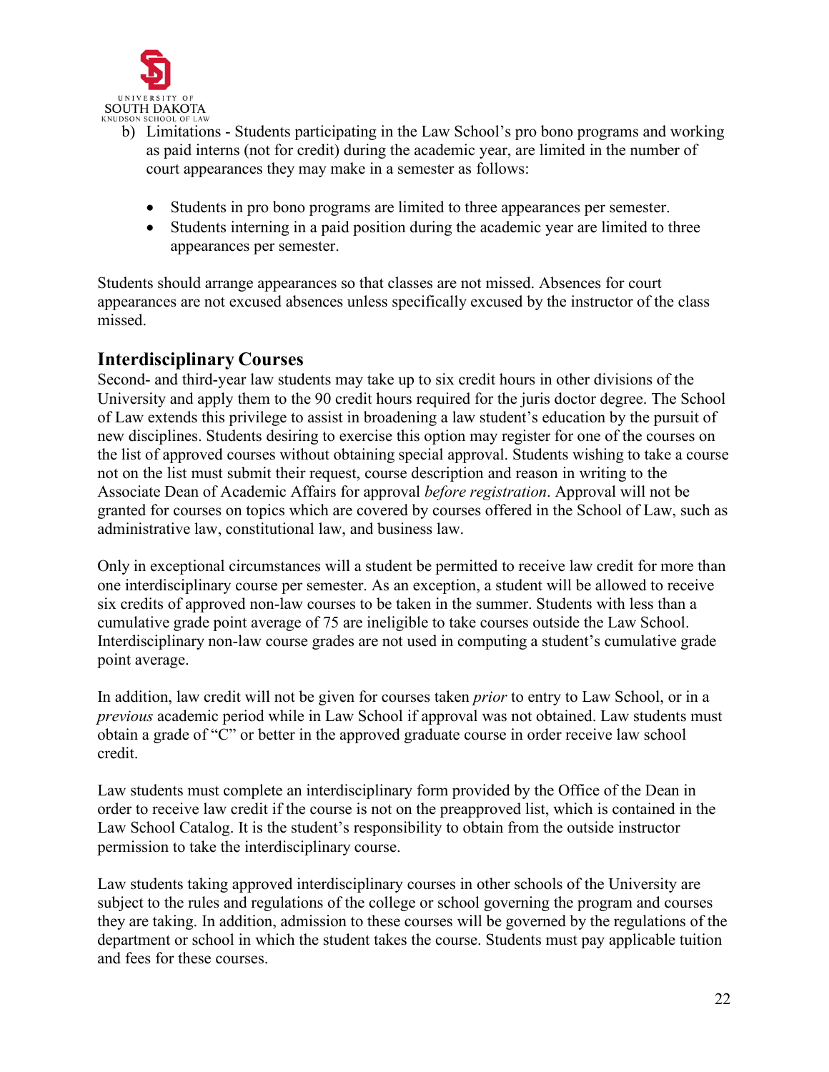

- b) Limitations Students participating in the Law School's pro bono programs and working as paid interns (not for credit) during the academic year, are limited in the number of court appearances they may make in a semester as follows:
	- Students in pro bono programs are limited to three appearances per semester.
	- Students interning in a paid position during the academic year are limited to three appearances per semester.

Students should arrange appearances so that classes are not missed. Absences for court appearances are not excused absences unless specifically excused by the instructor of the class missed.

## <span id="page-21-0"></span>**Interdisciplinary Courses**

Second- and third-year law students may take up to six credit hours in other divisions of the University and apply them to the 90 credit hours required for the juris doctor degree. The School of Law extends this privilege to assist in broadening a law student's education by the pursuit of new disciplines. Students desiring to exercise this option may register for one of the courses on the list of approved courses without obtaining special approval. Students wishing to take a course not on the list must submit their request, course description and reason in writing to the Associate Dean of Academic Affairs for approval *before registration*. Approval will not be granted for courses on topics which are covered by courses offered in the School of Law, such as administrative law, constitutional law, and business law.

Only in exceptional circumstances will a student be permitted to receive law credit for more than one interdisciplinary course per semester. As an exception, a student will be allowed to receive six credits of approved non-law courses to be taken in the summer. Students with less than a cumulative grade point average of 75 are ineligible to take courses outside the Law School. Interdisciplinary non-law course grades are not used in computing a student's cumulative grade point average.

In addition, law credit will not be given for courses taken *prior* to entry to Law School, or in a *previous* academic period while in Law School if approval was not obtained. Law students must obtain a grade of "C" or better in the approved graduate course in order receive law school credit.

Law students must complete an interdisciplinary form provided by the Office of the Dean in order to receive law credit if the course is not on the preapproved list, which is contained in the Law School Catalog. It is the student's responsibility to obtain from the outside instructor permission to take the interdisciplinary course.

Law students taking approved interdisciplinary courses in other schools of the University are subject to the rules and regulations of the college or school governing the program and courses they are taking. In addition, admission to these courses will be governed by the regulations of the department or school in which the student takes the course. Students must pay applicable tuition and fees for these courses.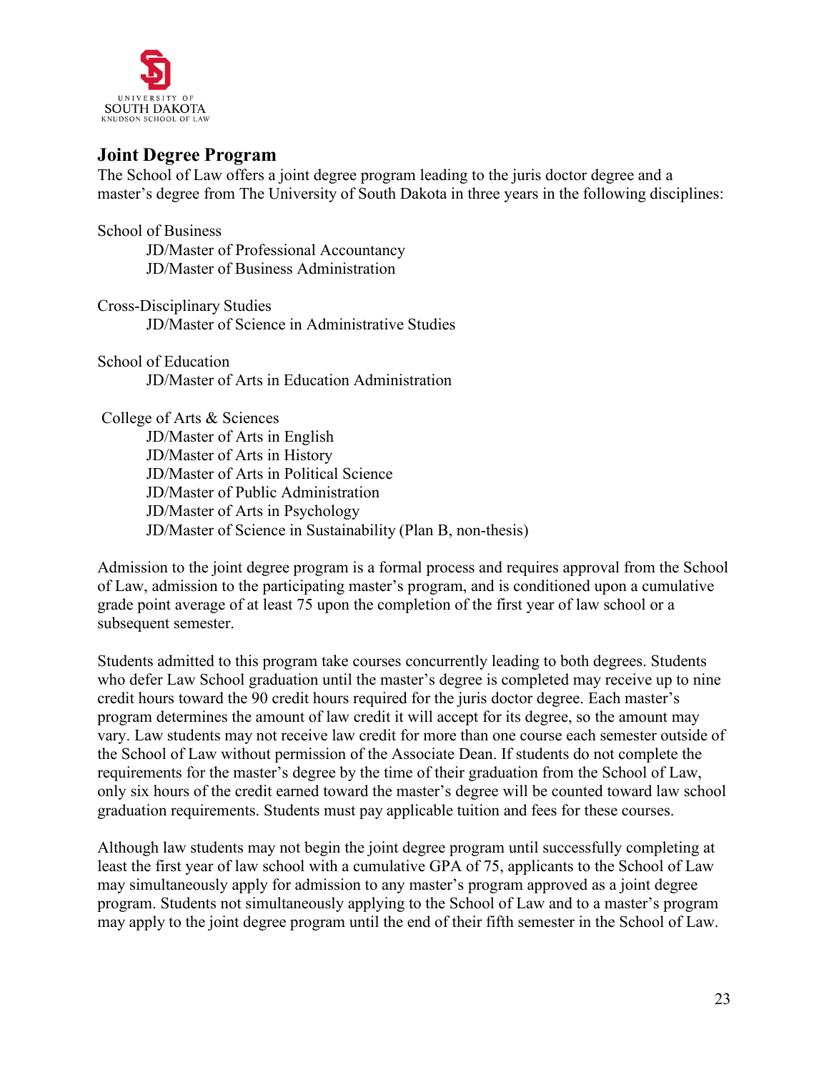

## <span id="page-22-0"></span>**Joint Degree Program**

The School of Law offers a joint degree program leading to the juris doctor degree and a master's degree from The University of South Dakota in three years in the following disciplines:

School of Business JD/Master of Professional Accountancy JD/Master of Business Administration

Cross-Disciplinary Studies JD/Master of Science in Administrative Studies

School of Education JD/Master of Arts in Education Administration

College of Arts & Sciences JD/Master of Arts in English JD/Master of Arts in History JD/Master of Arts in Political Science JD/Master of Public Administration JD/Master of Arts in Psychology JD/Master of Science in Sustainability (Plan B, non-thesis)

Admission to the joint degree program is a formal process and requires approval from the School of Law, admission to the participating master's program, and is conditioned upon a cumulative grade point average of at least 75 upon the completion of the first year of law school or a subsequent semester.

Students admitted to this program take courses concurrently leading to both degrees. Students who defer Law School graduation until the master's degree is completed may receive up to nine credit hours toward the 90 credit hours required for the juris doctor degree. Each master's program determines the amount of law credit it will accept for its degree, so the amount may vary. Law students may not receive law credit for more than one course each semester outside of the School of Law without permission of the Associate Dean. If students do not complete the requirements for the master's degree by the time of their graduation from the School of Law, only six hours of the credit earned toward the master's degree will be counted toward law school graduation requirements. Students must pay applicable tuition and fees for these courses.

Although law students may not begin the joint degree program until successfully completing at least the first year of law school with a cumulative GPA of 75, applicants to the School of Law may simultaneously apply for admission to any master's program approved as a joint degree program. Students not simultaneously applying to the School of Law and to a master's program may apply to the joint degree program until the end of their fifth semester in the School of Law.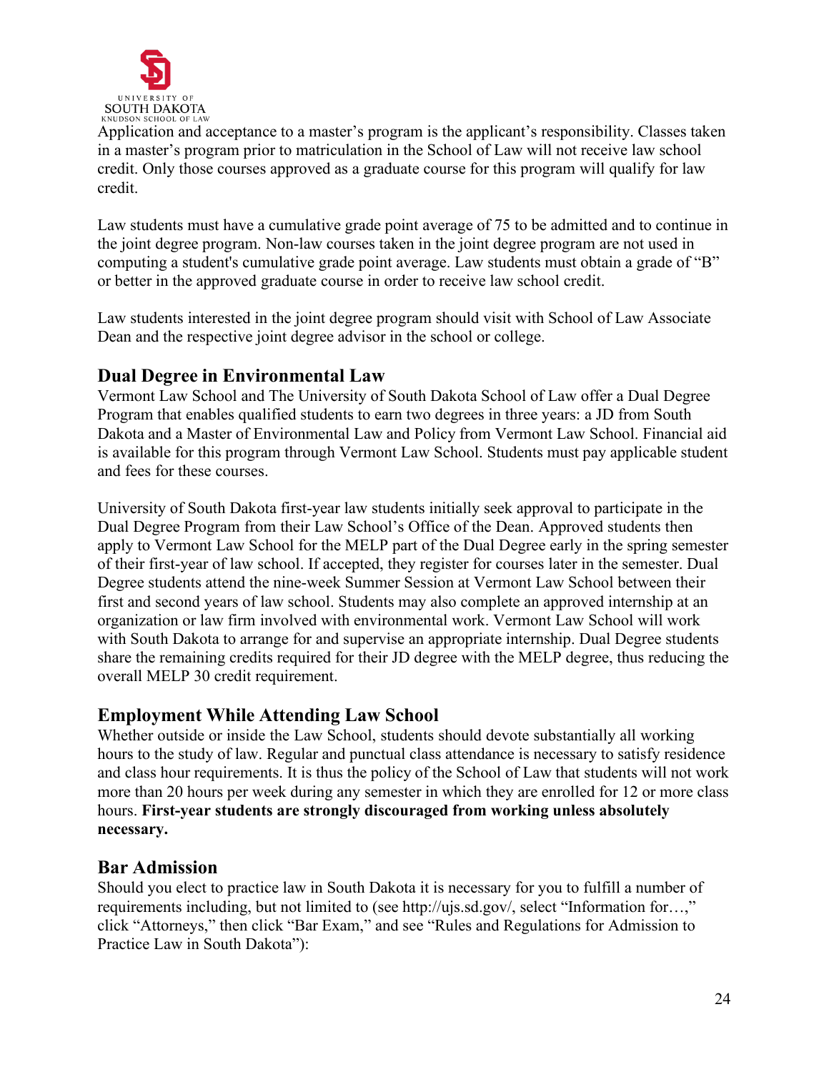

Application and acceptance to a master's program is the applicant's responsibility. Classes taken in a master's program prior to matriculation in the School of Law will not receive law school credit. Only those courses approved as a graduate course for this program will qualify for law credit.

Law students must have a cumulative grade point average of 75 to be admitted and to continue in the joint degree program. Non-law courses taken in the joint degree program are not used in computing a student's cumulative grade point average. Law students must obtain a grade of "B" or better in the approved graduate course in order to receive law school credit.

Law students interested in the joint degree program should visit with School of Law Associate Dean and the respective joint degree advisor in the school or college.

## <span id="page-23-0"></span>**Dual Degree in Environmental Law**

Vermont Law School and The University of South Dakota School of Law offer a Dual Degree Program that enables qualified students to earn two degrees in three years: a JD from South Dakota and a Master of Environmental Law and Policy from Vermont Law School. Financial aid is available for this program through Vermont Law School. Students must pay applicable student and fees for these courses.

University of South Dakota first-year law students initially seek approval to participate in the Dual Degree Program from their Law School's Office of the Dean. Approved students then apply to Vermont Law School for the MELP part of the Dual Degree early in the spring semester of their first-year of law school. If accepted, they register for courses later in the semester. Dual Degree students attend the nine-week Summer Session at Vermont Law School between their first and second years of law school. Students may also complete an approved internship at an organization or law firm involved with environmental work. Vermont Law School will work with South Dakota to arrange for and supervise an appropriate internship. Dual Degree students share the remaining credits required for their JD degree with the MELP degree, thus reducing the overall MELP 30 credit requirement.

## <span id="page-23-1"></span>**Employment While Attending Law School**

Whether outside or inside the Law School, students should devote substantially all working hours to the study of law. Regular and punctual class attendance is necessary to satisfy residence and class hour requirements. It is thus the policy of the School of Law that students will not work more than 20 hours per week during any semester in which they are enrolled for 12 or more class hours. **First-year students are strongly discouraged from working unless absolutely necessary.**

## <span id="page-23-2"></span>**Bar Admission**

Should you elect to practice law in South Dakota it is necessary for you to fulfill a number of requirements including, but not limited to (see [http://ujs.sd.gov/,](http://ujs.sd.gov/) select "Information for…," click "Attorneys," then click "Bar Exam," and see "Rules and Regulations for Admission to Practice Law in South Dakota"):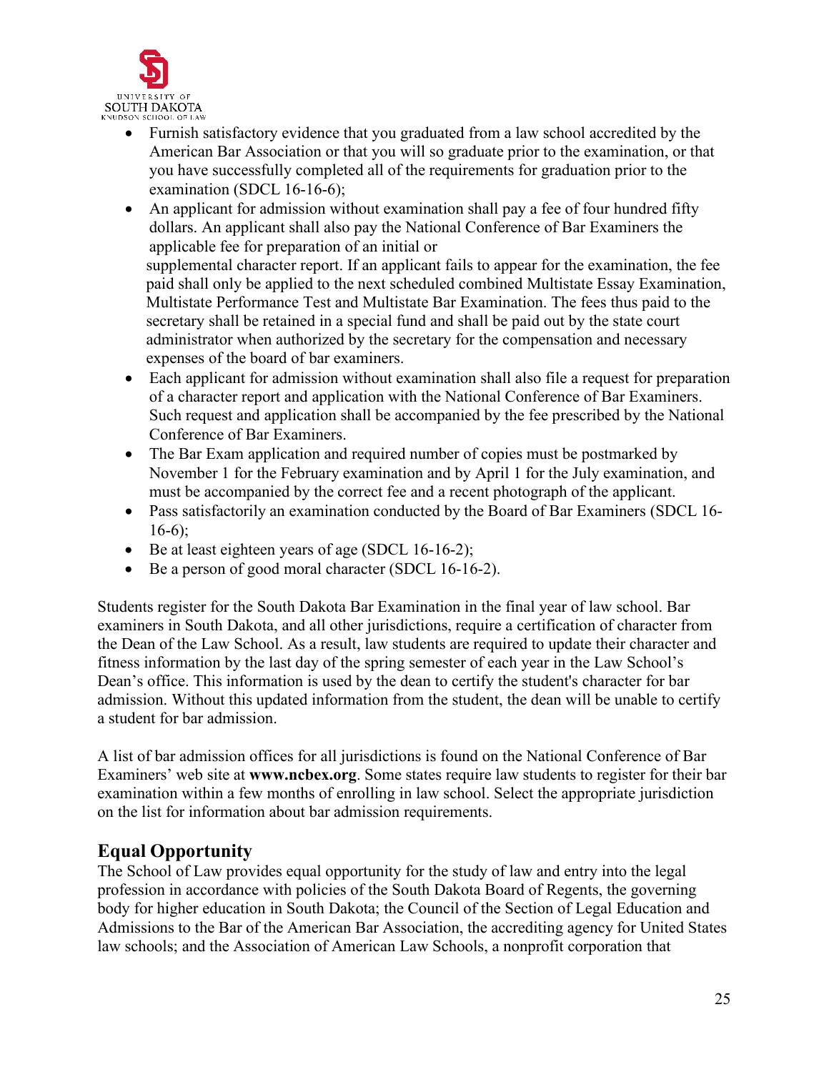

- Furnish satisfactory evidence that you graduated from a law school accredited by the American Bar Association or that you will so graduate prior to the examination, or that you have successfully completed all of the requirements for graduation prior to the examination (SDCL 16-16-6);
- An applicant for admission without examination shall pay a fee of four hundred fifty dollars. An applicant shall also pay the National Conference of Bar Examiners the applicable fee for preparation of an initial or supplemental character report. If an applicant fails to appear for the examination, the fee paid shall only be applied to the next scheduled combined Multistate Essay Examination, Multistate Performance Test and Multistate Bar Examination. The fees thus paid to the secretary shall be retained in a special fund and shall be paid out by the state court administrator when authorized by the secretary for the compensation and necessary expenses of the board of bar examiners.
- Each applicant for admission without examination shall also file a request for preparation of a character report and application with the National Conference of Bar Examiners. Such request and application shall be accompanied by the fee prescribed by the National Conference of Bar Examiners.
- The Bar Exam application and required number of copies must be postmarked by November 1 for the February examination and by April 1 for the July examination, and must be accompanied by the correct fee and a recent photograph of the applicant.
- Pass satisfactorily an examination conducted by the Board of Bar Examiners (SDCL 16- 16-6);
- Be at least eighteen years of age (SDCL 16-16-2);
- Be a person of good moral character (SDCL 16-16-2).

Students register for the South Dakota Bar Examination in the final year of law school. Bar examiners in South Dakota, and all other jurisdictions, require a certification of character from the Dean of the Law School. As a result, law students are required to update their character and fitness information by the last day of the spring semester of each year in the Law School's Dean's office. This information is used by the dean to certify the student's character for bar admission. Without this updated information from the student, the dean will be unable to certify a student for bar admission.

A list of bar admission offices for all jurisdictions is found on the National Conference of Bar Examiners' web site at **[www.ncbex.org](http://www.ncbex.org/)**. Some states require law students to register for their bar examination within a few months of enrolling in law school. Select the appropriate jurisdiction on the list for information about bar admission requirements.

# <span id="page-24-0"></span>**Equal Opportunity**

The School of Law provides equal opportunity for the study of law and entry into the legal profession in accordance with policies of the South Dakota Board of Regents, the governing body for higher education in South Dakota; the Council of the Section of Legal Education and Admissions to the Bar of the American Bar Association, the accrediting agency for United States law schools; and the Association of American Law Schools, a nonprofit corporation that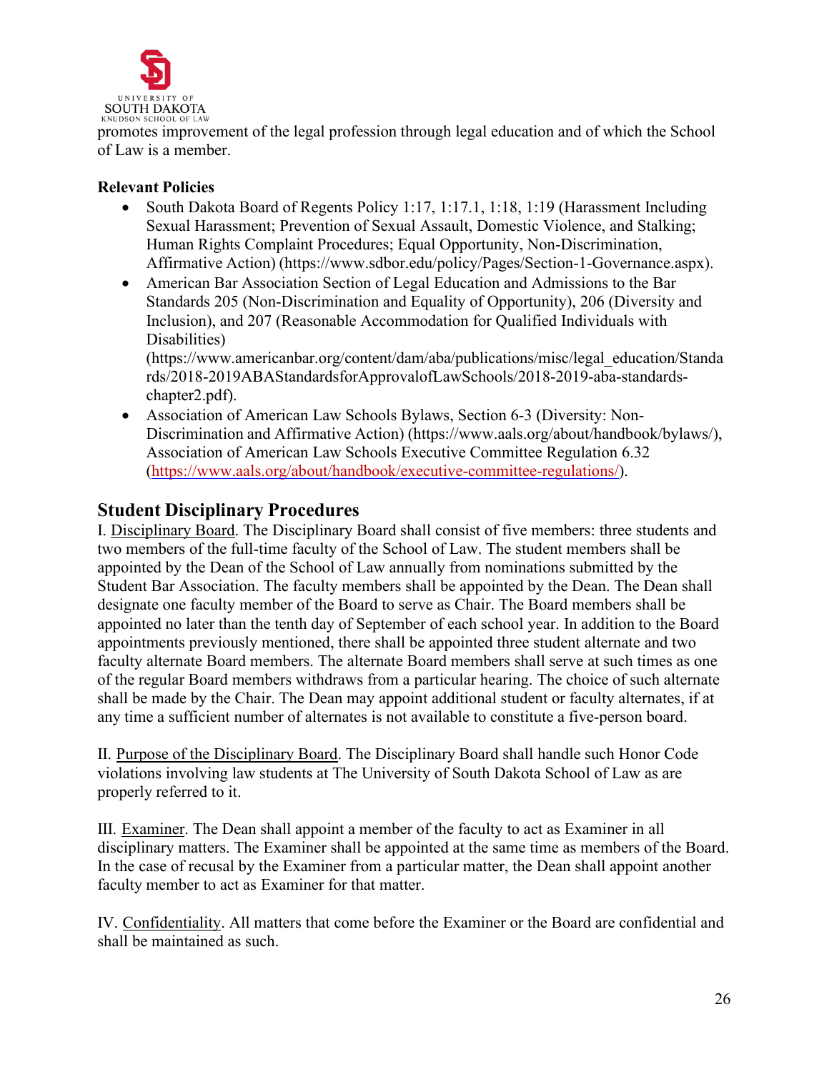

promotes improvement of the legal profession through legal education and of which the School of Law is a member.

## <span id="page-25-0"></span>**Relevant Policies**

- South Dakota Board of Regents Policy 1:17, 1:17, 1:18, 1:19 (Harassment Including Sexual Harassment; Prevention of Sexual Assault, Domestic Violence, and Stalking; Human Rights Complaint Procedures; Equal Opportunity, Non-Discrimination, Affirmative Action) (https:/[/www.sdbor.edu/policy/Pages/Section-1-Governance.aspx\).](http://www.sdbor.edu/policy/Pages/Section-1-Governance.aspx))
- American Bar Association Section of Legal Education and Admissions to the Bar Standards 205 (Non-Discrimination and Equality of Opportunity), 206 (Diversity and Inclusion), and 207 (Reasonable Accommodation for Qualified Individuals with Disabilities)

(http[s://ww](http://www.americanbar.org/content/dam/aba/publications/misc/legal_education/Standa)w[.americanbar.org/content/dam/aba/publications/misc/legal\\_education/Standa](http://www.americanbar.org/content/dam/aba/publications/misc/legal_education/Standa) rds/2018-2019ABAStandardsforApprovalofLawSchools/2018-2019-aba-standardschapter2.pdf).

• Association of American Law Schools Bylaws, Section 6-3 (Diversity: Non-Discrimination and Affirmative Action) (https:/[/www.aals.org/about/handbook/bylaws/\),](http://www.aals.org/about/handbook/bylaws/)) Association of American Law Schools Executive Committee Regulation 6.32 [\(https://www.aals.org/about/handbook/executive-committee-regulations/\)](https://www.aals.org/about/handbook/executive-committee-regulations/).

## <span id="page-25-1"></span>**Student Disciplinary Procedures**

I. Disciplinary Board. The Disciplinary Board shall consist of five members: three students and two members of the full-time faculty of the School of Law. The student members shall be appointed by the Dean of the School of Law annually from nominations submitted by the Student Bar Association. The faculty members shall be appointed by the Dean. The Dean shall designate one faculty member of the Board to serve as Chair. The Board members shall be appointed no later than the tenth day of September of each school year. In addition to the Board appointments previously mentioned, there shall be appointed three student alternate and two faculty alternate Board members. The alternate Board members shall serve at such times as one of the regular Board members withdraws from a particular hearing. The choice of such alternate shall be made by the Chair. The Dean may appoint additional student or faculty alternates, if at any time a sufficient number of alternates is not available to constitute a five-person board.

II. Purpose of the Disciplinary Board. The Disciplinary Board shall handle such Honor Code violations involving law students at The University of South Dakota School of Law as are properly referred to it.

III. Examiner. The Dean shall appoint a member of the faculty to act as Examiner in all disciplinary matters. The Examiner shall be appointed at the same time as members of the Board. In the case of recusal by the Examiner from a particular matter, the Dean shall appoint another faculty member to act as Examiner for that matter.

IV. Confidentiality. All matters that come before the Examiner or the Board are confidential and shall be maintained as such.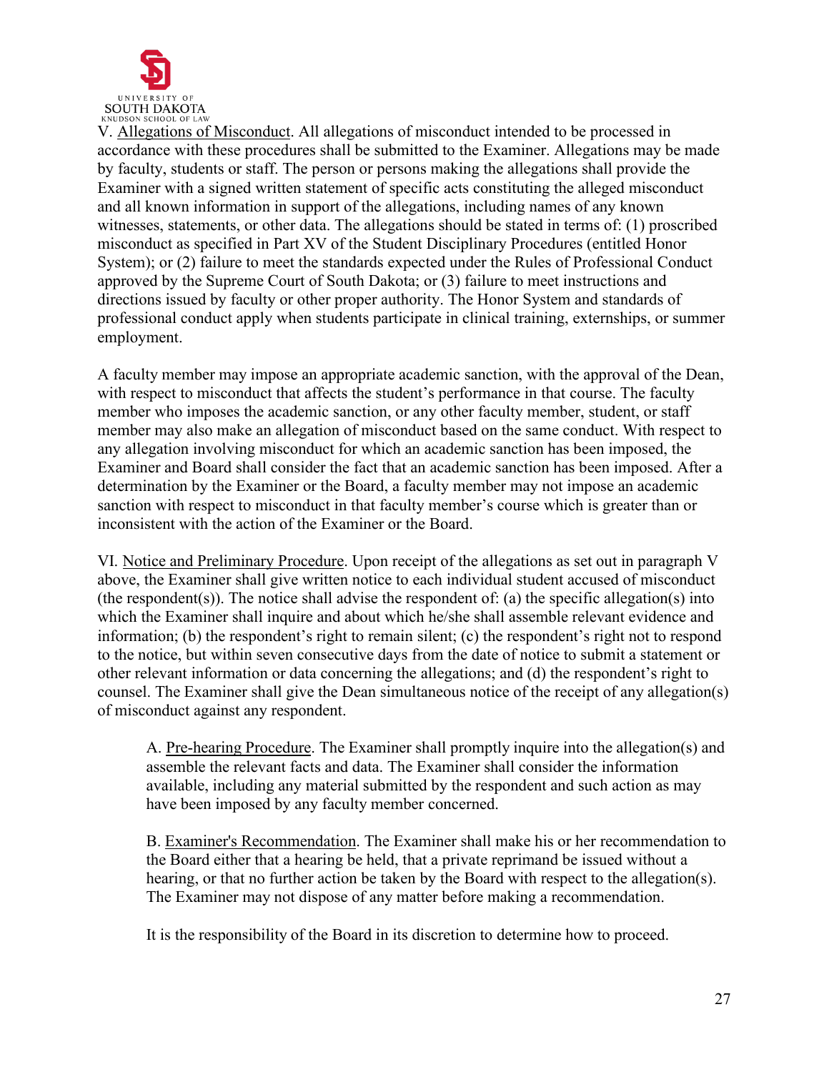

V. Allegations of Misconduct. All allegations of misconduct intended to be processed in accordance with these procedures shall be submitted to the Examiner. Allegations may be made by faculty, students or staff. The person or persons making the allegations shall provide the Examiner with a signed written statement of specific acts constituting the alleged misconduct and all known information in support of the allegations, including names of any known witnesses, statements, or other data. The allegations should be stated in terms of: (1) proscribed misconduct as specified in Part XV of the Student Disciplinary Procedures (entitled Honor System); or (2) failure to meet the standards expected under the Rules of Professional Conduct approved by the Supreme Court of South Dakota; or (3) failure to meet instructions and directions issued by faculty or other proper authority. The Honor System and standards of professional conduct apply when students participate in clinical training, externships, or summer employment.

A faculty member may impose an appropriate academic sanction, with the approval of the Dean, with respect to misconduct that affects the student's performance in that course. The faculty member who imposes the academic sanction, or any other faculty member, student, or staff member may also make an allegation of misconduct based on the same conduct. With respect to any allegation involving misconduct for which an academic sanction has been imposed, the Examiner and Board shall consider the fact that an academic sanction has been imposed. After a determination by the Examiner or the Board, a faculty member may not impose an academic sanction with respect to misconduct in that faculty member's course which is greater than or inconsistent with the action of the Examiner or the Board.

VI. Notice and Preliminary Procedure. Upon receipt of the allegations as set out in paragraph V above, the Examiner shall give written notice to each individual student accused of misconduct (the respondent(s)). The notice shall advise the respondent of: (a) the specific allegation(s) into which the Examiner shall inquire and about which he/she shall assemble relevant evidence and information; (b) the respondent's right to remain silent; (c) the respondent's right not to respond to the notice, but within seven consecutive days from the date of notice to submit a statement or other relevant information or data concerning the allegations; and (d) the respondent's right to counsel. The Examiner shall give the Dean simultaneous notice of the receipt of any allegation(s) of misconduct against any respondent.

A. Pre-hearing Procedure. The Examiner shall promptly inquire into the allegation(s) and assemble the relevant facts and data. The Examiner shall consider the information available, including any material submitted by the respondent and such action as may have been imposed by any faculty member concerned.

B. Examiner's Recommendation. The Examiner shall make his or her recommendation to the Board either that a hearing be held, that a private reprimand be issued without a hearing, or that no further action be taken by the Board with respect to the allegation(s). The Examiner may not dispose of any matter before making a recommendation.

It is the responsibility of the Board in its discretion to determine how to proceed.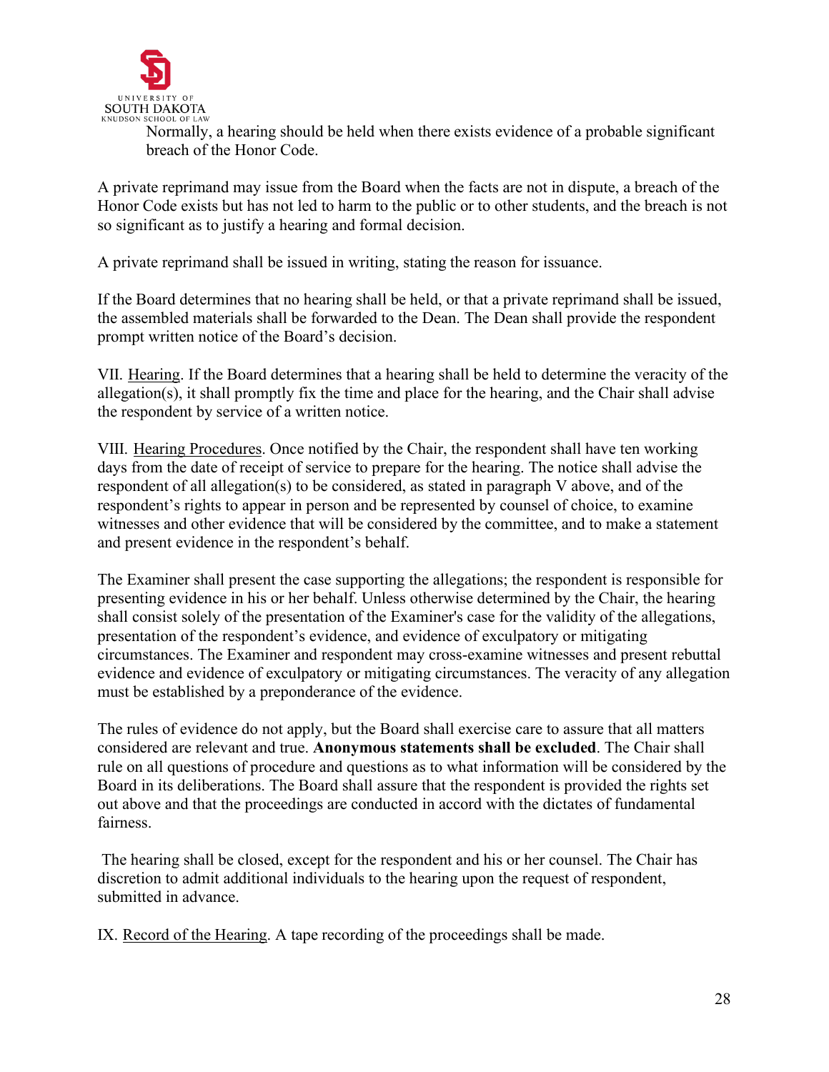

Normally, a hearing should be held when there exists evidence of a probable significant breach of the Honor Code.

A private reprimand may issue from the Board when the facts are not in dispute, a breach of the Honor Code exists but has not led to harm to the public or to other students, and the breach is not so significant as to justify a hearing and formal decision.

A private reprimand shall be issued in writing, stating the reason for issuance.

If the Board determines that no hearing shall be held, or that a private reprimand shall be issued, the assembled materials shall be forwarded to the Dean. The Dean shall provide the respondent prompt written notice of the Board's decision.

VII. Hearing. If the Board determines that a hearing shall be held to determine the veracity of the allegation(s), it shall promptly fix the time and place for the hearing, and the Chair shall advise the respondent by service of a written notice.

VIII. Hearing Procedures. Once notified by the Chair, the respondent shall have ten working days from the date of receipt of service to prepare for the hearing. The notice shall advise the respondent of all allegation(s) to be considered, as stated in paragraph V above, and of the respondent's rights to appear in person and be represented by counsel of choice, to examine witnesses and other evidence that will be considered by the committee, and to make a statement and present evidence in the respondent's behalf.

The Examiner shall present the case supporting the allegations; the respondent is responsible for presenting evidence in his or her behalf. Unless otherwise determined by the Chair, the hearing shall consist solely of the presentation of the Examiner's case for the validity of the allegations, presentation of the respondent's evidence, and evidence of exculpatory or mitigating circumstances. The Examiner and respondent may cross-examine witnesses and present rebuttal evidence and evidence of exculpatory or mitigating circumstances. The veracity of any allegation must be established by a preponderance of the evidence.

The rules of evidence do not apply, but the Board shall exercise care to assure that all matters considered are relevant and true. **Anonymous statements shall be excluded**. The Chair shall rule on all questions of procedure and questions as to what information will be considered by the Board in its deliberations. The Board shall assure that the respondent is provided the rights set out above and that the proceedings are conducted in accord with the dictates of fundamental fairness.

The hearing shall be closed, except for the respondent and his or her counsel. The Chair has discretion to admit additional individuals to the hearing upon the request of respondent, submitted in advance.

IX. Record of the Hearing. A tape recording of the proceedings shall be made.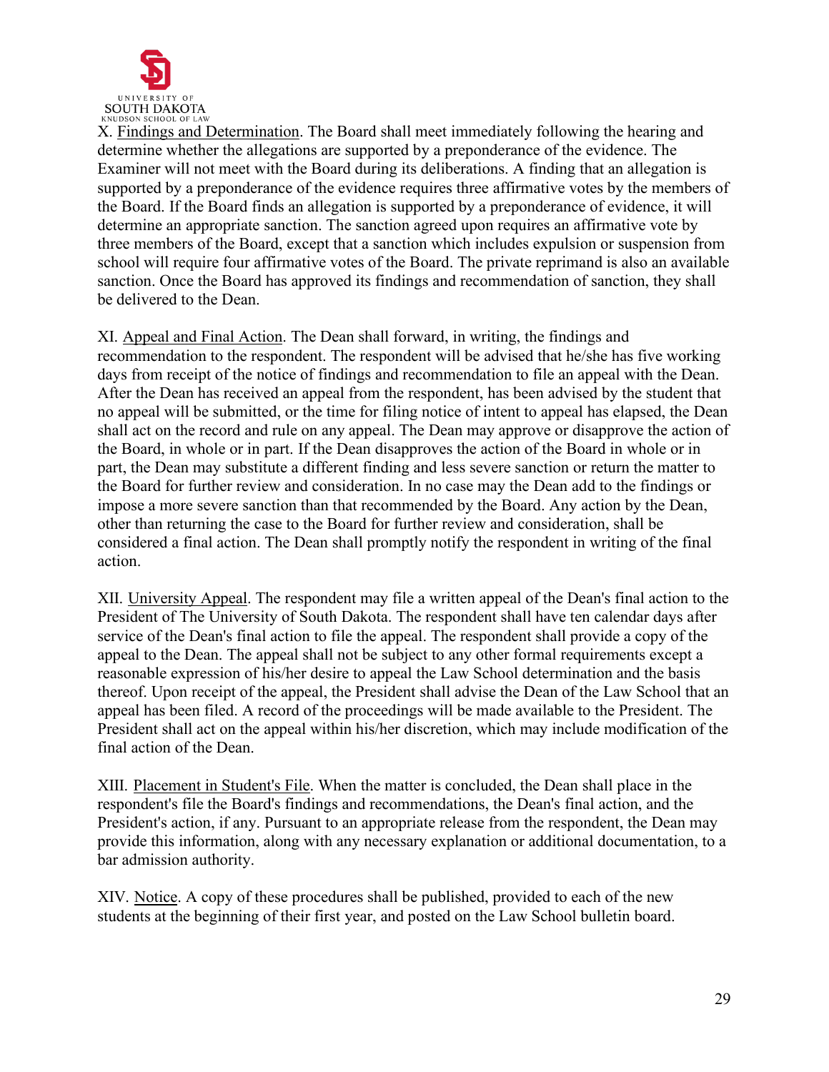

X. Findings and Determination. The Board shall meet immediately following the hearing and determine whether the allegations are supported by a preponderance of the evidence. The Examiner will not meet with the Board during its deliberations. A finding that an allegation is supported by a preponderance of the evidence requires three affirmative votes by the members of the Board. If the Board finds an allegation is supported by a preponderance of evidence, it will determine an appropriate sanction. The sanction agreed upon requires an affirmative vote by three members of the Board, except that a sanction which includes expulsion or suspension from school will require four affirmative votes of the Board. The private reprimand is also an available sanction. Once the Board has approved its findings and recommendation of sanction, they shall be delivered to the Dean.

XI. Appeal and Final Action. The Dean shall forward, in writing, the findings and recommendation to the respondent. The respondent will be advised that he/she has five working days from receipt of the notice of findings and recommendation to file an appeal with the Dean. After the Dean has received an appeal from the respondent, has been advised by the student that no appeal will be submitted, or the time for filing notice of intent to appeal has elapsed, the Dean shall act on the record and rule on any appeal. The Dean may approve or disapprove the action of the Board, in whole or in part. If the Dean disapproves the action of the Board in whole or in part, the Dean may substitute a different finding and less severe sanction or return the matter to the Board for further review and consideration. In no case may the Dean add to the findings or impose a more severe sanction than that recommended by the Board. Any action by the Dean, other than returning the case to the Board for further review and consideration, shall be considered a final action. The Dean shall promptly notify the respondent in writing of the final action.

XII. University Appeal. The respondent may file a written appeal of the Dean's final action to the President of The University of South Dakota. The respondent shall have ten calendar days after service of the Dean's final action to file the appeal. The respondent shall provide a copy of the appeal to the Dean. The appeal shall not be subject to any other formal requirements except a reasonable expression of his/her desire to appeal the Law School determination and the basis thereof. Upon receipt of the appeal, the President shall advise the Dean of the Law School that an appeal has been filed. A record of the proceedings will be made available to the President. The President shall act on the appeal within his/her discretion, which may include modification of the final action of the Dean.

XIII. Placement in Student's File. When the matter is concluded, the Dean shall place in the respondent's file the Board's findings and recommendations, the Dean's final action, and the President's action, if any. Pursuant to an appropriate release from the respondent, the Dean may provide this information, along with any necessary explanation or additional documentation, to a bar admission authority.

XIV. Notice. A copy of these procedures shall be published, provided to each of the new students at the beginning of their first year, and posted on the Law School bulletin board.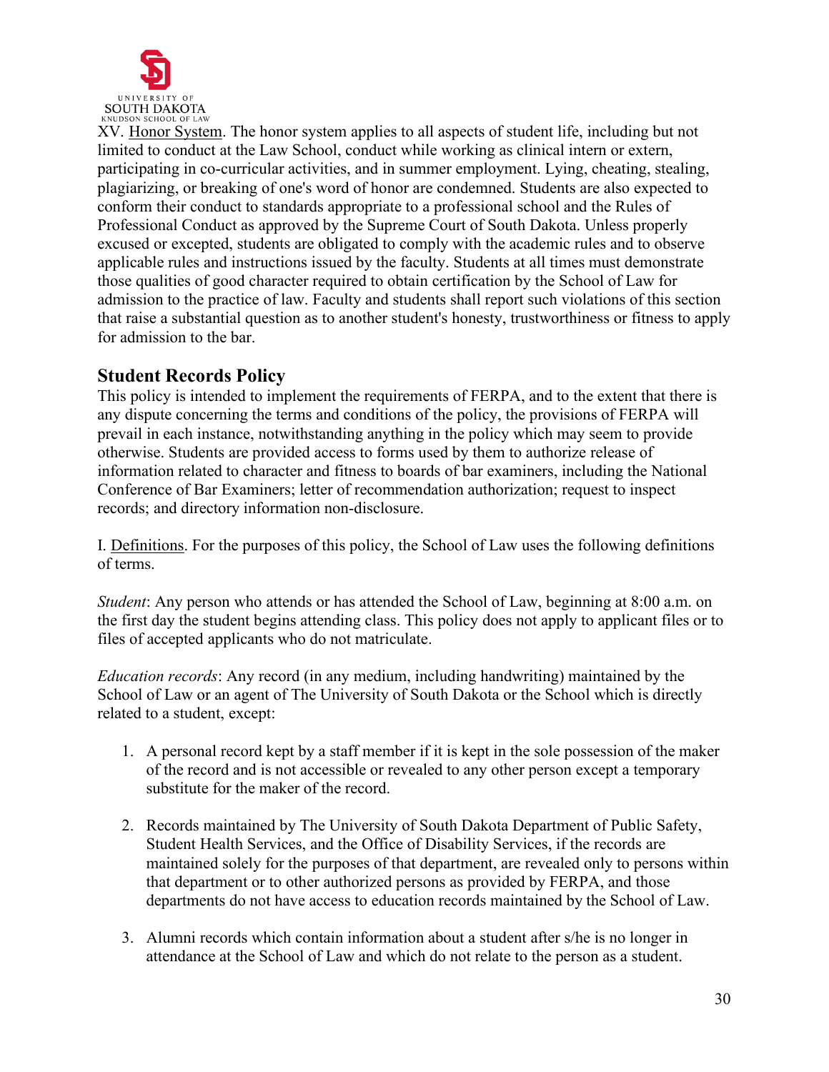

XV. Honor System. The honor system applies to all aspects of student life, including but not limited to conduct at the Law School, conduct while working as clinical intern or extern, participating in co-curricular activities, and in summer employment. Lying, cheating, stealing, plagiarizing, or breaking of one's word of honor are condemned. Students are also expected to conform their conduct to standards appropriate to a professional school and the Rules of Professional Conduct as approved by the Supreme Court of South Dakota. Unless properly excused or excepted, students are obligated to comply with the academic rules and to observe applicable rules and instructions issued by the faculty. Students at all times must demonstrate those qualities of good character required to obtain certification by the School of Law for admission to the practice of law. Faculty and students shall report such violations of this section that raise a substantial question as to another student's honesty, trustworthiness or fitness to apply for admission to the bar.

## <span id="page-29-0"></span>**Student Records Policy**

This policy is intended to implement the requirements of FERPA, and to the extent that there is any dispute concerning the terms and conditions of the policy, the provisions of FERPA will prevail in each instance, notwithstanding anything in the policy which may seem to provide otherwise. Students are provided access to forms used by them to authorize release of information related to character and fitness to boards of bar examiners, including the National Conference of Bar Examiners; letter of recommendation authorization; request to inspect records; and directory information non-disclosure.

I. Definitions. For the purposes of this policy, the School of Law uses the following definitions of terms.

*Student*: Any person who attends or has attended the School of Law, beginning at 8:00 a.m. on the first day the student begins attending class. This policy does not apply to applicant files or to files of accepted applicants who do not matriculate.

*Education records*: Any record (in any medium, including handwriting) maintained by the School of Law or an agent of The University of South Dakota or the School which is directly related to a student, except:

- 1. A personal record kept by a staff member if it is kept in the sole possession of the maker of the record and is not accessible or revealed to any other person except a temporary substitute for the maker of the record.
- 2. Records maintained by The University of South Dakota Department of Public Safety, Student Health Services, and the Office of Disability Services, if the records are maintained solely for the purposes of that department, are revealed only to persons within that department or to other authorized persons as provided by FERPA, and those departments do not have access to education records maintained by the School of Law.
- 3. Alumni records which contain information about a student after s/he is no longer in attendance at the School of Law and which do not relate to the person as a student.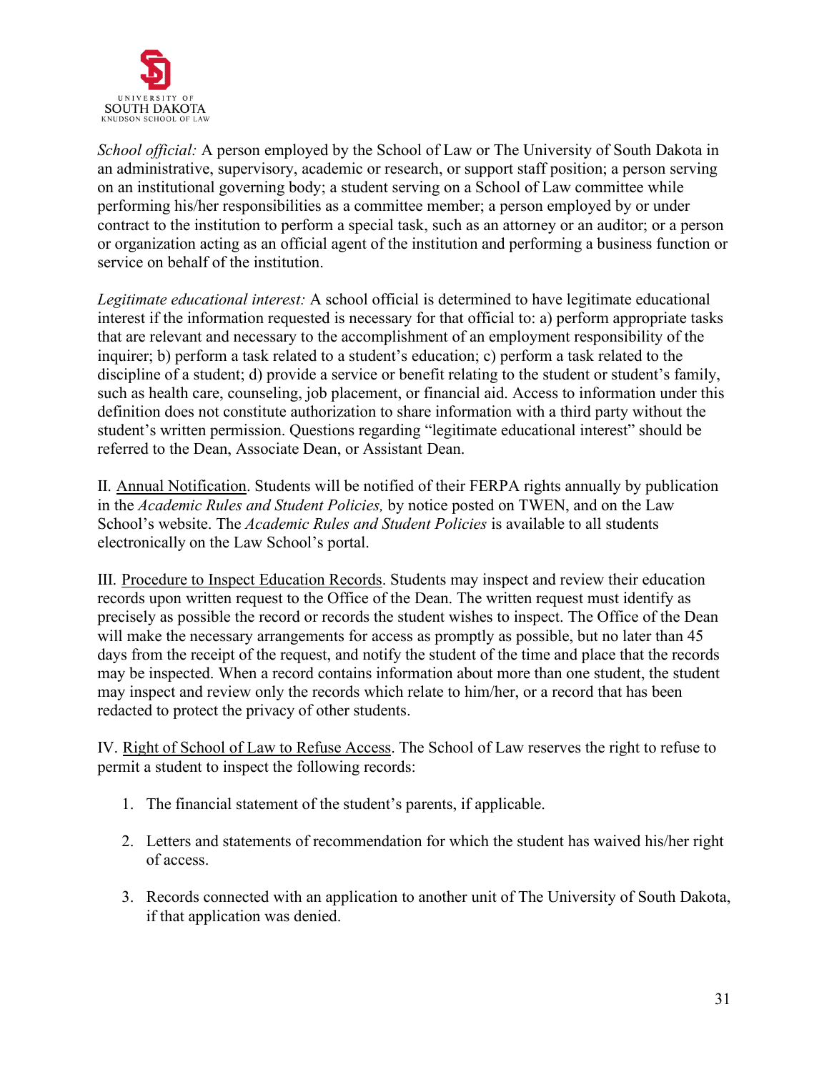

*School official:* A person employed by the School of Law or The University of South Dakota in an administrative, supervisory, academic or research, or support staff position; a person serving on an institutional governing body; a student serving on a School of Law committee while performing his/her responsibilities as a committee member; a person employed by or under contract to the institution to perform a special task, such as an attorney or an auditor; or a person or organization acting as an official agent of the institution and performing a business function or service on behalf of the institution.

*Legitimate educational interest:* A school official is determined to have legitimate educational interest if the information requested is necessary for that official to: a) perform appropriate tasks that are relevant and necessary to the accomplishment of an employment responsibility of the inquirer; b) perform a task related to a student's education; c) perform a task related to the discipline of a student; d) provide a service or benefit relating to the student or student's family, such as health care, counseling, job placement, or financial aid. Access to information under this definition does not constitute authorization to share information with a third party without the student's written permission. Questions regarding "legitimate educational interest" should be referred to the Dean, Associate Dean, or Assistant Dean.

II. Annual Notification. Students will be notified of their FERPA rights annually by publication in the *Academic Rules and Student Policies,* by notice posted on TWEN, and on the Law School's website. The *Academic Rules and Student Policies* is available to all students electronically on the Law School's portal.

III. Procedure to Inspect Education Records. Students may inspect and review their education records upon written request to the Office of the Dean. The written request must identify as precisely as possible the record or records the student wishes to inspect. The Office of the Dean will make the necessary arrangements for access as promptly as possible, but no later than 45 days from the receipt of the request, and notify the student of the time and place that the records may be inspected. When a record contains information about more than one student, the student may inspect and review only the records which relate to him/her, or a record that has been redacted to protect the privacy of other students.

IV. Right of School of Law to Refuse Access. The School of Law reserves the right to refuse to permit a student to inspect the following records:

- 1. The financial statement of the student's parents, if applicable.
- 2. Letters and statements of recommendation for which the student has waived his/her right of access.
- 3. Records connected with an application to another unit of The University of South Dakota, if that application was denied.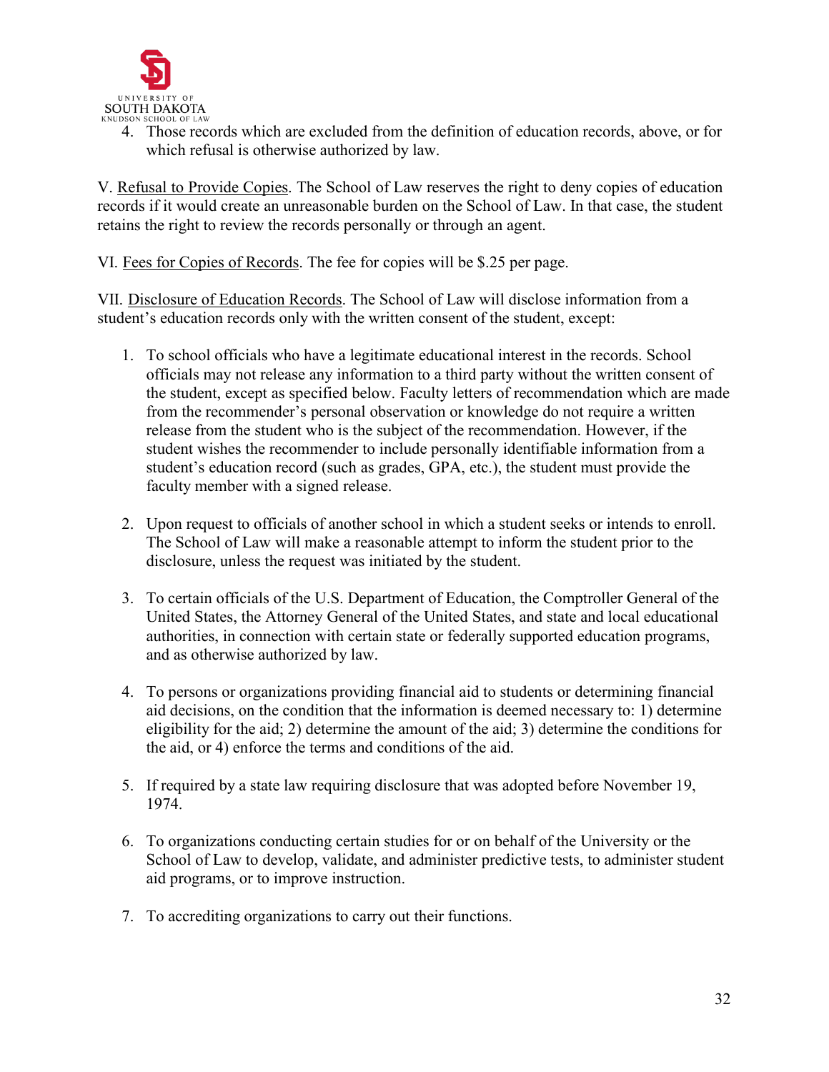

4. Those records which are excluded from the definition of education records, above, or for which refusal is otherwise authorized by law.

V. Refusal to Provide Copies. The School of Law reserves the right to deny copies of education records if it would create an unreasonable burden on the School of Law. In that case, the student retains the right to review the records personally or through an agent.

VI. Fees for Copies of Records. The fee for copies will be \$.25 per page.

VII. Disclosure of Education Records. The School of Law will disclose information from a student's education records only with the written consent of the student, except:

- 1. To school officials who have a legitimate educational interest in the records. School officials may not release any information to a third party without the written consent of the student, except as specified below. Faculty letters of recommendation which are made from the recommender's personal observation or knowledge do not require a written release from the student who is the subject of the recommendation. However, if the student wishes the recommender to include personally identifiable information from a student's education record (such as grades, GPA, etc.), the student must provide the faculty member with a signed release.
- 2. Upon request to officials of another school in which a student seeks or intends to enroll. The School of Law will make a reasonable attempt to inform the student prior to the disclosure, unless the request was initiated by the student.
- 3. To certain officials of the U.S. Department of Education, the Comptroller General of the United States, the Attorney General of the United States, and state and local educational authorities, in connection with certain state or federally supported education programs, and as otherwise authorized by law.
- 4. To persons or organizations providing financial aid to students or determining financial aid decisions, on the condition that the information is deemed necessary to: 1) determine eligibility for the aid; 2) determine the amount of the aid; 3) determine the conditions for the aid, or 4) enforce the terms and conditions of the aid.
- 5. If required by a state law requiring disclosure that was adopted before November 19, 1974.
- 6. To organizations conducting certain studies for or on behalf of the University or the School of Law to develop, validate, and administer predictive tests, to administer student aid programs, or to improve instruction.
- 7. To accrediting organizations to carry out their functions.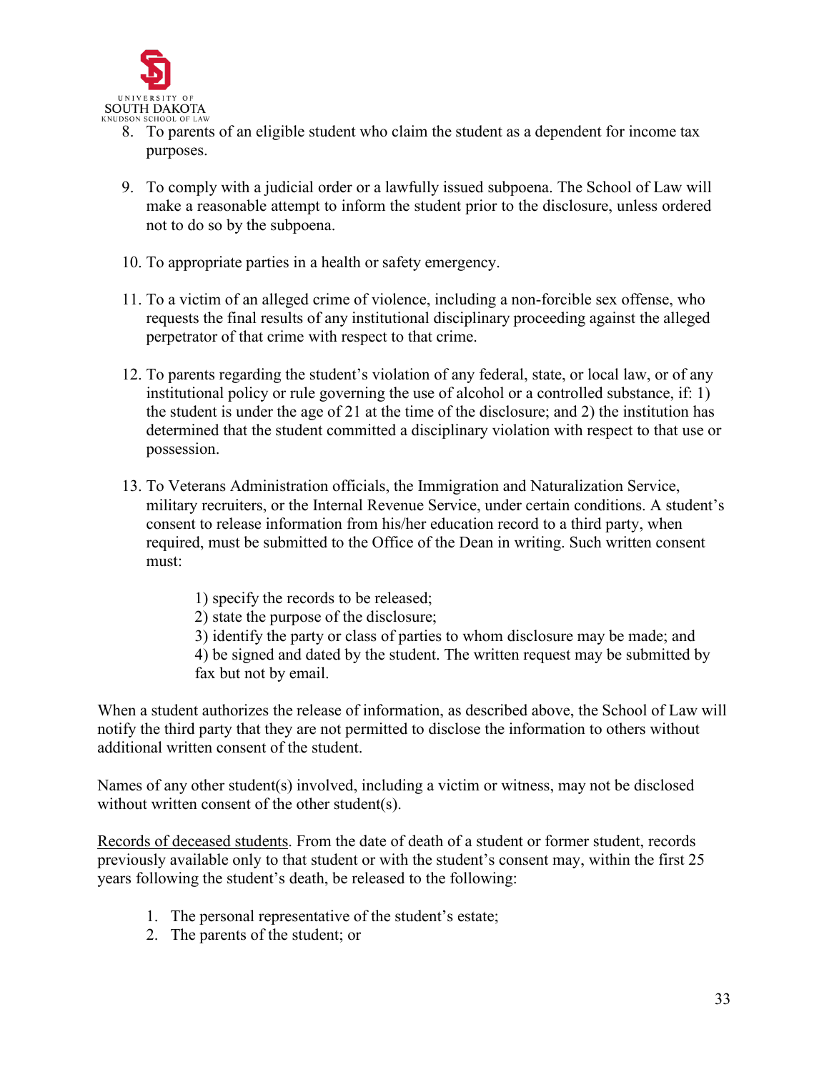

- 8. To parents of an eligible student who claim the student as a dependent for income tax purposes.
- 9. To comply with a judicial order or a lawfully issued subpoena. The School of Law will make a reasonable attempt to inform the student prior to the disclosure, unless ordered not to do so by the subpoena.
- 10. To appropriate parties in a health or safety emergency.
- 11. To a victim of an alleged crime of violence, including a non-forcible sex offense, who requests the final results of any institutional disciplinary proceeding against the alleged perpetrator of that crime with respect to that crime.
- 12. To parents regarding the student's violation of any federal, state, or local law, or of any institutional policy or rule governing the use of alcohol or a controlled substance, if: 1) the student is under the age of 21 at the time of the disclosure; and 2) the institution has determined that the student committed a disciplinary violation with respect to that use or possession.
- 13. To Veterans Administration officials, the Immigration and Naturalization Service, military recruiters, or the Internal Revenue Service, under certain conditions. A student's consent to release information from his/her education record to a third party, when required, must be submitted to the Office of the Dean in writing. Such written consent must:
	- 1) specify the records to be released;
	- 2) state the purpose of the disclosure;
	- 3) identify the party or class of parties to whom disclosure may be made; and 4) be signed and dated by the student. The written request may be submitted by fax but not by email.

When a student authorizes the release of information, as described above, the School of Law will notify the third party that they are not permitted to disclose the information to others without additional written consent of the student.

Names of any other student(s) involved, including a victim or witness, may not be disclosed without written consent of the other student(s).

Records of deceased students. From the date of death of a student or former student, records previously available only to that student or with the student's consent may, within the first 25 years following the student's death, be released to the following:

- 1. The personal representative of the student's estate;
- 2. The parents of the student; or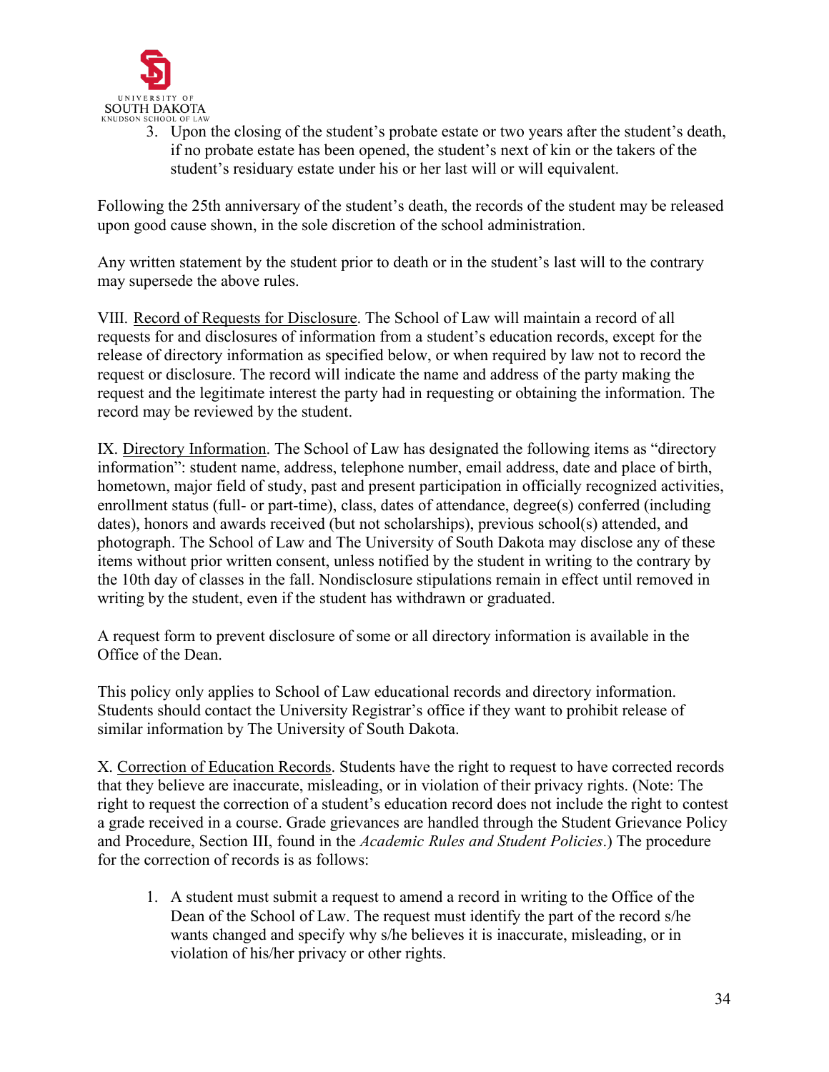

3. Upon the closing of the student's probate estate or two years after the student's death, if no probate estate has been opened, the student's next of kin or the takers of the student's residuary estate under his or her last will or will equivalent.

Following the 25th anniversary of the student's death, the records of the student may be released upon good cause shown, in the sole discretion of the school administration.

Any written statement by the student prior to death or in the student's last will to the contrary may supersede the above rules.

VIII. Record of Requests for Disclosure. The School of Law will maintain a record of all requests for and disclosures of information from a student's education records, except for the release of directory information as specified below, or when required by law not to record the request or disclosure. The record will indicate the name and address of the party making the request and the legitimate interest the party had in requesting or obtaining the information. The record may be reviewed by the student.

IX. Directory Information. The School of Law has designated the following items as "directory information": student name, address, telephone number, email address, date and place of birth, hometown, major field of study, past and present participation in officially recognized activities, enrollment status (full- or part-time), class, dates of attendance, degree(s) conferred (including dates), honors and awards received (but not scholarships), previous school(s) attended, and photograph. The School of Law and The University of South Dakota may disclose any of these items without prior written consent, unless notified by the student in writing to the contrary by the 10th day of classes in the fall. Nondisclosure stipulations remain in effect until removed in writing by the student, even if the student has withdrawn or graduated.

A request form to prevent disclosure of some or all directory information is available in the Office of the Dean.

This policy only applies to School of Law educational records and directory information. Students should contact the University Registrar's office if they want to prohibit release of similar information by The University of South Dakota.

X. Correction of Education Records. Students have the right to request to have corrected records that they believe are inaccurate, misleading, or in violation of their privacy rights. (Note: The right to request the correction of a student's education record does not include the right to contest a grade received in a course. Grade grievances are handled through the Student Grievance Policy and Procedure, Section III, found in the *Academic Rules and Student Policies*.) The procedure for the correction of records is as follows:

1. A student must submit a request to amend a record in writing to the Office of the Dean of the School of Law. The request must identify the part of the record s/he wants changed and specify why s/he believes it is inaccurate, misleading, or in violation of his/her privacy or other rights.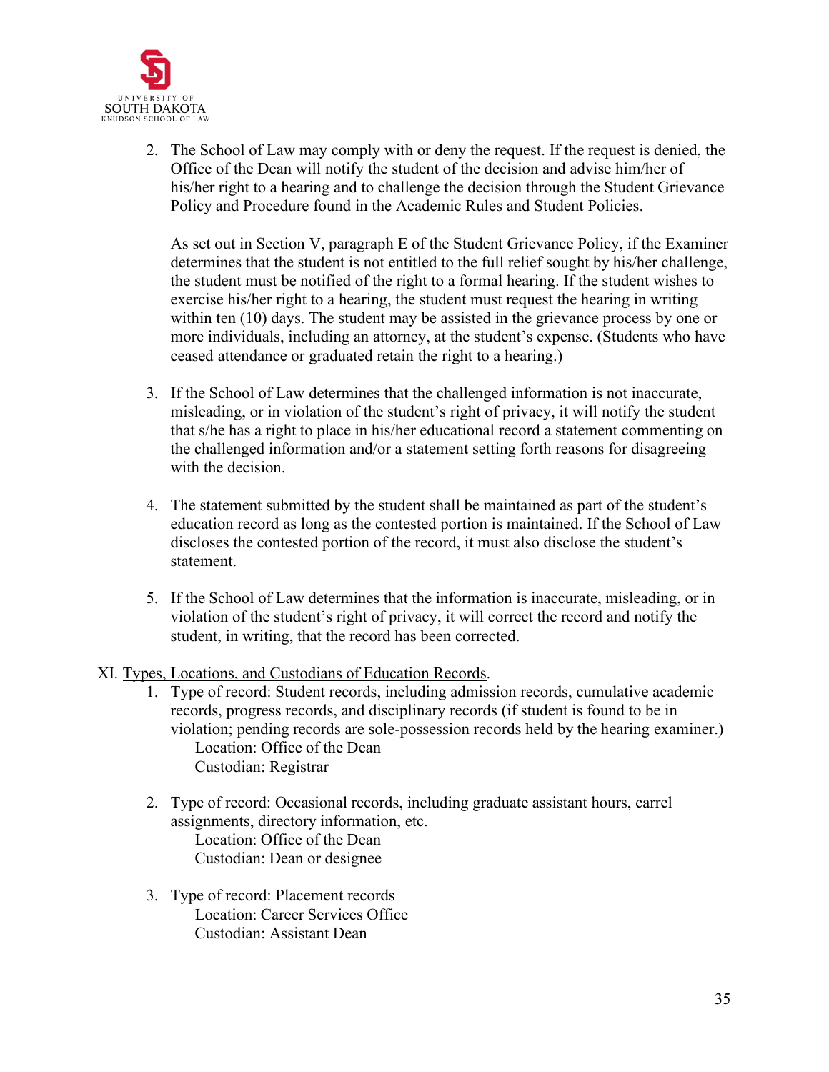

2. The School of Law may comply with or deny the request. If the request is denied, the Office of the Dean will notify the student of the decision and advise him/her of his/her right to a hearing and to challenge the decision through the Student Grievance Policy and Procedure found in the Academic Rules and Student Policies.

As set out in Section V, paragraph E of the Student Grievance Policy, if the Examiner determines that the student is not entitled to the full relief sought by his/her challenge, the student must be notified of the right to a formal hearing. If the student wishes to exercise his/her right to a hearing, the student must request the hearing in writing within ten (10) days. The student may be assisted in the grievance process by one or more individuals, including an attorney, at the student's expense. (Students who have ceased attendance or graduated retain the right to a hearing.)

- 3. If the School of Law determines that the challenged information is not inaccurate, misleading, or in violation of the student's right of privacy, it will notify the student that s/he has a right to place in his/her educational record a statement commenting on the challenged information and/or a statement setting forth reasons for disagreeing with the decision.
- 4. The statement submitted by the student shall be maintained as part of the student's education record as long as the contested portion is maintained. If the School of Law discloses the contested portion of the record, it must also disclose the student's statement.
- 5. If the School of Law determines that the information is inaccurate, misleading, or in violation of the student's right of privacy, it will correct the record and notify the student, in writing, that the record has been corrected.
- XI. Types, Locations, and Custodians of Education Records.
	- 1. Type of record: Student records, including admission records, cumulative academic records, progress records, and disciplinary records (if student is found to be in violation; pending records are sole-possession records held by the hearing examiner.) Location: Office of the Dean Custodian: Registrar
	- 2. Type of record: Occasional records, including graduate assistant hours, carrel assignments, directory information, etc. Location: Office of the Dean Custodian: Dean or designee
	- 3. Type of record: Placement records Location: Career Services Office Custodian: Assistant Dean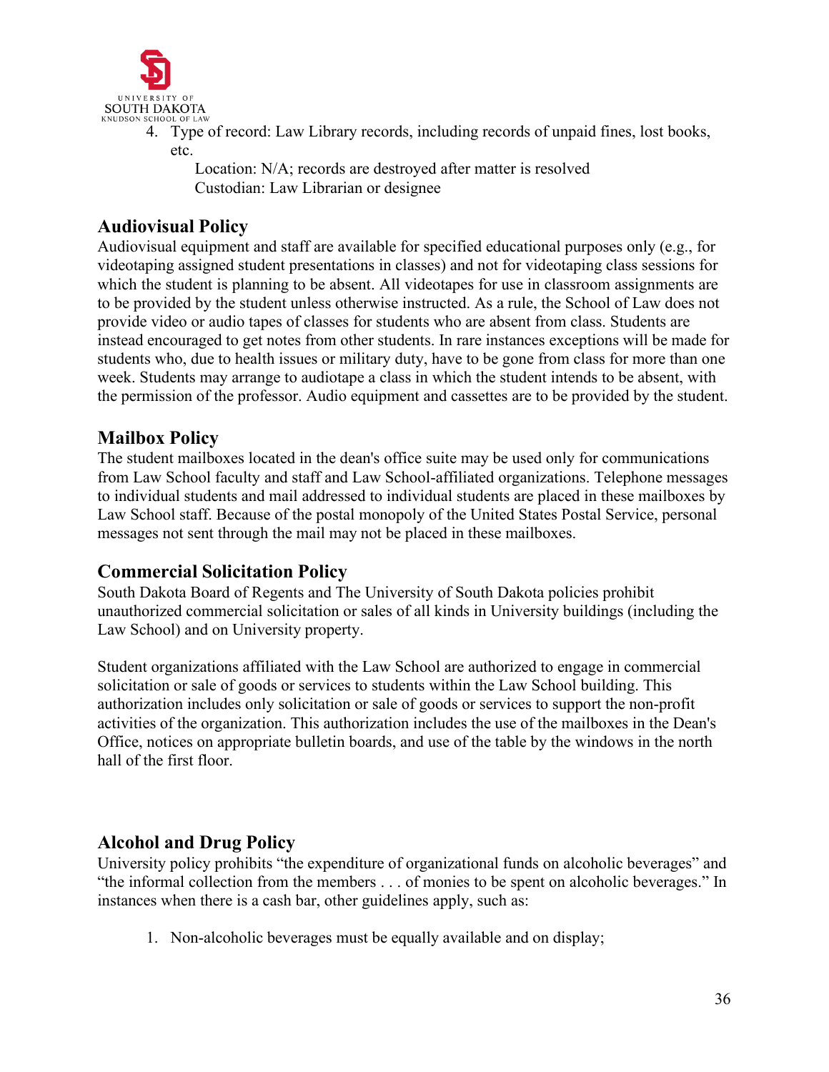

4. Type of record: Law Library records, including records of unpaid fines, lost books, etc.

Location: N/A; records are destroyed after matter is resolved Custodian: Law Librarian or designee

## <span id="page-35-0"></span>**Audiovisual Policy**

Audiovisual equipment and staff are available for specified educational purposes only (e.g., for videotaping assigned student presentations in classes) and not for videotaping class sessions for which the student is planning to be absent. All videotapes for use in classroom assignments are to be provided by the student unless otherwise instructed. As a rule, the School of Law does not provide video or audio tapes of classes for students who are absent from class. Students are instead encouraged to get notes from other students. In rare instances exceptions will be made for students who, due to health issues or military duty, have to be gone from class for more than one week. Students may arrange to audiotape a class in which the student intends to be absent, with the permission of the professor. Audio equipment and cassettes are to be provided by the student.

# <span id="page-35-1"></span>**Mailbox Policy**

The student mailboxes located in the dean's office suite may be used only for communications from Law School faculty and staff and Law School-affiliated organizations. Telephone messages to individual students and mail addressed to individual students are placed in these mailboxes by Law School staff. Because of the postal monopoly of the United States Postal Service, personal messages not sent through the mail may not be placed in these mailboxes.

## <span id="page-35-2"></span>**Commercial Solicitation Policy**

South Dakota Board of Regents and The University of South Dakota policies prohibit unauthorized commercial solicitation or sales of all kinds in University buildings (including the Law School) and on University property.

Student organizations affiliated with the Law School are authorized to engage in commercial solicitation or sale of goods or services to students within the Law School building. This authorization includes only solicitation or sale of goods or services to support the non-profit activities of the organization. This authorization includes the use of the mailboxes in the Dean's Office, notices on appropriate bulletin boards, and use of the table by the windows in the north hall of the first floor.

## <span id="page-35-3"></span>**Alcohol and Drug Policy**

University policy prohibits "the expenditure of organizational funds on alcoholic beverages" and "the informal collection from the members . . . of monies to be spent on alcoholic beverages." In instances when there is a cash bar, other guidelines apply, such as:

1. Non-alcoholic beverages must be equally available and on display;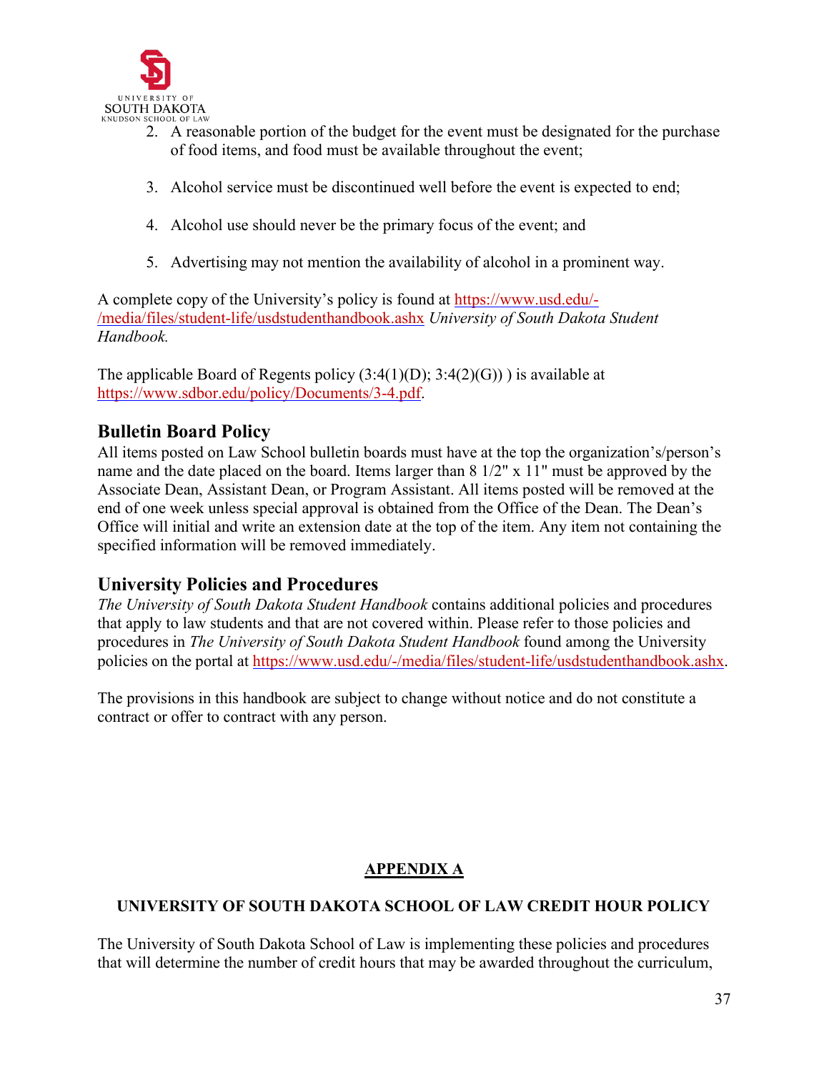

- 2. A reasonable portion of the budget for the event must be designated for the purchase of food items, and food must be available throughout the event;
- 3. Alcohol service must be discontinued well before the event is expected to end;
- 4. Alcohol use should never be the primary focus of the event; and
- 5. Advertising may not mention the availability of alcohol in a prominent way.

A complete copy of the University's policy is found at [https://www.usd.edu/-](https://www.usd.edu/-/media/files/student-life/usdstudenthandbook.ashx) [/media/files/student-life/usdstudenthandbook.ashx](https://www.usd.edu/-/media/files/student-life/usdstudenthandbook.ashx) *University of South Dakota Student Handbook.*

The applicable Board of Regents policy  $(3:4(1)(D); 3:4(2)(G))$  is available at [https://www.sdbor.edu/policy/Documents/3-4.pdf.](https://www.sdbor.edu/policy/Documents/3-4.pdf)

# <span id="page-36-0"></span>**Bulletin Board Policy**

All items posted on Law School bulletin boards must have at the top the organization's/person's name and the date placed on the board. Items larger than 8 1/2" x 11" must be approved by the Associate Dean, Assistant Dean, or Program Assistant. All items posted will be removed at the end of one week unless special approval is obtained from the Office of the Dean. The Dean's Office will initial and write an extension date at the top of the item. Any item not containing the specified information will be removed immediately.

## <span id="page-36-1"></span>**University Policies and Procedures**

*The University of South Dakota Student Handbook* contains additional policies and procedures that apply to law students and that are not covered within. Please refer to those policies and procedures in *The University of South Dakota Student Handbook* found among the University policies on the portal at [https://www.usd.edu/-/media/files/student-life/usdstudenthandbook.ashx.](https://www.usd.edu/-/media/files/student-life/usdstudenthandbook.ashx)

The provisions in this handbook are subject to change without notice and do not constitute a contract or offer to contract with any person.

## **APPENDIX A**

## **UNIVERSITY OF SOUTH DAKOTA SCHOOL OF LAW CREDIT HOUR POLICY**

The University of South Dakota School of Law is implementing these policies and procedures that will determine the number of credit hours that may be awarded throughout the curriculum,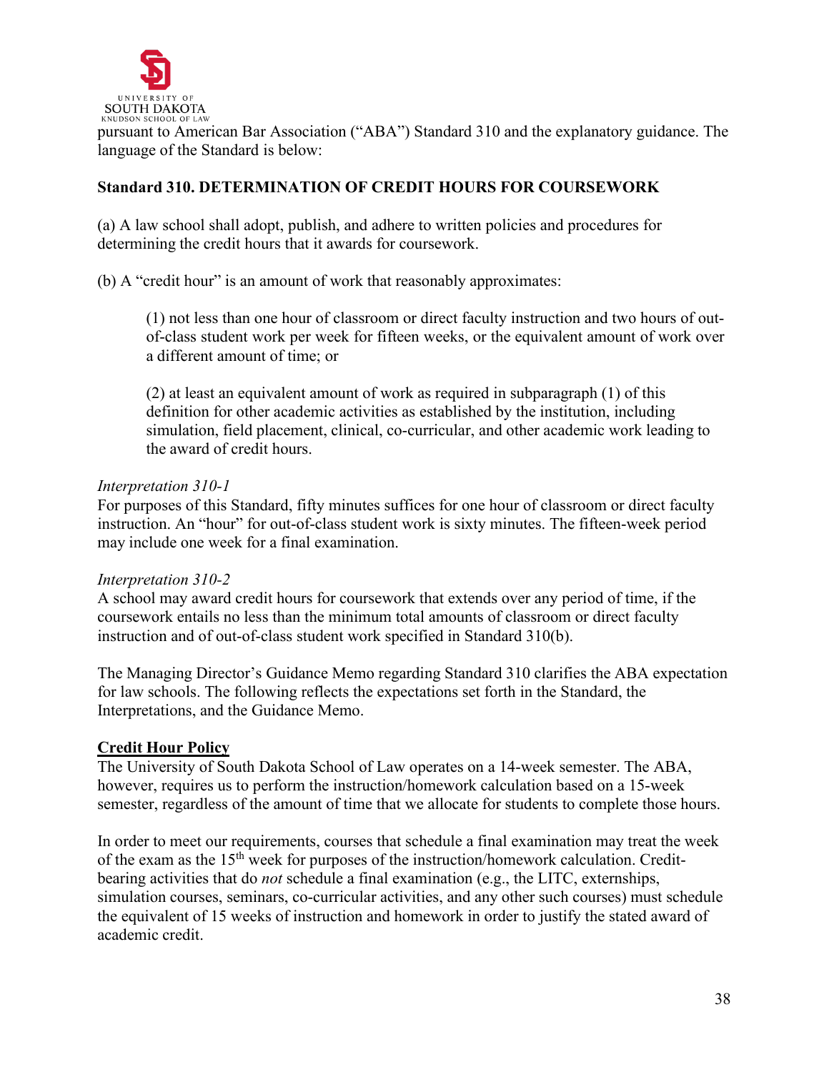

pursuant to American Bar Association ("ABA") Standard 310 and the explanatory guidance. The language of the Standard is below:

## **Standard 310. DETERMINATION OF CREDIT HOURS FOR COURSEWORK**

(a) A law school shall adopt, publish, and adhere to written policies and procedures for determining the credit hours that it awards for coursework.

(b) A "credit hour" is an amount of work that reasonably approximates:

(1) not less than one hour of classroom or direct faculty instruction and two hours of outof-class student work per week for fifteen weeks, or the equivalent amount of work over a different amount of time; or

(2) at least an equivalent amount of work as required in subparagraph (1) of this definition for other academic activities as established by the institution, including simulation, field placement, clinical, co-curricular, and other academic work leading to the award of credit hours.

### *Interpretation 310-1*

For purposes of this Standard, fifty minutes suffices for one hour of classroom or direct faculty instruction. An "hour" for out-of-class student work is sixty minutes. The fifteen-week period may include one week for a final examination.

## *Interpretation 310-2*

A school may award credit hours for coursework that extends over any period of time, if the coursework entails no less than the minimum total amounts of classroom or direct faculty instruction and of out-of-class student work specified in Standard 310(b).

The Managing Director's Guidance Memo regarding Standard 310 clarifies the ABA expectation for law schools. The following reflects the expectations set forth in the Standard, the Interpretations, and the Guidance Memo.

## **Credit Hour Policy**

The University of South Dakota School of Law operates on a 14-week semester. The ABA, however, requires us to perform the instruction/homework calculation based on a 15-week semester, regardless of the amount of time that we allocate for students to complete those hours.

In order to meet our requirements, courses that schedule a final examination may treat the week of the exam as the  $15<sup>th</sup>$  week for purposes of the instruction/homework calculation. Creditbearing activities that do *not* schedule a final examination (e.g., the LITC, externships, simulation courses, seminars, co-curricular activities, and any other such courses) must schedule the equivalent of 15 weeks of instruction and homework in order to justify the stated award of academic credit.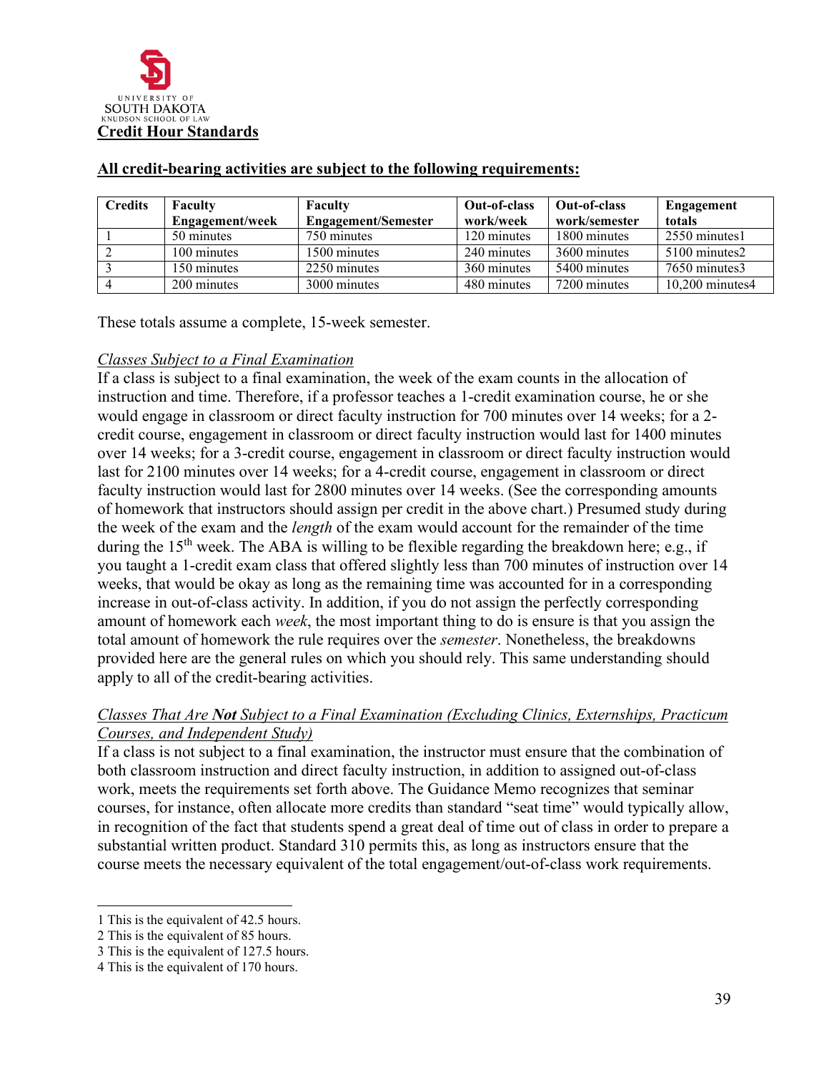

| <b>Credits</b> | Faculty         | Faculty                    | Out-of-class | Out-of-class  | Engagement         |
|----------------|-----------------|----------------------------|--------------|---------------|--------------------|
|                | Engagement/week | <b>Engagement/Semester</b> | work/week    | work/semester | totals             |
|                | 50 minutes      | 750 minutes                | 120 minutes  | 1800 minutes  | 2550 minutes1      |
|                | 100 minutes     | 1500 minutes               | 240 minutes  | 3600 minutes  | 5100 minutes2      |
|                | 150 minutes     | 2250 minutes               | 360 minutes  | 5400 minutes  | 7650 minutes3      |
|                | 200 minutes     | 3000 minutes               | 480 minutes  | 7200 minutes  | $10,200$ minutes 4 |

#### **All credit-bearing activities are subject to the following requirements:**

These totals assume a complete, 15-week semester.

### *Classes Subject to a Final Examination*

If a class is subject to a final examination, the week of the exam counts in the allocation of instruction and time. Therefore, if a professor teaches a 1-credit examination course, he or she would engage in classroom or direct faculty instruction for 700 minutes over 14 weeks; for a 2 credit course, engagement in classroom or direct faculty instruction would last for 1400 minutes over 14 weeks; for a 3-credit course, engagement in classroom or direct faculty instruction would last for 2100 minutes over 14 weeks; for a 4-credit course, engagement in classroom or direct faculty instruction would last for 2800 minutes over 14 weeks. (See the corresponding amounts of homework that instructors should assign per credit in the above chart.) Presumed study during the week of the exam and the *length* of the exam would account for the remainder of the time during the  $15<sup>th</sup>$  week. The ABA is willing to be flexible regarding the breakdown here; e.g., if you taught a 1-credit exam class that offered slightly less than 700 minutes of instruction over 14 weeks, that would be okay as long as the remaining time was accounted for in a corresponding increase in out-of-class activity. In addition, if you do not assign the perfectly corresponding amount of homework each *week*, the most important thing to do is ensure is that you assign the total amount of homework the rule requires over the *semester*. Nonetheless, the breakdowns provided here are the general rules on which you should rely. This same understanding should apply to all of the credit-bearing activities.

## *Classes That Are Not Subject to a Final Examination (Excluding Clinics, Externships, Practicum Courses, and Independent Study)*

If a class is not subject to a final examination, the instructor must ensure that the combination of both classroom instruction and direct faculty instruction, in addition to assigned out-of-class work, meets the requirements set forth above. The Guidance Memo recognizes that seminar courses, for instance, often allocate more credits than standard "seat time" would typically allow, in recognition of the fact that students spend a great deal of time out of class in order to prepare a substantial written product. Standard 310 permits this, as long as instructors ensure that the course meets the necessary equivalent of the total engagement/out-of-class work requirements.

<span id="page-38-0"></span><sup>1</sup> This is the equivalent of 42.5 hours.

<span id="page-38-1"></span><sup>2</sup> This is the equivalent of 85 hours.

<span id="page-38-2"></span><sup>3</sup> This is the equivalent of 127.5 hours.

<span id="page-38-3"></span><sup>4</sup> This is the equivalent of 170 hours.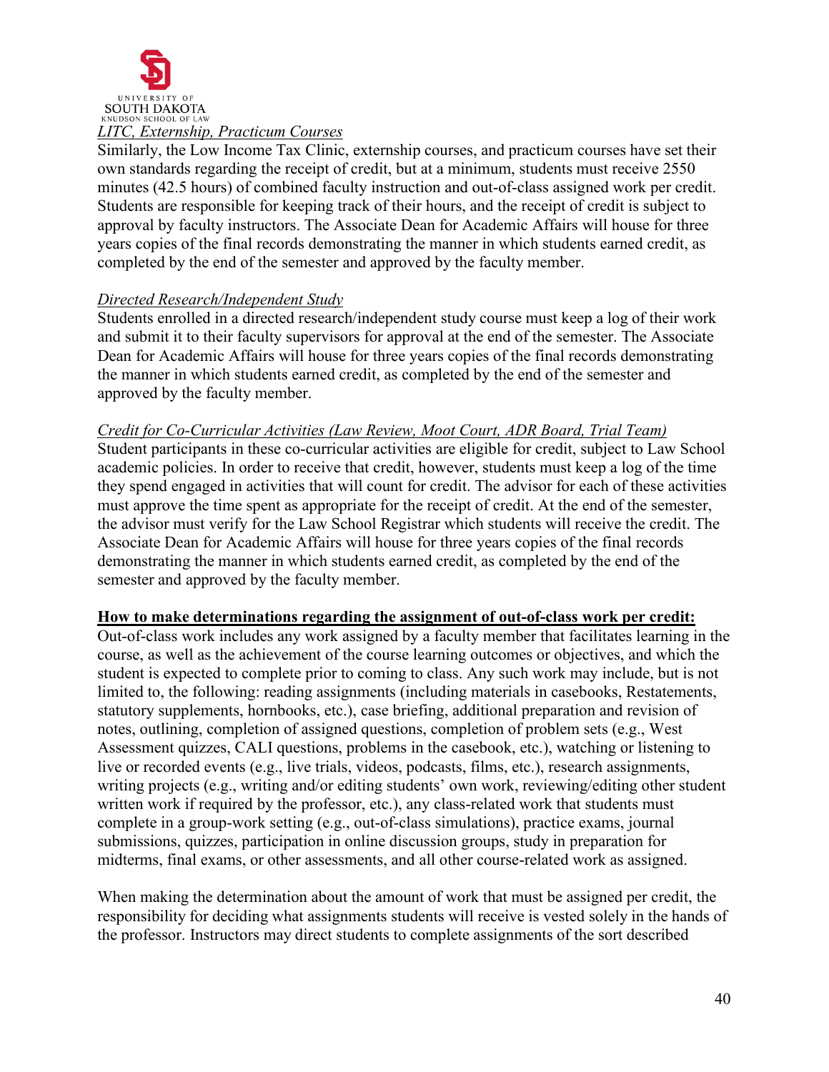

### *LITC, Externship, Practicum Courses*

Similarly, the Low Income Tax Clinic, externship courses, and practicum courses have set their own standards regarding the receipt of credit, but at a minimum, students must receive 2550 minutes (42.5 hours) of combined faculty instruction and out-of-class assigned work per credit. Students are responsible for keeping track of their hours, and the receipt of credit is subject to approval by faculty instructors. The Associate Dean for Academic Affairs will house for three years copies of the final records demonstrating the manner in which students earned credit, as completed by the end of the semester and approved by the faculty member.

### *Directed Research/Independent Study*

Students enrolled in a directed research/independent study course must keep a log of their work and submit it to their faculty supervisors for approval at the end of the semester. The Associate Dean for Academic Affairs will house for three years copies of the final records demonstrating the manner in which students earned credit, as completed by the end of the semester and approved by the faculty member.

### *Credit for Co-Curricular Activities (Law Review, Moot Court, ADR Board, Trial Team)*

Student participants in these co-curricular activities are eligible for credit, subject to Law School academic policies. In order to receive that credit, however, students must keep a log of the time they spend engaged in activities that will count for credit. The advisor for each of these activities must approve the time spent as appropriate for the receipt of credit. At the end of the semester, the advisor must verify for the Law School Registrar which students will receive the credit. The Associate Dean for Academic Affairs will house for three years copies of the final records demonstrating the manner in which students earned credit, as completed by the end of the semester and approved by the faculty member.

### **How to make determinations regarding the assignment of out-of-class work per credit:**

Out-of-class work includes any work assigned by a faculty member that facilitates learning in the course, as well as the achievement of the course learning outcomes or objectives, and which the student is expected to complete prior to coming to class. Any such work may include, but is not limited to, the following: reading assignments (including materials in casebooks, Restatements, statutory supplements, hornbooks, etc.), case briefing, additional preparation and revision of notes, outlining, completion of assigned questions, completion of problem sets (e.g., West Assessment quizzes, CALI questions, problems in the casebook, etc.), watching or listening to live or recorded events (e.g., live trials, videos, podcasts, films, etc.), research assignments, writing projects (e.g., writing and/or editing students' own work, reviewing/editing other student written work if required by the professor, etc.), any class-related work that students must complete in a group-work setting (e.g., out-of-class simulations), practice exams, journal submissions, quizzes, participation in online discussion groups, study in preparation for midterms, final exams, or other assessments, and all other course-related work as assigned.

When making the determination about the amount of work that must be assigned per credit, the responsibility for deciding what assignments students will receive is vested solely in the hands of the professor. Instructors may direct students to complete assignments of the sort described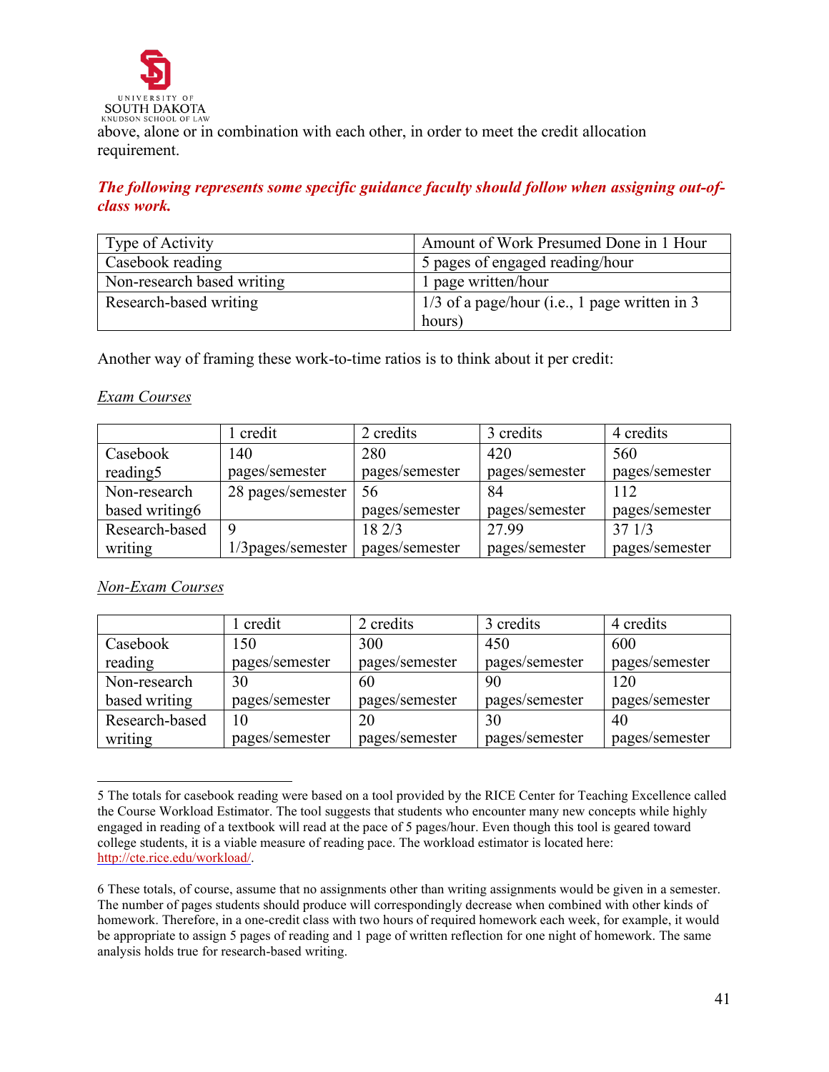

above, alone or in combination with each other, in order to meet the credit allocation requirement.

*The following represents some specific guidance faculty should follow when assigning out-ofclass work.*

| Type of Activity           | Amount of Work Presumed Done in 1 Hour          |  |
|----------------------------|-------------------------------------------------|--|
| Casebook reading           | 5 pages of engaged reading/hour                 |  |
| Non-research based writing | 1 page written/hour                             |  |
| Research-based writing     | $1/3$ of a page/hour (i.e., 1 page written in 3 |  |
|                            | hours)                                          |  |

Another way of framing these work-to-time ratios is to think about it per credit:

### *Exam Courses*

|                | l credit           | 2 credits      | 3 credits      | 4 credits      |
|----------------|--------------------|----------------|----------------|----------------|
| Casebook       | 140                | 280            | 420            | 560            |
| reading 5      | pages/semester     | pages/semester | pages/semester | pages/semester |
| Non-research   | 28 pages/semester  | 56             | 84             | 112            |
| based writing6 |                    | pages/semester | pages/semester | pages/semester |
| Research-based | 9                  | 182/3          | 27.99          | 371/3          |
| writing        | 1/3 pages/semester | pages/semester | pages/semester | pages/semester |

### *Non-Exam Courses*

|                | l credit       | 2 credits      | 3 credits      | 4 credits      |
|----------------|----------------|----------------|----------------|----------------|
| Casebook       | 150            | 300            | 450            | 600            |
| reading        | pages/semester | pages/semester | pages/semester | pages/semester |
| Non-research   | 30             | 60             | 90             | 120            |
| based writing  | pages/semester | pages/semester | pages/semester | pages/semester |
| Research-based | 10             | 20             | 30             | 40             |
| writing        | pages/semester | pages/semester | pages/semester | pages/semester |

<span id="page-40-0"></span><sup>5</sup> The totals for casebook reading were based on a tool provided by the RICE Center for Teaching Excellence called the Course Workload Estimator. The tool suggests that students who encounter many new concepts while highly engaged in reading of a textbook will read at the pace of 5 pages/hour. Even though this tool is geared toward college students, it is a viable measure of reading pace. The workload estimator is located here: [http://cte.rice.edu/workload/.](http://cte.rice.edu/workload/)

<span id="page-40-1"></span><sup>6</sup> These totals, of course, assume that no assignments other than writing assignments would be given in a semester. The number of pages students should produce will correspondingly decrease when combined with other kinds of homework. Therefore, in a one-credit class with two hours of required homework each week, for example, it would be appropriate to assign 5 pages of reading and 1 page of written reflection for one night of homework. The same analysis holds true for research-based writing.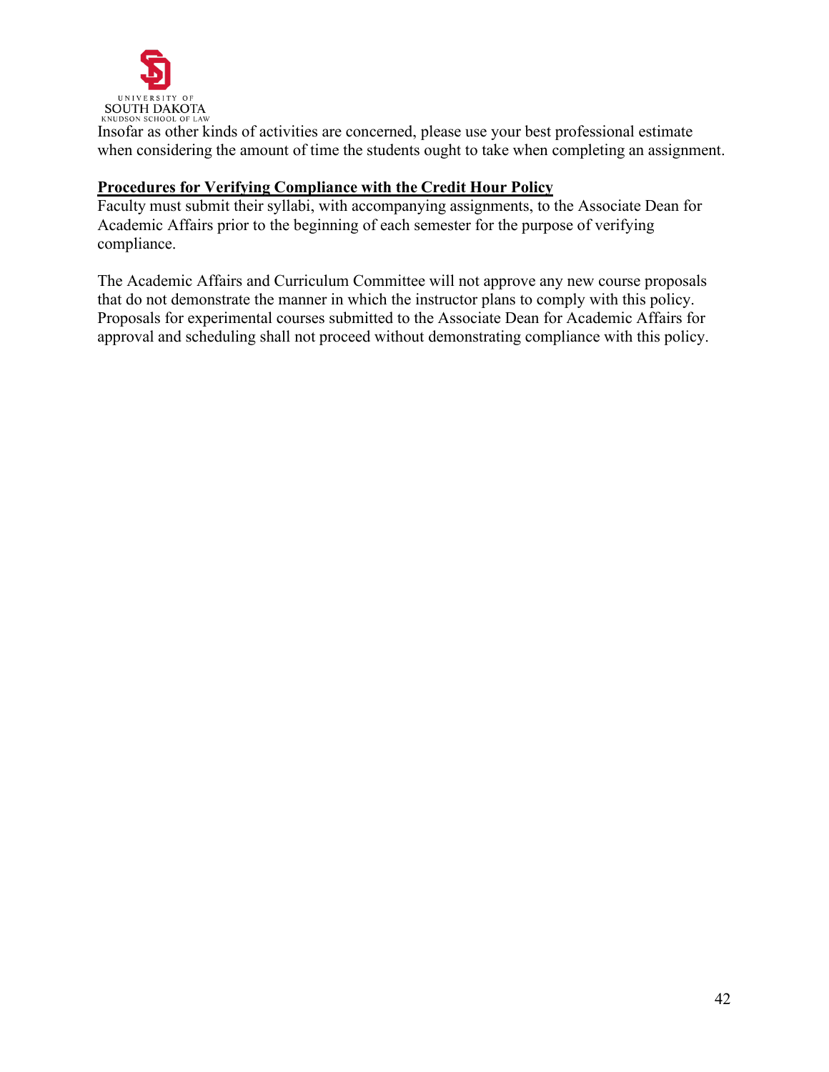

Insofar as other kinds of activities are concerned, please use your best professional estimate when considering the amount of time the students ought to take when completing an assignment.

### **Procedures for Verifying Compliance with the Credit Hour Policy**

Faculty must submit their syllabi, with accompanying assignments, to the Associate Dean for Academic Affairs prior to the beginning of each semester for the purpose of verifying compliance.

The Academic Affairs and Curriculum Committee will not approve any new course proposals that do not demonstrate the manner in which the instructor plans to comply with this policy. Proposals for experimental courses submitted to the Associate Dean for Academic Affairs for approval and scheduling shall not proceed without demonstrating compliance with this policy.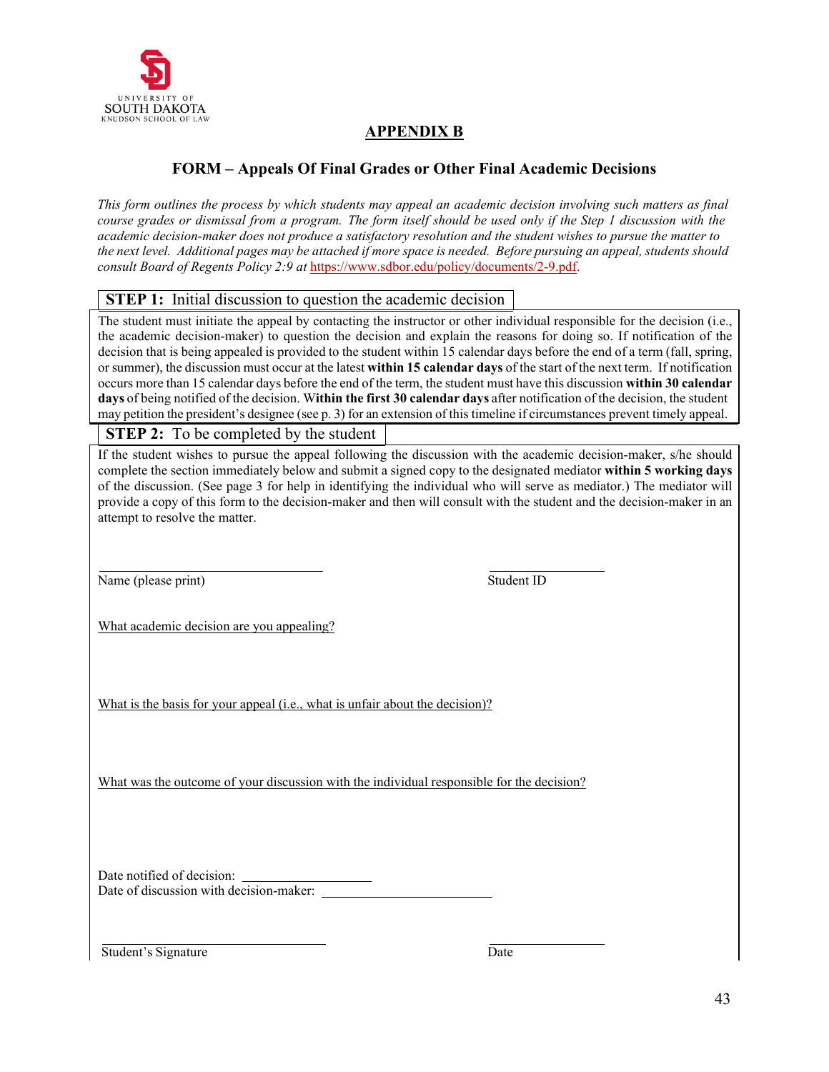

## **APPENDIX B**

## **FORM – Appeals Of Final Grades or Other Final Academic Decisions**

This form outlines the process by which students may appeal an academic decision involving such matters as final course grades or dismissal from a program. The form itself should be used only if the Step 1 discussion with the *academic decision-maker does not produce a satisfactory resolution and the student wishes to pursue the matter to* the next level. Additional pages may be attached if more space is needed. Before pursuing an appeal, students should *consult Board of Regents Policy 2:9 at* [https://www.sdbor.edu/policy/documents/2-9.pdf.](https://www.sdbor.edu/policy/documents/2-9.pdf)

#### **STEP 1:** Initial discussion to question the academic decision

The student must initiate the appeal by contacting the instructor or other individual responsible for the decision (i.e., the academic decision-maker) to question the decision and explain the reasons for doing so. If notification of the decision that is being appealed is provided to the student within 15 calendar days before the end of a term (fall, spring, or summer), the discussion must occur at the latest **within 15 calendar days** of the start of the next term. If notification occurs more than 15 calendar days before the end of the term, the student must have this discussion **within 30 calendar days** of being notified of the decision. W**ithin the first 30 calendar days** after notification of the decision, the student may petition the president's designee (see p. 3) for an extension of this timeline if circumstances prevent timely appeal.

**STEP 2:** To be completed by the student

If the student wishes to pursue the appeal following the discussion with the academic decision-maker, s/he should complete the section immediately below and submit a signed copy to the designated mediator **within 5 working days** of the discussion. (See page 3 for help in identifying the individual who will serve as mediator.) The mediator will provide a copy of this form to the decision-maker and then will consult with the student and the decision-maker in an attempt to resolve the matter.

Name (please print) Student ID

What academic decision are you appealing?

What is the basis for your appeal (i.e., what is unfair about the decision)?

What was the outcome of your discussion with the individual responsible for the decision?

Date notified of decision: Date of discussion with decision-maker:

Student's Signature Date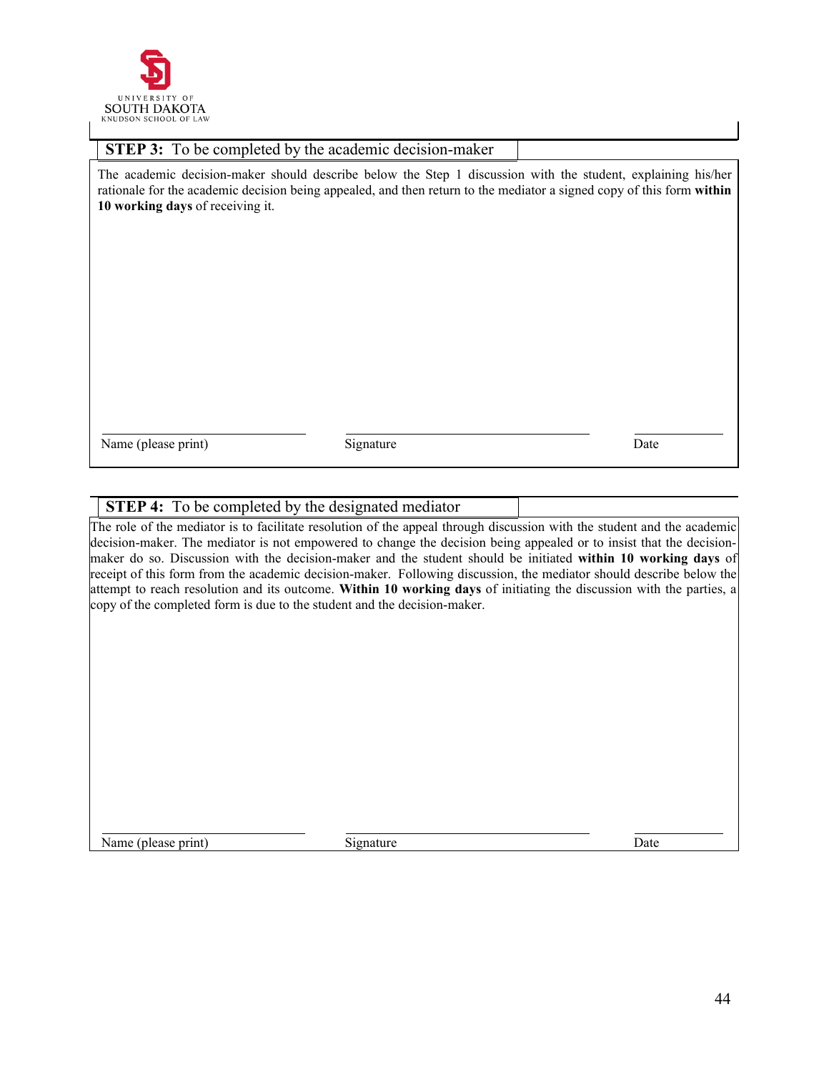

| <b>STEP 3:</b> To be completed by the academic decision-maker                                                                                                                                                                                                             |           |      |  |  |
|---------------------------------------------------------------------------------------------------------------------------------------------------------------------------------------------------------------------------------------------------------------------------|-----------|------|--|--|
| The academic decision-maker should describe below the Step 1 discussion with the student, explaining his/her<br>rationale for the academic decision being appealed, and then return to the mediator a signed copy of this form within<br>10 working days of receiving it. |           |      |  |  |
|                                                                                                                                                                                                                                                                           |           |      |  |  |
|                                                                                                                                                                                                                                                                           |           |      |  |  |
|                                                                                                                                                                                                                                                                           |           |      |  |  |
| Name (please print)                                                                                                                                                                                                                                                       | Signature | Date |  |  |

### **STEP 4:** To be completed by the designated mediator

The role of the mediator is to facilitate resolution of the appeal through discussion with the student and the academic decision-maker. The mediator is not empowered to change the decision being appealed or to insist that the decisionmaker do so. Discussion with the decision-maker and the student should be initiated **within 10 working days** of receipt of this form from the academic decision-maker. Following discussion, the mediator should describe below the attempt to reach resolution and its outcome. **Within 10 working days** of initiating the discussion with the parties, a copy of the completed form is due to the student and the decision-maker.

Name (please print) Signature Date Date Date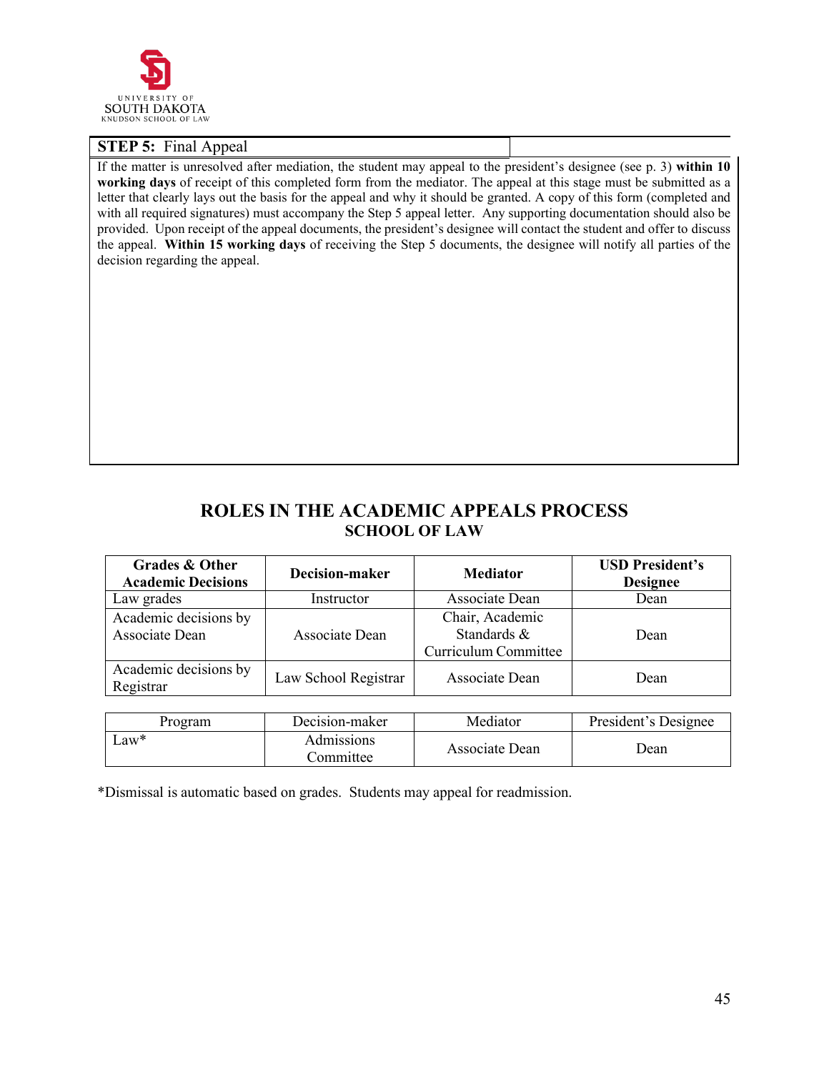

#### **STEP 5:** Final Appeal

If the matter is unresolved after mediation, the student may appeal to the president's designee (see p. 3) **within 10 working days** of receipt of this completed form from the mediator. The appeal at this stage must be submitted as a letter that clearly lays out the basis for the appeal and why it should be granted. A copy of this form (completed and with all required signatures) must accompany the Step 5 appeal letter. Any supporting documentation should also be provided. Upon receipt of the appeal documents, the president's designee will contact the student and offer to discuss the appeal. **Within 15 working days** of receiving the Step 5 documents, the designee will notify all parties of the decision regarding the appeal.

## **ROLES IN THE ACADEMIC APPEALS PROCESS SCHOOL OF LAW**

| <b>Grades &amp; Other</b><br><b>Academic Decisions</b> | Decision-maker          | <b>Mediator</b>                                        | <b>USD President's</b><br><b>Designee</b> |
|--------------------------------------------------------|-------------------------|--------------------------------------------------------|-------------------------------------------|
| Law grades                                             | Instructor              | Associate Dean                                         | Dean                                      |
| Academic decisions by<br>Associate Dean                | Associate Dean          | Chair, Academic<br>Standards &<br>Curriculum Committee | Dean                                      |
| Academic decisions by<br>Registrar                     | Law School Registrar    | Associate Dean                                         | Dean                                      |
| Program                                                | Decision-maker          | Mediator                                               | President's Designee                      |
| $Law*$                                                 | Admissions<br>Committee | Associate Dean                                         | Dean                                      |

\*Dismissal is automatic based on grades. Students may appeal for readmission.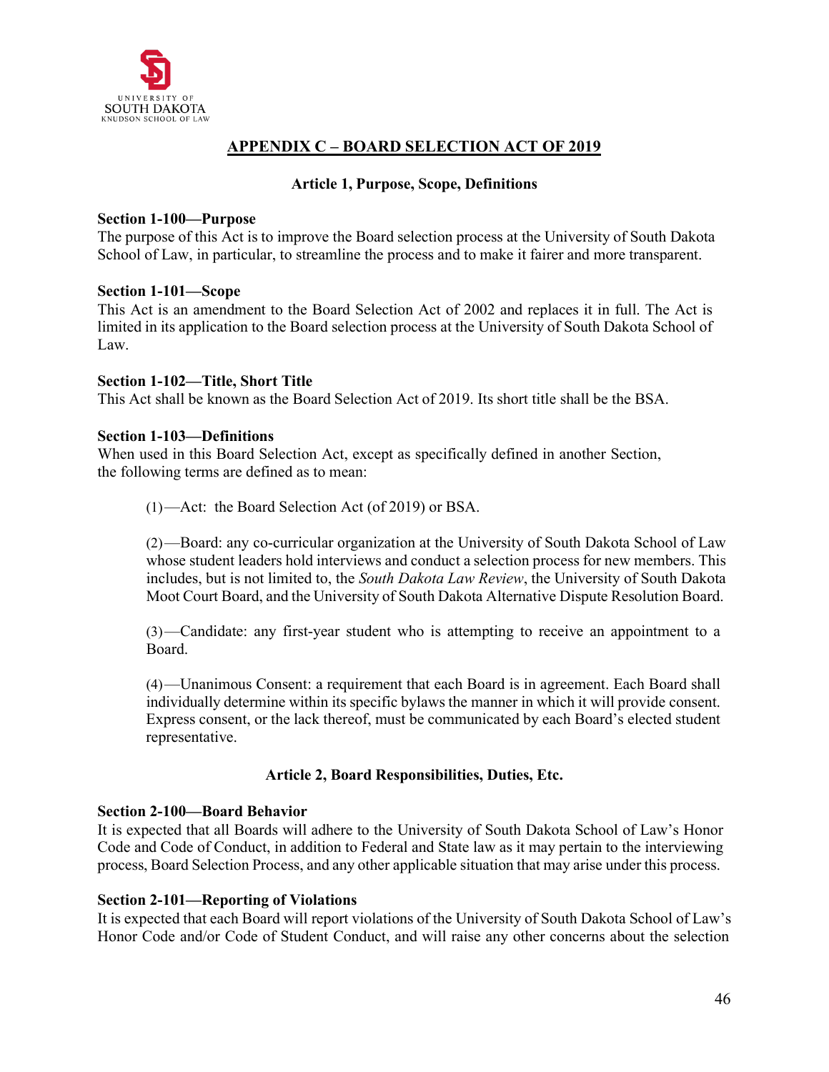

## **APPENDIX C – BOARD SELECTION ACT OF 2019**

#### **Article 1, Purpose, Scope, Definitions**

#### **Section 1-100—Purpose**

The purpose of this Act is to improve the Board selection process at the University of South Dakota School of Law, in particular, to streamline the process and to make it fairer and more transparent.

#### **Section 1-101—Scope**

This Act is an amendment to the Board Selection Act of 2002 and replaces it in full. The Act is limited in its application to the Board selection process at the University of South Dakota School of Law.

#### **Section 1-102—Title, Short Title**

This Act shall be known as the Board Selection Act of 2019. Its short title shall be the BSA.

#### **Section 1-103—Definitions**

When used in this Board Selection Act, except as specifically defined in another Section, the following terms are defined as to mean:

(1)—Act: the Board Selection Act (of 2019) or BSA.

(2)—Board: any co-curricular organization at the University of South Dakota School of Law whose student leaders hold interviews and conduct a selection process for new members. This includes, but is not limited to, the *South Dakota Law Review*, the University of South Dakota Moot Court Board, and the University of South Dakota Alternative Dispute Resolution Board.

(3)—Candidate: any first-year student who is attempting to receive an appointment to a Board.

(4)—Unanimous Consent: a requirement that each Board is in agreement. Each Board shall individually determine within its specific bylaws the manner in which it will provide consent. Express consent, or the lack thereof, must be communicated by each Board's elected student representative.

### **Article 2, Board Responsibilities, Duties, Etc.**

#### **Section 2-100—Board Behavior**

It is expected that all Boards will adhere to the University of South Dakota School of Law's Honor Code and Code of Conduct, in addition to Federal and State law as it may pertain to the interviewing process, Board Selection Process, and any other applicable situation that may arise under this process.

### **Section 2-101—Reporting of Violations**

It is expected that each Board will report violations of the University of South Dakota School of Law's Honor Code and/or Code of Student Conduct, and will raise any other concerns about the selection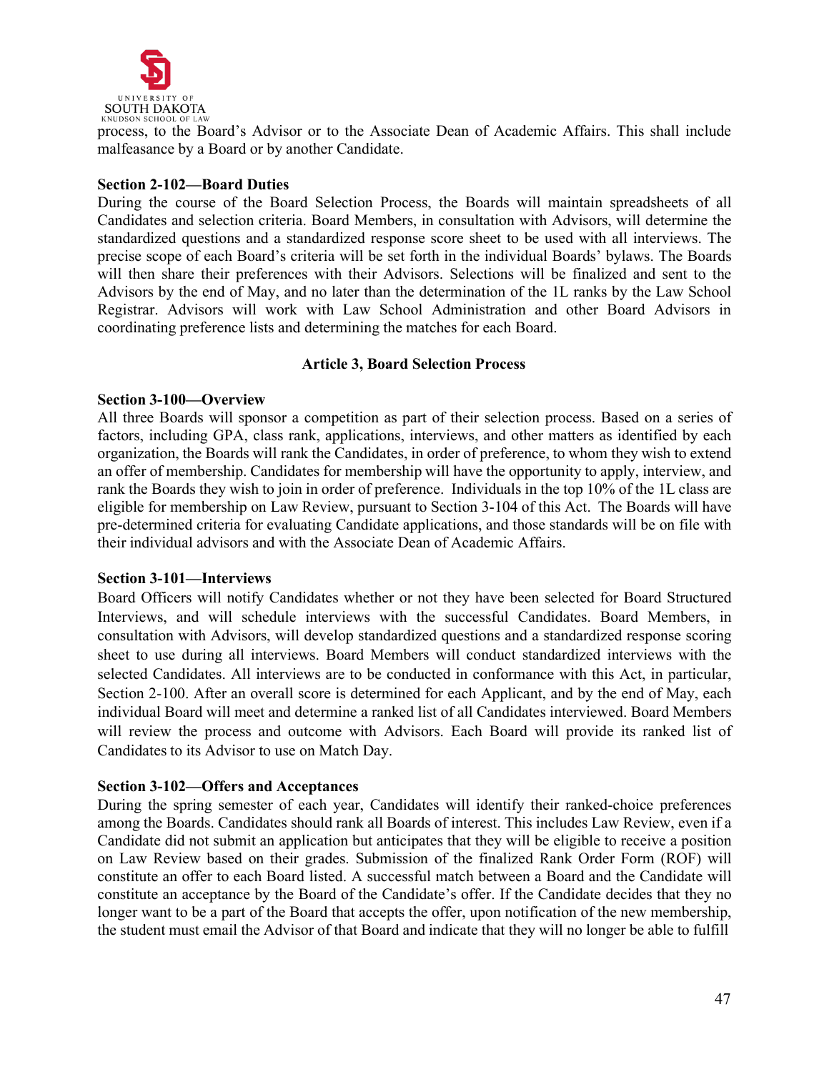

process, to the Board's Advisor or to the Associate Dean of Academic Affairs. This shall include malfeasance by a Board or by another Candidate.

#### **Section 2-102—Board Duties**

During the course of the Board Selection Process, the Boards will maintain spreadsheets of all Candidates and selection criteria. Board Members, in consultation with Advisors, will determine the standardized questions and a standardized response score sheet to be used with all interviews. The precise scope of each Board's criteria will be set forth in the individual Boards' bylaws. The Boards will then share their preferences with their Advisors. Selections will be finalized and sent to the Advisors by the end of May, and no later than the determination of the 1L ranks by the Law School Registrar. Advisors will work with Law School Administration and other Board Advisors in coordinating preference lists and determining the matches for each Board.

#### **Article 3, Board Selection Process**

#### **Section 3-100—Overview**

All three Boards will sponsor a competition as part of their selection process. Based on a series of factors, including GPA, class rank, applications, interviews, and other matters as identified by each organization, the Boards will rank the Candidates, in order of preference, to whom they wish to extend an offer of membership. Candidates for membership will have the opportunity to apply, interview, and rank the Boards they wish to join in order of preference. Individuals in the top 10% of the 1L class are eligible for membership on Law Review, pursuant to Section 3-104 of this Act. The Boards will have pre-determined criteria for evaluating Candidate applications, and those standards will be on file with their individual advisors and with the Associate Dean of Academic Affairs.

#### **Section 3-101—Interviews**

Board Officers will notify Candidates whether or not they have been selected for Board Structured Interviews, and will schedule interviews with the successful Candidates. Board Members, in consultation with Advisors, will develop standardized questions and a standardized response scoring sheet to use during all interviews. Board Members will conduct standardized interviews with the selected Candidates. All interviews are to be conducted in conformance with this Act, in particular, Section 2-100. After an overall score is determined for each Applicant, and by the end of May, each individual Board will meet and determine a ranked list of all Candidates interviewed. Board Members will review the process and outcome with Advisors. Each Board will provide its ranked list of Candidates to its Advisor to use on Match Day.

#### **Section 3-102—Offers and Acceptances**

During the spring semester of each year, Candidates will identify their ranked-choice preferences among the Boards. Candidates should rank all Boards of interest. This includes Law Review, even if a Candidate did not submit an application but anticipates that they will be eligible to receive a position on Law Review based on their grades. Submission of the finalized Rank Order Form (ROF) will constitute an offer to each Board listed. A successful match between a Board and the Candidate will constitute an acceptance by the Board of the Candidate's offer. If the Candidate decides that they no longer want to be a part of the Board that accepts the offer, upon notification of the new membership, the student must email the Advisor of that Board and indicate that they will no longer be able to fulfill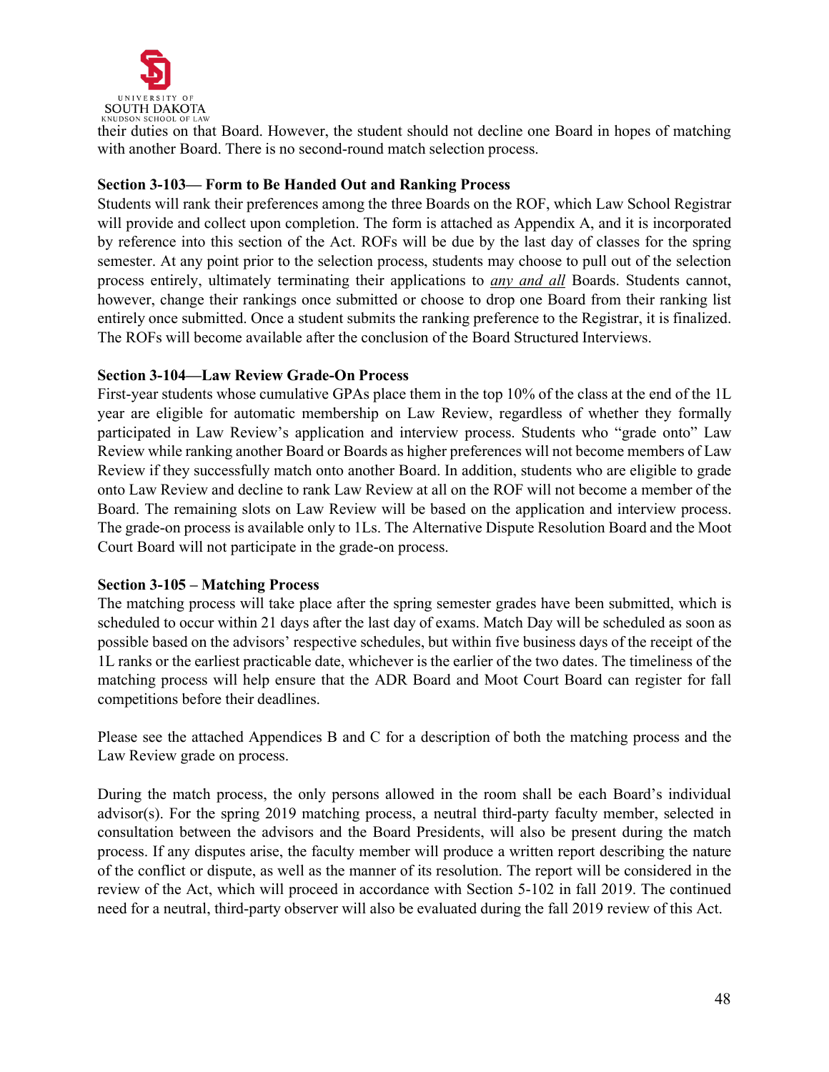

their duties on that Board. However, the student should not decline one Board in hopes of matching with another Board. There is no second-round match selection process.

### **Section 3-103— Form to Be Handed Out and Ranking Process**

Students will rank their preferences among the three Boards on the ROF, which Law School Registrar will provide and collect upon completion. The form is attached as Appendix A, and it is incorporated by reference into this section of the Act. ROFs will be due by the last day of classes for the spring semester. At any point prior to the selection process, students may choose to pull out of the selection process entirely, ultimately terminating their applications to *any and all* Boards. Students cannot, however, change their rankings once submitted or choose to drop one Board from their ranking list entirely once submitted. Once a student submits the ranking preference to the Registrar, it is finalized. The ROFs will become available after the conclusion of the Board Structured Interviews.

### **Section 3-104—Law Review Grade-On Process**

First-year students whose cumulative GPAs place them in the top 10% of the class at the end of the 1L year are eligible for automatic membership on Law Review, regardless of whether they formally participated in Law Review's application and interview process. Students who "grade onto" Law Review while ranking another Board or Boards as higher preferences will not become members of Law Review if they successfully match onto another Board. In addition, students who are eligible to grade onto Law Review and decline to rank Law Review at all on the ROF will not become a member of the Board. The remaining slots on Law Review will be based on the application and interview process. The grade-on process is available only to 1Ls. The Alternative Dispute Resolution Board and the Moot Court Board will not participate in the grade-on process.

### **Section 3-105 – Matching Process**

The matching process will take place after the spring semester grades have been submitted, which is scheduled to occur within 21 days after the last day of exams. Match Day will be scheduled as soon as possible based on the advisors' respective schedules, but within five business days of the receipt of the 1L ranks or the earliest practicable date, whichever is the earlier of the two dates. The timeliness of the matching process will help ensure that the ADR Board and Moot Court Board can register for fall competitions before their deadlines.

Please see the attached Appendices B and C for a description of both the matching process and the Law Review grade on process.

During the match process, the only persons allowed in the room shall be each Board's individual advisor(s). For the spring 2019 matching process, a neutral third-party faculty member, selected in consultation between the advisors and the Board Presidents, will also be present during the match process. If any disputes arise, the faculty member will produce a written report describing the nature of the conflict or dispute, as well as the manner of its resolution. The report will be considered in the review of the Act, which will proceed in accordance with Section 5-102 in fall 2019. The continued need for a neutral, third-party observer will also be evaluated during the fall 2019 review of this Act.